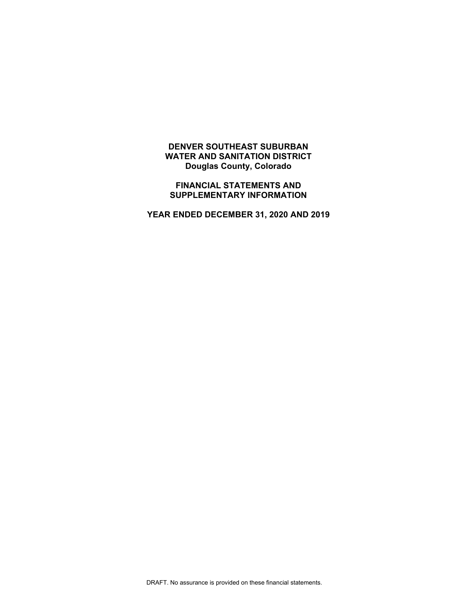# **DENVER SOUTHEAST SUBURBAN WATER AND SANITATION DISTRICT Douglas County, Colorado**

**FINANCIAL STATEMENTS AND SUPPLEMENTARY INFORMATION** 

**YEAR ENDED DECEMBER 31, 2020 AND 2019**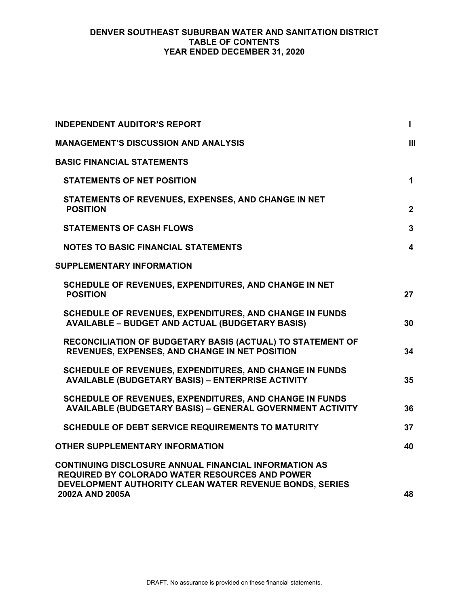# **DENVER SOUTHEAST SUBURBAN WATER AND SANITATION DISTRICT TABLE OF CONTENTS YEAR ENDED DECEMBER 31, 2020**

| <b>INDEPENDENT AUDITOR'S REPORT</b>                                                                                                                                              | $\mathbf{I}$            |
|----------------------------------------------------------------------------------------------------------------------------------------------------------------------------------|-------------------------|
| <b>MANAGEMENT'S DISCUSSION AND ANALYSIS</b>                                                                                                                                      | Ш                       |
| <b>BASIC FINANCIAL STATEMENTS</b>                                                                                                                                                |                         |
| <b>STATEMENTS OF NET POSITION</b>                                                                                                                                                | $\mathbf 1$             |
| STATEMENTS OF REVENUES, EXPENSES, AND CHANGE IN NET<br><b>POSITION</b>                                                                                                           | $\overline{2}$          |
| <b>STATEMENTS OF CASH FLOWS</b>                                                                                                                                                  | $\mathbf{3}$            |
| <b>NOTES TO BASIC FINANCIAL STATEMENTS</b>                                                                                                                                       | $\overline{\mathbf{4}}$ |
| <b>SUPPLEMENTARY INFORMATION</b>                                                                                                                                                 |                         |
| SCHEDULE OF REVENUES, EXPENDITURES, AND CHANGE IN NET<br><b>POSITION</b>                                                                                                         | 27                      |
| SCHEDULE OF REVENUES, EXPENDITURES, AND CHANGE IN FUNDS<br><b>AVAILABLE - BUDGET AND ACTUAL (BUDGETARY BASIS)</b>                                                                | 30                      |
| RECONCILIATION OF BUDGETARY BASIS (ACTUAL) TO STATEMENT OF<br>REVENUES, EXPENSES, AND CHANGE IN NET POSITION                                                                     | 34                      |
| <b>SCHEDULE OF REVENUES, EXPENDITURES, AND CHANGE IN FUNDS</b><br><b>AVAILABLE (BUDGETARY BASIS) - ENTERPRISE ACTIVITY</b>                                                       | 35                      |
| SCHEDULE OF REVENUES, EXPENDITURES, AND CHANGE IN FUNDS<br><b>AVAILABLE (BUDGETARY BASIS) - GENERAL GOVERNMENT ACTIVITY</b>                                                      | 36                      |
| <b>SCHEDULE OF DEBT SERVICE REQUIREMENTS TO MATURITY</b>                                                                                                                         | 37                      |
| <b>OTHER SUPPLEMENTARY INFORMATION</b>                                                                                                                                           | 40                      |
| <b>CONTINUING DISCLOSURE ANNUAL FINANCIAL INFORMATION AS</b><br><b>REQUIRED BY COLORADO WATER RESOURCES AND POWER</b><br>DEVELOPMENT AUTHORITY CLEAN WATER REVENUE BONDS, SERIES |                         |
| 2002A AND 2005A                                                                                                                                                                  | 48                      |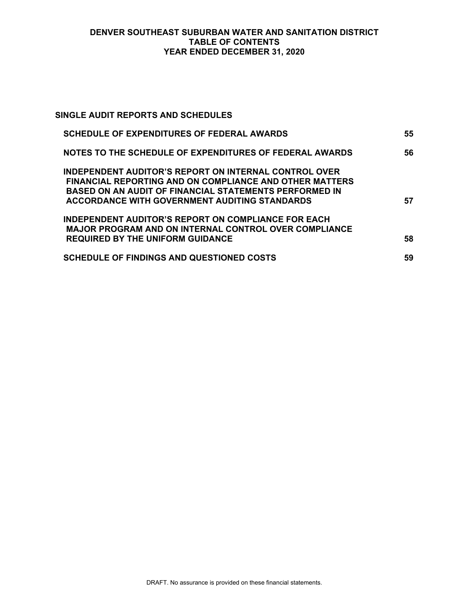# **DENVER SOUTHEAST SUBURBAN WATER AND SANITATION DISTRICT TABLE OF CONTENTS YEAR ENDED DECEMBER 31, 2020**

| SINGLE AUDIT REPORTS AND SCHEDULES                                                                                                                                                                                                               |    |
|--------------------------------------------------------------------------------------------------------------------------------------------------------------------------------------------------------------------------------------------------|----|
| <b>SCHEDULE OF EXPENDITURES OF FEDERAL AWARDS</b>                                                                                                                                                                                                | 55 |
| NOTES TO THE SCHEDULE OF EXPENDITURES OF FEDERAL AWARDS                                                                                                                                                                                          | 56 |
| <b>INDEPENDENT AUDITOR'S REPORT ON INTERNAL CONTROL OVER</b><br>FINANCIAL REPORTING AND ON COMPLIANCE AND OTHER MATTERS<br><b>BASED ON AN AUDIT OF FINANCIAL STATEMENTS PERFORMED IN</b><br><b>ACCORDANCE WITH GOVERNMENT AUDITING STANDARDS</b> | 57 |
| <b>INDEPENDENT AUDITOR'S REPORT ON COMPLIANCE FOR EACH</b><br><b>MAJOR PROGRAM AND ON INTERNAL CONTROL OVER COMPLIANCE</b><br><b>REQUIRED BY THE UNIFORM GUIDANCE</b>                                                                            | 58 |
| <b>SCHEDULE OF FINDINGS AND QUESTIONED COSTS</b>                                                                                                                                                                                                 | 59 |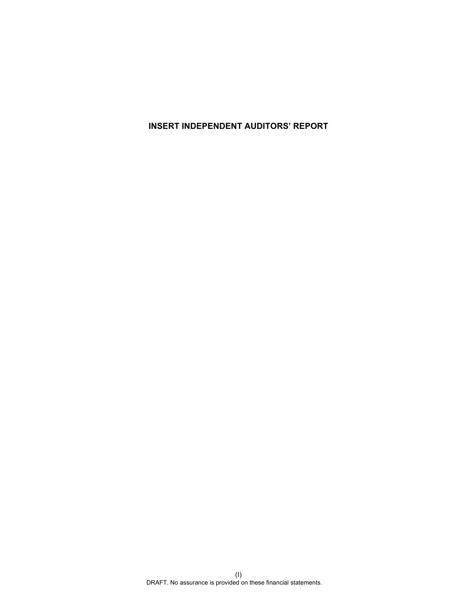**INSERT INDEPENDENT AUDITORS' REPORT**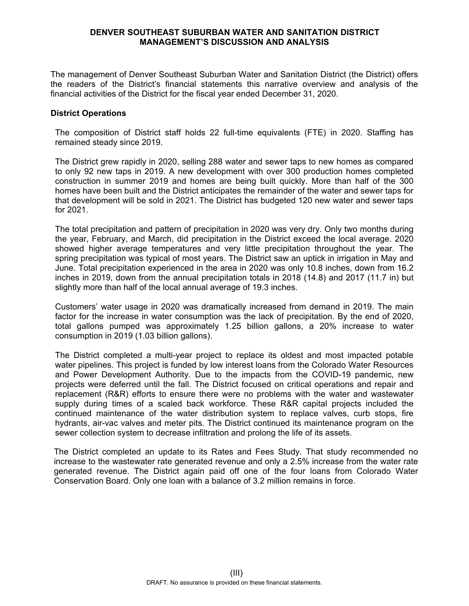### **DENVER SOUTHEAST SUBURBAN WATER AND SANITATION DISTRICT MANAGEMENT'S DISCUSSION AND ANALYSIS**

The management of Denver Southeast Suburban Water and Sanitation District (the District) offers the readers of the District's financial statements this narrative overview and analysis of the financial activities of the District for the fiscal year ended December 31, 2020.

### **District Operations**

The composition of District staff holds 22 full-time equivalents (FTE) in 2020. Staffing has remained steady since 2019.

The District grew rapidly in 2020, selling 288 water and sewer taps to new homes as compared to only 92 new taps in 2019. A new development with over 300 production homes completed construction in summer 2019 and homes are being built quickly. More than half of the 300 homes have been built and the District anticipates the remainder of the water and sewer taps for that development will be sold in 2021. The District has budgeted 120 new water and sewer taps for 2021.

The total precipitation and pattern of precipitation in 2020 was very dry. Only two months during the year, February, and March, did precipitation in the District exceed the local average. 2020 showed higher average temperatures and very little precipitation throughout the year. The spring precipitation was typical of most years. The District saw an uptick in irrigation in May and June. Total precipitation experienced in the area in 2020 was only 10.8 inches, down from 16.2 inches in 2019, down from the annual precipitation totals in 2018 (14.8) and 2017 (11.7 in) but slightly more than half of the local annual average of 19.3 inches.

Customers' water usage in 2020 was dramatically increased from demand in 2019. The main factor for the increase in water consumption was the lack of precipitation. By the end of 2020, total gallons pumped was approximately 1.25 billion gallons, a 20% increase to water consumption in 2019 (1.03 billion gallons).

The District completed a multi-year project to replace its oldest and most impacted potable water pipelines. This project is funded by low interest loans from the Colorado Water Resources and Power Development Authority. Due to the impacts from the COVID-19 pandemic, new projects were deferred until the fall. The District focused on critical operations and repair and replacement (R&R) efforts to ensure there were no problems with the water and wastewater supply during times of a scaled back workforce. These R&R capital projects included the continued maintenance of the water distribution system to replace valves, curb stops, fire hydrants, air-vac valves and meter pits. The District continued its maintenance program on the sewer collection system to decrease infiltration and prolong the life of its assets.

The District completed an update to its Rates and Fees Study. That study recommended no increase to the wastewater rate generated revenue and only a 2.5% increase from the water rate generated revenue. The District again paid off one of the four loans from Colorado Water Conservation Board. Only one loan with a balance of 3.2 million remains in force.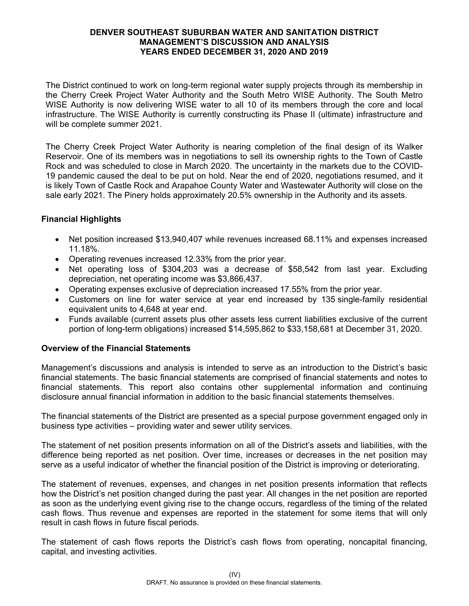The District continued to work on long-term regional water supply projects through its membership in the Cherry Creek Project Water Authority and the South Metro WISE Authority. The South Metro WISE Authority is now delivering WISE water to all 10 of its members through the core and local infrastructure. The WISE Authority is currently constructing its Phase II (ultimate) infrastructure and will be complete summer 2021.

The Cherry Creek Project Water Authority is nearing completion of the final design of its Walker Reservoir. One of its members was in negotiations to sell its ownership rights to the Town of Castle Rock and was scheduled to close in March 2020. The uncertainty in the markets due to the COVID-19 pandemic caused the deal to be put on hold. Near the end of 2020, negotiations resumed, and it is likely Town of Castle Rock and Arapahoe County Water and Wastewater Authority will close on the sale early 2021. The Pinery holds approximately 20.5% ownership in the Authority and its assets.

# **Financial Highlights**

- Net position increased \$13,940,407 while revenues increased 68.11% and expenses increased 11.18%.
- Operating revenues increased 12.33% from the prior year.
- Net operating loss of \$304,203 was a decrease of \$58,542 from last year. Excluding depreciation, net operating income was \$3,866,437.
- Operating expenses exclusive of depreciation increased 17.55% from the prior year.
- Customers on line for water service at year end increased by 135 single-family residential equivalent units to 4,648 at year end.
- Funds available (current assets plus other assets less current liabilities exclusive of the current portion of long-term obligations) increased \$14,595,862 to \$33,158,681 at December 31, 2020.

# **Overview of the Financial Statements**

Management's discussions and analysis is intended to serve as an introduction to the District's basic financial statements. The basic financial statements are comprised of financial statements and notes to financial statements. This report also contains other supplemental information and continuing disclosure annual financial information in addition to the basic financial statements themselves.

The financial statements of the District are presented as a special purpose government engaged only in business type activities – providing water and sewer utility services.

The statement of net position presents information on all of the District's assets and liabilities, with the difference being reported as net position. Over time, increases or decreases in the net position may serve as a useful indicator of whether the financial position of the District is improving or deteriorating.

The statement of revenues, expenses, and changes in net position presents information that reflects how the District's net position changed during the past year. All changes in the net position are reported as soon as the underlying event giving rise to the change occurs, regardless of the timing of the related cash flows. Thus revenue and expenses are reported in the statement for some items that will only result in cash flows in future fiscal periods.

The statement of cash flows reports the District's cash flows from operating, noncapital financing, capital, and investing activities.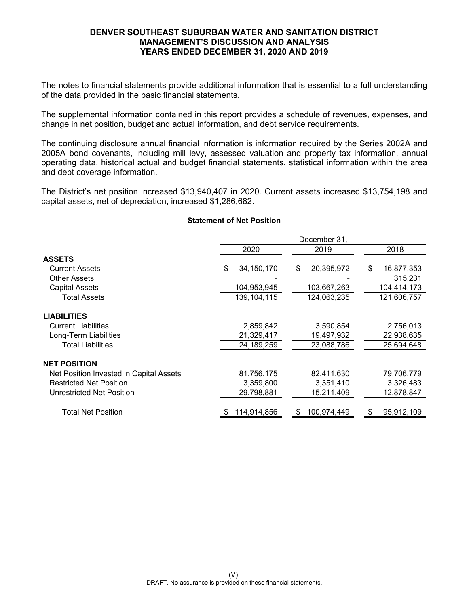The notes to financial statements provide additional information that is essential to a full understanding of the data provided in the basic financial statements.

The supplemental information contained in this report provides a schedule of revenues, expenses, and change in net position, budget and actual information, and debt service requirements.

The continuing disclosure annual financial information is information required by the Series 2002A and 2005A bond covenants, including mill levy, assessed valuation and property tax information, annual operating data, historical actual and budget financial statements, statistical information within the area and debt coverage information.

The District's net position increased \$13,940,407 in 2020. Current assets increased \$13,754,198 and capital assets, net of depreciation, increased \$1,286,682.

# 2020 2019 2018 **ASSETS** Current Assets \$ 34,150,170 \$ 20,395,972 \$ 16,877,353 Other Assets - - 315,231 Capital Assets 104,953,945 103,667,263 104,414,173 Total Assets 139,104,115 124,063,235 121,606,757 **LIABILITIES** Current Liabilities 2,859,842 3,590,854 2,756,013 Long-Term Liabilities 21,329,417 19,497,932 22,938,635 Total Liabilities 24,189,259 23,088,786 25,694,648 **NET POSITION** Net Position Invested in Capital Assets 681,756,175 82,411,630 79,706,779 Restricted Net Position **3,359,800** 3,359,800 3,351,410 3,326,483 Unrestricted Net Position **29,798,881** 15,211,409 12,878,847 Total Net Position **\$ 114,914,856** \$ 100,974,449 \$ 95,912,109 December 31,

#### **Statement of Net Position**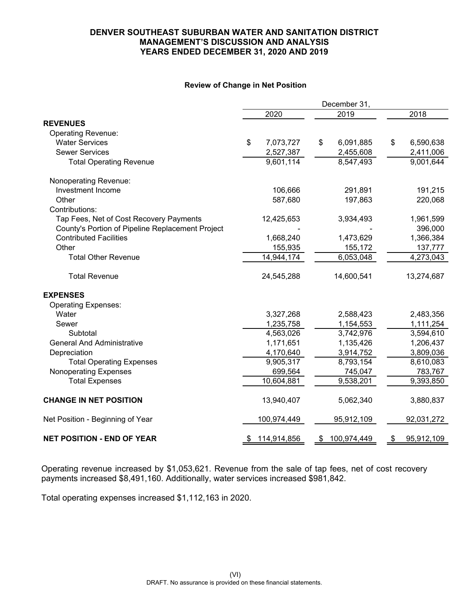#### **Review of Change in Net Position**

|                                                  |    |             |    | December 31, |                  |
|--------------------------------------------------|----|-------------|----|--------------|------------------|
|                                                  |    | 2020        |    | 2019         | 2018             |
| <b>REVENUES</b>                                  |    |             |    |              |                  |
| <b>Operating Revenue:</b>                        |    |             |    |              |                  |
| <b>Water Services</b>                            | \$ | 7,073,727   | \$ | 6,091,885    | \$<br>6,590,638  |
| <b>Sewer Services</b>                            |    | 2,527,387   |    | 2,455,608    | 2,411,006        |
| <b>Total Operating Revenue</b>                   |    | 9,601,114   |    | 8,547,493    | 9,001,644        |
| Nonoperating Revenue:                            |    |             |    |              |                  |
| Investment Income                                |    | 106,666     |    | 291,891      | 191,215          |
| Other                                            |    | 587,680     |    | 197,863      | 220,068          |
| Contributions:                                   |    |             |    |              |                  |
| Tap Fees, Net of Cost Recovery Payments          |    | 12,425,653  |    | 3,934,493    | 1,961,599        |
| County's Portion of Pipeline Replacement Project |    |             |    |              | 396,000          |
| <b>Contributed Facilities</b>                    |    | 1,668,240   |    | 1,473,629    | 1,366,384        |
| Other                                            |    | 155,935     |    | 155,172      | 137,777          |
| <b>Total Other Revenue</b>                       |    | 14,944,174  |    | 6,053,048    | 4,273,043        |
| <b>Total Revenue</b>                             |    | 24,545,288  |    | 14,600,541   | 13,274,687       |
| <b>EXPENSES</b>                                  |    |             |    |              |                  |
| <b>Operating Expenses:</b>                       |    |             |    |              |                  |
| Water                                            |    | 3,327,268   |    | 2,588,423    | 2,483,356        |
| Sewer                                            |    | 1,235,758   |    | 1,154,553    | 1,111,254        |
| Subtotal                                         |    | 4,563,026   |    | 3,742,976    | 3,594,610        |
| <b>General And Administrative</b>                |    | 1,171,651   |    | 1,135,426    | 1,206,437        |
| Depreciation                                     |    | 4,170,640   |    | 3,914,752    | 3,809,036        |
| <b>Total Operating Expenses</b>                  |    | 9,905,317   |    | 8,793,154    | 8,610,083        |
| <b>Nonoperating Expenses</b>                     |    | 699,564     |    | 745,047      | 783,767          |
| <b>Total Expenses</b>                            |    | 10,604,881  |    | 9,538,201    | 9,393,850        |
| <b>CHANGE IN NET POSITION</b>                    |    | 13,940,407  |    | 5,062,340    | 3,880,837        |
| Net Position - Beginning of Year                 |    | 100,974,449 |    | 95,912,109   | 92,031,272       |
| <b>NET POSITION - END OF YEAR</b>                | S. | 114,914,856 | S. | 100,974,449  | \$<br>95,912,109 |

Operating revenue increased by \$1,053,621. Revenue from the sale of tap fees, net of cost recovery payments increased \$8,491,160. Additionally, water services increased \$981,842.

Total operating expenses increased \$1,112,163 in 2020.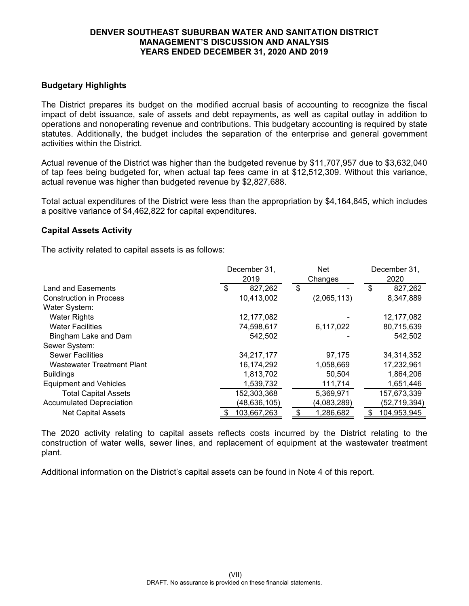# **Budgetary Highlights**

The District prepares its budget on the modified accrual basis of accounting to recognize the fiscal impact of debt issuance, sale of assets and debt repayments, as well as capital outlay in addition to operations and nonoperating revenue and contributions. This budgetary accounting is required by state statutes. Additionally, the budget includes the separation of the enterprise and general government activities within the District.

Actual revenue of the District was higher than the budgeted revenue by \$11,707,957 due to \$3,632,040 of tap fees being budgeted for, when actual tap fees came in at \$12,512,309. Without this variance, actual revenue was higher than budgeted revenue by \$2,827,688.

Total actual expenditures of the District were less than the appropriation by \$4,164,845, which includes a positive variance of \$4,462,822 for capital expenditures.

### **Capital Assets Activity**

The activity related to capital assets is as follows:

|                                   | December 31,<br>2019 | <b>Net</b><br>Changes |                      |  |  |
|-----------------------------------|----------------------|-----------------------|----------------------|--|--|
| Land and Easements                | 827,262<br>\$        | \$                    | 2020<br>827,262<br>S |  |  |
| <b>Construction in Process</b>    | 10,413,002           | (2,065,113)           | 8,347,889            |  |  |
| Water System:                     |                      |                       |                      |  |  |
| <b>Water Rights</b>               | 12,177,082           |                       | 12, 177, 082         |  |  |
| <b>Water Facilities</b>           | 74,598,617           | 6,117,022             | 80,715,639           |  |  |
| Bingham Lake and Dam              | 542,502              |                       | 542,502              |  |  |
| Sewer System:                     |                      |                       |                      |  |  |
| <b>Sewer Facilities</b>           | 34,217,177           | 97,175                | 34,314,352           |  |  |
| <b>Wastewater Treatment Plant</b> | 16,174,292           | 1,058,669             | 17,232,961           |  |  |
| <b>Buildings</b>                  | 1,813,702            | 50,504                | 1,864,206            |  |  |
| <b>Equipment and Vehicles</b>     | 1,539,732            | 111,714               | 1,651,446            |  |  |
| <b>Total Capital Assets</b>       | 152,303,368          | 5,369,971             | 157,673,339          |  |  |
| <b>Accumulated Depreciation</b>   | (48, 636, 105)       | (4,083,289)           | (52,719,394)         |  |  |
| <b>Net Capital Assets</b>         | 103,667,263          | 1,286,682             | 104,953,945          |  |  |

The 2020 activity relating to capital assets reflects costs incurred by the District relating to the construction of water wells, sewer lines, and replacement of equipment at the wastewater treatment plant.

Additional information on the District's capital assets can be found in Note 4 of this report.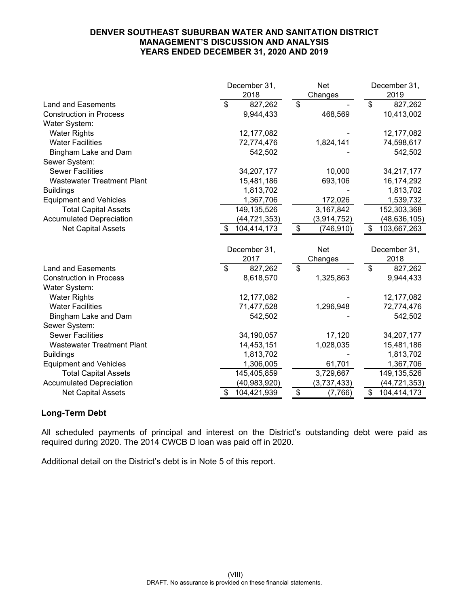|                                   | December 31,      | <b>Net</b>                 | December 31,      |
|-----------------------------------|-------------------|----------------------------|-------------------|
|                                   | 2018              | Changes                    | 2019              |
| <b>Land and Easements</b>         | 827,262<br>\$     | \$                         | \$<br>827,262     |
| <b>Construction in Process</b>    | 9,944,433         | 468,569                    | 10,413,002        |
| Water System:                     |                   |                            |                   |
| <b>Water Rights</b>               | 12,177,082        |                            | 12,177,082        |
| <b>Water Facilities</b>           | 72,774,476        | 1,824,141                  | 74,598,617        |
| Bingham Lake and Dam              | 542,502           |                            | 542,502           |
| Sewer System:                     |                   |                            |                   |
| <b>Sewer Facilities</b>           | 34,207,177        | 10,000                     | 34,217,177        |
| <b>Wastewater Treatment Plant</b> | 15,481,186        | 693,106                    | 16,174,292        |
| <b>Buildings</b>                  | 1,813,702         |                            | 1,813,702         |
| <b>Equipment and Vehicles</b>     | 1,367,706         | 172,026                    | 1,539,732         |
| <b>Total Capital Assets</b>       | 149, 135, 526     | 3,167,842                  | 152,303,368       |
| <b>Accumulated Depreciation</b>   | (44,721,353)      | (3,914,752)                | (48, 636, 105)    |
| <b>Net Capital Assets</b>         | 104,414,173<br>S  | $\frac{1}{2}$<br>(746,910) | \$<br>103,667,263 |
|                                   |                   |                            |                   |
|                                   | December 31,      | <b>Net</b>                 | December 31,      |
|                                   | 2017              | Changes                    | 2018              |
| <b>Land and Easements</b>         | \$<br>827,262     | \$                         | \$<br>827,262     |
| <b>Construction in Process</b>    | 8,618,570         | 1,325,863                  | 9,944,433         |
| Water System:                     |                   |                            |                   |
| <b>Water Rights</b>               | 12,177,082        |                            | 12,177,082        |
| <b>Water Facilities</b>           | 71,477,528        | 1,296,948                  | 72,774,476        |
| Bingham Lake and Dam              | 542,502           |                            | 542,502           |
| Sewer System:                     |                   |                            |                   |
| <b>Sewer Facilities</b>           | 34,190,057        | 17,120                     | 34,207,177        |
| <b>Wastewater Treatment Plant</b> | 14,453,151        | 1,028,035                  | 15,481,186        |
| <b>Buildings</b>                  | 1,813,702         |                            | 1,813,702         |
| <b>Equipment and Vehicles</b>     | 1,306,005         | 61,701                     | 1,367,706         |
| <b>Total Capital Assets</b>       | 145,405,859       | 3,729,667                  | 149,135,526       |
| <b>Accumulated Depreciation</b>   | (40, 983, 920)    | (3,737,433)                | (44, 721, 353)    |
| <b>Net Capital Assets</b>         | 104,421,939<br>\$ | $\frac{1}{2}$<br>(7,766)   | \$<br>104,414,173 |

# **Long-Term Debt**

All scheduled payments of principal and interest on the District's outstanding debt were paid as required during 2020. The 2014 CWCB D loan was paid off in 2020.

Additional detail on the District's debt is in Note 5 of this report.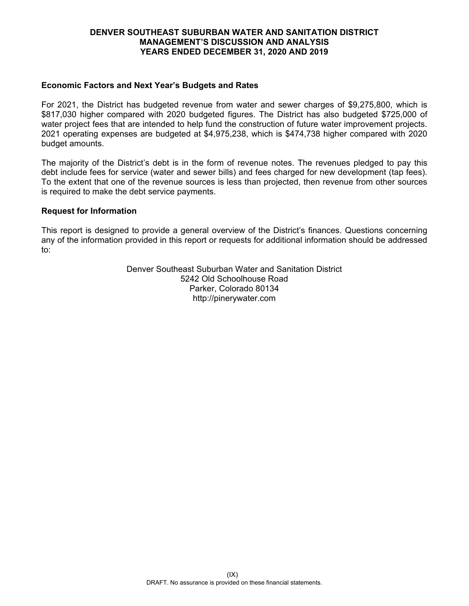## **Economic Factors and Next Year's Budgets and Rates**

For 2021, the District has budgeted revenue from water and sewer charges of \$9,275,800, which is \$817,030 higher compared with 2020 budgeted figures. The District has also budgeted \$725,000 of water project fees that are intended to help fund the construction of future water improvement projects. 2021 operating expenses are budgeted at \$4,975,238, which is \$474,738 higher compared with 2020 budget amounts.

The majority of the District's debt is in the form of revenue notes. The revenues pledged to pay this debt include fees for service (water and sewer bills) and fees charged for new development (tap fees). To the extent that one of the revenue sources is less than projected, then revenue from other sources is required to make the debt service payments.

### **Request for Information**

This report is designed to provide a general overview of the District's finances. Questions concerning any of the information provided in this report or requests for additional information should be addressed to:

> Denver Southeast Suburban Water and Sanitation District 5242 Old Schoolhouse Road Parker, Colorado 80134 http://pinerywater.com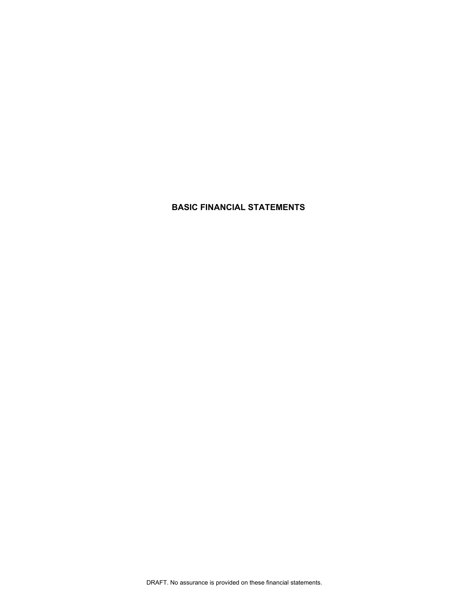# **BASIC FINANCIAL STATEMENTS**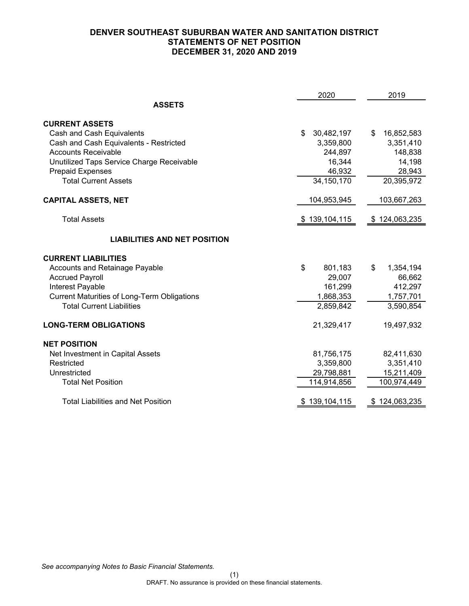# **DENVER SOUTHEAST SUBURBAN WATER AND SANITATION DISTRICT STATEMENTS OF NET POSITION DECEMBER 31, 2020 AND 2019**

|                                                    | 2020             | 2019             |
|----------------------------------------------------|------------------|------------------|
| <b>ASSETS</b>                                      |                  |                  |
| <b>CURRENT ASSETS</b>                              |                  |                  |
| Cash and Cash Equivalents                          | \$<br>30,482,197 | 16,852,583<br>\$ |
| Cash and Cash Equivalents - Restricted             | 3,359,800        | 3,351,410        |
| <b>Accounts Receivable</b>                         | 244,897          | 148,838          |
| Unutilized Taps Service Charge Receivable          | 16,344           | 14,198           |
| <b>Prepaid Expenses</b>                            | 46,932           | 28,943           |
| <b>Total Current Assets</b>                        | 34,150,170       | 20,395,972       |
| <b>CAPITAL ASSETS, NET</b>                         | 104,953,945      | 103,667,263      |
| <b>Total Assets</b>                                | \$139,104,115    | \$124,063,235    |
| <b>LIABILITIES AND NET POSITION</b>                |                  |                  |
| <b>CURRENT LIABILITIES</b>                         |                  |                  |
| <b>Accounts and Retainage Payable</b>              | \$<br>801,183    | \$<br>1,354,194  |
| <b>Accrued Payroll</b>                             | 29,007           | 66,662           |
| Interest Payable                                   | 161,299          | 412,297          |
| <b>Current Maturities of Long-Term Obligations</b> | 1,868,353        | 1,757,701        |
| <b>Total Current Liabilities</b>                   | 2,859,842        | 3,590,854        |
| <b>LONG-TERM OBLIGATIONS</b>                       | 21,329,417       | 19,497,932       |
| <b>NET POSITION</b>                                |                  |                  |
| Net Investment in Capital Assets                   | 81,756,175       | 82,411,630       |
| Restricted                                         | 3,359,800        | 3,351,410        |
| Unrestricted                                       | 29,798,881       | 15,211,409       |
| <b>Total Net Position</b>                          | 114,914,856      | 100,974,449      |
| <b>Total Liabilities and Net Position</b>          | 139,104,115      | \$124,063,235    |

*See accompanying Notes to Basic Financial Statements.*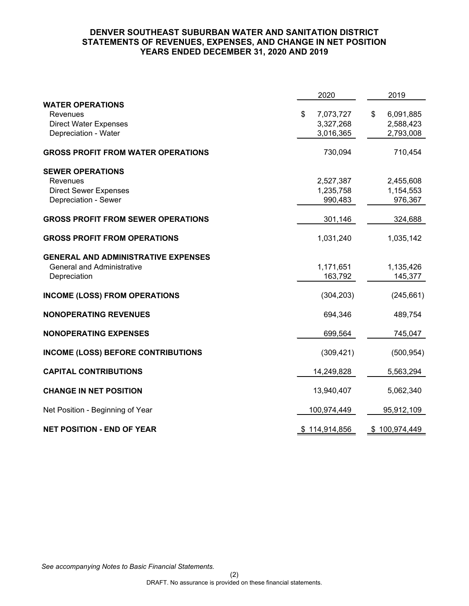# **DENVER SOUTHEAST SUBURBAN WATER AND SANITATION DISTRICT STATEMENTS OF REVENUES, EXPENSES, AND CHANGE IN NET POSITION YEARS ENDED DECEMBER 31, 2020 AND 2019**

|                                                                                                 | 2020                                      | 2019                                      |
|-------------------------------------------------------------------------------------------------|-------------------------------------------|-------------------------------------------|
| <b>WATER OPERATIONS</b><br>Revenues<br><b>Direct Water Expenses</b><br>Depreciation - Water     | \$<br>7,073,727<br>3,327,268<br>3,016,365 | 6,091,885<br>\$<br>2,588,423<br>2,793,008 |
| <b>GROSS PROFIT FROM WATER OPERATIONS</b>                                                       | 730,094                                   | 710,454                                   |
| <b>SEWER OPERATIONS</b><br>Revenues<br><b>Direct Sewer Expenses</b><br>Depreciation - Sewer     | 2,527,387<br>1,235,758<br>990,483         | 2,455,608<br>1,154,553<br>976,367         |
| <b>GROSS PROFIT FROM SEWER OPERATIONS</b>                                                       | 301,146                                   | 324,688                                   |
| <b>GROSS PROFIT FROM OPERATIONS</b>                                                             | 1,031,240                                 | 1,035,142                                 |
| <b>GENERAL AND ADMINISTRATIVE EXPENSES</b><br><b>General and Administrative</b><br>Depreciation | 1,171,651<br>163,792                      | 1,135,426<br>145,377                      |
| <b>INCOME (LOSS) FROM OPERATIONS</b>                                                            | (304, 203)                                | (245, 661)                                |
| <b>NONOPERATING REVENUES</b>                                                                    | 694,346                                   | 489,754                                   |
| <b>NONOPERATING EXPENSES</b>                                                                    | 699,564                                   | 745,047                                   |
| <b>INCOME (LOSS) BEFORE CONTRIBUTIONS</b>                                                       | (309, 421)                                | (500, 954)                                |
| <b>CAPITAL CONTRIBUTIONS</b>                                                                    | 14,249,828                                | 5,563,294                                 |
| <b>CHANGE IN NET POSITION</b>                                                                   | 13,940,407                                | 5,062,340                                 |
| Net Position - Beginning of Year                                                                | 100,974,449                               | 95,912,109                                |
| <b>NET POSITION - END OF YEAR</b>                                                               | \$114,914,856                             | \$100,974,449                             |

*See accompanying Notes to Basic Financial Statements.*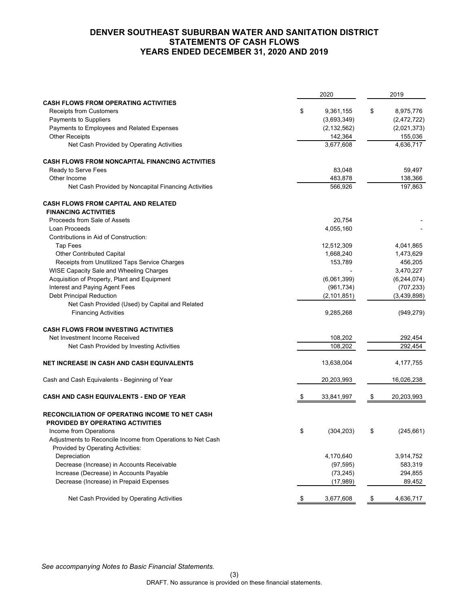# **DENVER SOUTHEAST SUBURBAN WATER AND SANITATION DISTRICT STATEMENTS OF CASH FLOWS YEARS ENDED DECEMBER 31, 2020 AND 2019**

|                                                                                                  | 2020             |               | 2019          |
|--------------------------------------------------------------------------------------------------|------------------|---------------|---------------|
| <b>CASH FLOWS FROM OPERATING ACTIVITIES</b>                                                      |                  |               |               |
| <b>Receipts from Customers</b>                                                                   | \$<br>9,361,155  | \$            | 8,975,776     |
| Payments to Suppliers                                                                            | (3,693,349)      |               | (2,472,722)   |
| Payments to Employees and Related Expenses                                                       | (2, 132, 562)    |               | (2,021,373)   |
| <b>Other Receipts</b>                                                                            | 142,364          |               | 155,036       |
| Net Cash Provided by Operating Activities                                                        | 3,677,608        |               | 4,636,717     |
| <b>CASH FLOWS FROM NONCAPITAL FINANCING ACTIVITIES</b>                                           |                  |               |               |
| Ready to Serve Fees                                                                              | 83,048           |               | 59,497        |
| Other Income                                                                                     | 483,878          |               | 138,366       |
| Net Cash Provided by Noncapital Financing Activities                                             | 566,926          |               | 197,863       |
| <b>CASH FLOWS FROM CAPITAL AND RELATED</b>                                                       |                  |               |               |
| <b>FINANCING ACTIVITIES</b>                                                                      |                  |               |               |
| Proceeds from Sale of Assets                                                                     | 20,754           |               |               |
| Loan Proceeds                                                                                    | 4,055,160        |               |               |
| Contributions in Aid of Construction:                                                            |                  |               |               |
| <b>Tap Fees</b>                                                                                  | 12,512,309       |               | 4,041,865     |
| <b>Other Contributed Capital</b>                                                                 | 1,668,240        |               | 1,473,629     |
| Receipts from Unutilized Taps Service Charges                                                    | 153,789          |               | 456,205       |
| WISE Capacity Sale and Wheeling Charges                                                          |                  |               | 3,470,227     |
| Acquisition of Property, Plant and Equipment                                                     | (6,061,399)      |               | (6, 244, 074) |
| Interest and Paying Agent Fees                                                                   | (961, 734)       |               | (707, 233)    |
| <b>Debt Principal Reduction</b>                                                                  |                  |               | (3,439,898)   |
|                                                                                                  | (2, 101, 851)    |               |               |
| Net Cash Provided (Used) by Capital and Related<br><b>Financing Activities</b>                   | 9,285,268        |               | (949, 279)    |
|                                                                                                  |                  |               |               |
| <b>CASH FLOWS FROM INVESTING ACTIVITIES</b>                                                      |                  |               |               |
| Net Investment Income Received                                                                   | 108,202          |               | 292,454       |
| Net Cash Provided by Investing Activities                                                        | 108,202          |               | 292,454       |
| <b>NET INCREASE IN CASH AND CASH EQUIVALENTS</b>                                                 | 13,638,004       |               | 4,177,755     |
| Cash and Cash Equivalents - Beginning of Year                                                    | 20,203,993       |               | 16,026,238    |
|                                                                                                  |                  |               |               |
| <b>CASH AND CASH EQUIVALENTS - END OF YEAR</b>                                                   | 33,841,997       |               | 20,203,993    |
| <b>RECONCILIATION OF OPERATING INCOME TO NET CASH</b><br><b>PROVIDED BY OPERATING ACTIVITIES</b> |                  |               |               |
| Income from Operations                                                                           | \$<br>(304, 203) | \$            | (245, 661)    |
| Adjustments to Reconcile Income from Operations to Net Cash                                      |                  |               |               |
| Provided by Operating Activities:                                                                |                  |               |               |
| Depreciation                                                                                     | 4,170,640        |               | 3,914,752     |
| Decrease (Increase) in Accounts Receivable                                                       | (97, 595)        |               | 583,319       |
| Increase (Decrease) in Accounts Payable                                                          | (73, 245)        |               | 294,855       |
| Decrease (Increase) in Prepaid Expenses                                                          | (17,989)         |               | 89,452        |
| Net Cash Provided by Operating Activities                                                        | \$<br>3,677,608  | $\frac{1}{2}$ | 4,636,717     |
|                                                                                                  |                  |               |               |

*See accompanying Notes to Basic Financial Statements.*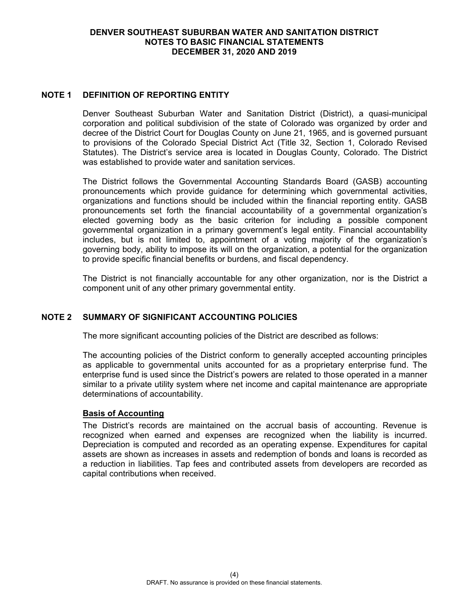# **NOTE 1 DEFINITION OF REPORTING ENTITY**

Denver Southeast Suburban Water and Sanitation District (District), a quasi-municipal corporation and political subdivision of the state of Colorado was organized by order and decree of the District Court for Douglas County on June 21, 1965, and is governed pursuant to provisions of the Colorado Special District Act (Title 32, Section 1, Colorado Revised Statutes). The District's service area is located in Douglas County, Colorado. The District was established to provide water and sanitation services.

The District follows the Governmental Accounting Standards Board (GASB) accounting pronouncements which provide guidance for determining which governmental activities, organizations and functions should be included within the financial reporting entity. GASB pronouncements set forth the financial accountability of a governmental organization's elected governing body as the basic criterion for including a possible component governmental organization in a primary government's legal entity. Financial accountability includes, but is not limited to, appointment of a voting majority of the organization's governing body, ability to impose its will on the organization, a potential for the organization to provide specific financial benefits or burdens, and fiscal dependency.

The District is not financially accountable for any other organization, nor is the District a component unit of any other primary governmental entity.

# **NOTE 2 SUMMARY OF SIGNIFICANT ACCOUNTING POLICIES**

The more significant accounting policies of the District are described as follows:

The accounting policies of the District conform to generally accepted accounting principles as applicable to governmental units accounted for as a proprietary enterprise fund. The enterprise fund is used since the District's powers are related to those operated in a manner similar to a private utility system where net income and capital maintenance are appropriate determinations of accountability.

### **Basis of Accounting**

The District's records are maintained on the accrual basis of accounting. Revenue is recognized when earned and expenses are recognized when the liability is incurred. Depreciation is computed and recorded as an operating expense. Expenditures for capital assets are shown as increases in assets and redemption of bonds and loans is recorded as a reduction in liabilities. Tap fees and contributed assets from developers are recorded as capital contributions when received.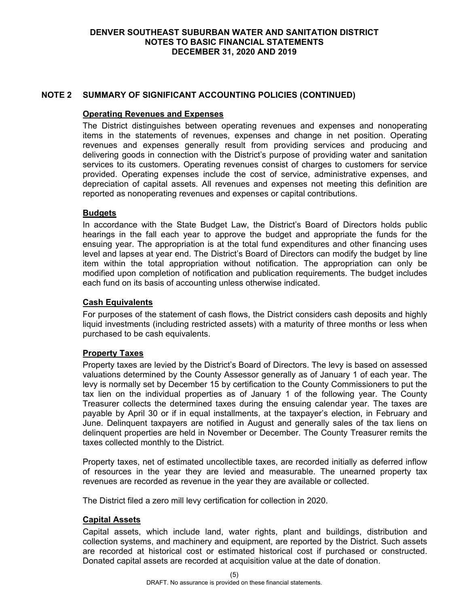# **NOTE 2 SUMMARY OF SIGNIFICANT ACCOUNTING POLICIES (CONTINUED)**

### **Operating Revenues and Expenses**

The District distinguishes between operating revenues and expenses and nonoperating items in the statements of revenues, expenses and change in net position. Operating revenues and expenses generally result from providing services and producing and delivering goods in connection with the District's purpose of providing water and sanitation services to its customers. Operating revenues consist of charges to customers for service provided. Operating expenses include the cost of service, administrative expenses, and depreciation of capital assets. All revenues and expenses not meeting this definition are reported as nonoperating revenues and expenses or capital contributions.

# **Budgets**

In accordance with the State Budget Law, the District's Board of Directors holds public hearings in the fall each year to approve the budget and appropriate the funds for the ensuing year. The appropriation is at the total fund expenditures and other financing uses level and lapses at year end. The District's Board of Directors can modify the budget by line item within the total appropriation without notification. The appropriation can only be modified upon completion of notification and publication requirements. The budget includes each fund on its basis of accounting unless otherwise indicated.

# **Cash Equivalents**

For purposes of the statement of cash flows, the District considers cash deposits and highly liquid investments (including restricted assets) with a maturity of three months or less when purchased to be cash equivalents.

# **Property Taxes**

Property taxes are levied by the District's Board of Directors. The levy is based on assessed valuations determined by the County Assessor generally as of January 1 of each year. The levy is normally set by December 15 by certification to the County Commissioners to put the tax lien on the individual properties as of January 1 of the following year. The County Treasurer collects the determined taxes during the ensuing calendar year. The taxes are payable by April 30 or if in equal installments, at the taxpayer's election, in February and June. Delinquent taxpayers are notified in August and generally sales of the tax liens on delinquent properties are held in November or December. The County Treasurer remits the taxes collected monthly to the District.

Property taxes, net of estimated uncollectible taxes, are recorded initially as deferred inflow of resources in the year they are levied and measurable. The unearned property tax revenues are recorded as revenue in the year they are available or collected.

The District filed a zero mill levy certification for collection in 2020.

### **Capital Assets**

Capital assets, which include land, water rights, plant and buildings, distribution and collection systems, and machinery and equipment, are reported by the District. Such assets are recorded at historical cost or estimated historical cost if purchased or constructed. Donated capital assets are recorded at acquisition value at the date of donation.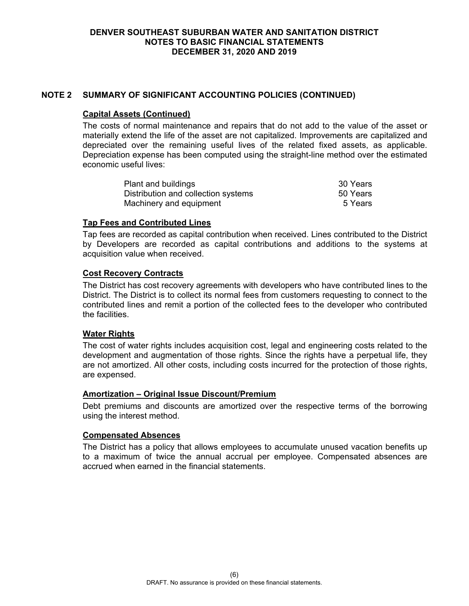# **NOTE 2 SUMMARY OF SIGNIFICANT ACCOUNTING POLICIES (CONTINUED)**

### **Capital Assets (Continued)**

The costs of normal maintenance and repairs that do not add to the value of the asset or materially extend the life of the asset are not capitalized. Improvements are capitalized and depreciated over the remaining useful lives of the related fixed assets, as applicable. Depreciation expense has been computed using the straight-line method over the estimated economic useful lives:

| Plant and buildings                 | 30 Years |
|-------------------------------------|----------|
| Distribution and collection systems | 50 Years |
| Machinery and equipment             | 5 Years  |

### **Tap Fees and Contributed Lines**

Tap fees are recorded as capital contribution when received. Lines contributed to the District by Developers are recorded as capital contributions and additions to the systems at acquisition value when received.

### **Cost Recovery Contracts**

The District has cost recovery agreements with developers who have contributed lines to the District. The District is to collect its normal fees from customers requesting to connect to the contributed lines and remit a portion of the collected fees to the developer who contributed the facilities.

### **Water Rights**

The cost of water rights includes acquisition cost, legal and engineering costs related to the development and augmentation of those rights. Since the rights have a perpetual life, they are not amortized. All other costs, including costs incurred for the protection of those rights, are expensed.

### **Amortization – Original Issue Discount/Premium**

Debt premiums and discounts are amortized over the respective terms of the borrowing using the interest method.

### **Compensated Absences**

The District has a policy that allows employees to accumulate unused vacation benefits up to a maximum of twice the annual accrual per employee. Compensated absences are accrued when earned in the financial statements.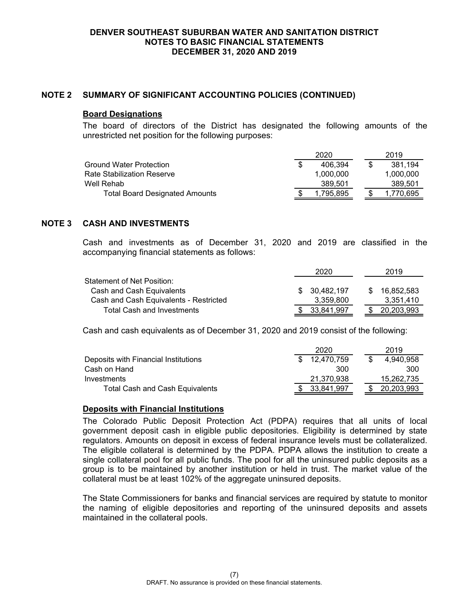## **NOTE 2 SUMMARY OF SIGNIFICANT ACCOUNTING POLICIES (CONTINUED)**

#### **Board Designations**

The board of directors of the District has designated the following amounts of the unrestricted net position for the following purposes:

|                                       | 2020      |  | 2019      |
|---------------------------------------|-----------|--|-----------|
| Ground Water Protection               | 406.394   |  | 381,194   |
| Rate Stabilization Reserve            | 1.000.000 |  | 1.000.000 |
| Well Rehab                            | 389.501   |  | 389,501   |
| <b>Total Board Designated Amounts</b> | .795.895  |  | 1.770.695 |

# **NOTE 3 CASH AND INVESTMENTS**

Cash and investments as of December 31, 2020 and 2019 are classified in the accompanying financial statements as follows:

|                                        | 2020          | 2019       |
|----------------------------------------|---------------|------------|
| Statement of Net Position:             |               |            |
| Cash and Cash Equivalents              | \$ 30,482,197 | 16.852.583 |
| Cash and Cash Equivalents - Restricted | 3.359.800     | 3.351.410  |
| <b>Total Cash and Investments</b>      | 33.841.997    | 20,203,993 |

Cash and cash equivalents as of December 31, 2020 and 2019 consist of the following:

|                                      |    | 2020       |  | 2019       |
|--------------------------------------|----|------------|--|------------|
| Deposits with Financial Institutions | S. | 12.470.759 |  | 4.940.958  |
| Cash on Hand                         |    | 300        |  | 300        |
| Investments                          |    | 21.370.938 |  | 15.262.735 |
| Total Cash and Cash Equivalents      |    | 33.841.997 |  | 20,203,993 |

### **Deposits with Financial Institutions**

The Colorado Public Deposit Protection Act (PDPA) requires that all units of local government deposit cash in eligible public depositories. Eligibility is determined by state regulators. Amounts on deposit in excess of federal insurance levels must be collateralized. The eligible collateral is determined by the PDPA. PDPA allows the institution to create a single collateral pool for all public funds. The pool for all the uninsured public deposits as a group is to be maintained by another institution or held in trust. The market value of the collateral must be at least 102% of the aggregate uninsured deposits.

The State Commissioners for banks and financial services are required by statute to monitor the naming of eligible depositories and reporting of the uninsured deposits and assets maintained in the collateral pools.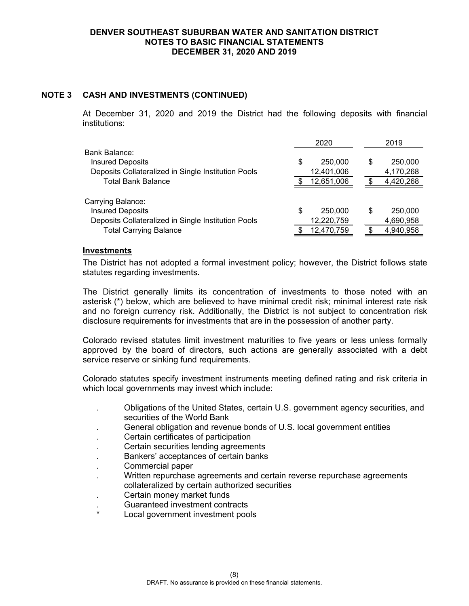# **NOTE 3 CASH AND INVESTMENTS (CONTINUED)**

At December 31, 2020 and 2019 the District had the following deposits with financial institutions:

|                                                     | 2020          |   | 2019      |
|-----------------------------------------------------|---------------|---|-----------|
| Bank Balance:                                       |               |   |           |
| <b>Insured Deposits</b>                             | \$<br>250,000 | S | 250,000   |
| Deposits Collateralized in Single Institution Pools | 12,401,006    |   | 4,170,268 |
| <b>Total Bank Balance</b>                           | 12,651,006    |   | 4,420,268 |
|                                                     |               |   |           |
| Carrying Balance:                                   |               |   |           |
| <b>Insured Deposits</b>                             | \$<br>250,000 | S | 250,000   |
| Deposits Collateralized in Single Institution Pools | 12,220,759    |   | 4,690,958 |
| <b>Total Carrying Balance</b>                       | 12,470,759    |   | 4,940,958 |

#### **Investments**

The District has not adopted a formal investment policy; however, the District follows state statutes regarding investments.

The District generally limits its concentration of investments to those noted with an asterisk (\*) below, which are believed to have minimal credit risk; minimal interest rate risk and no foreign currency risk. Additionally, the District is not subject to concentration risk disclosure requirements for investments that are in the possession of another party.

Colorado revised statutes limit investment maturities to five years or less unless formally approved by the board of directors, such actions are generally associated with a debt service reserve or sinking fund requirements.

Colorado statutes specify investment instruments meeting defined rating and risk criteria in which local governments may invest which include:

- . Obligations of the United States, certain U.S. government agency securities, and securities of the World Bank
- . General obligation and revenue bonds of U.S. local government entities
- . Certain certificates of participation
- . Certain securities lending agreements
- . Bankers' acceptances of certain banks
- . Commercial paper
- . Written repurchase agreements and certain reverse repurchase agreements collateralized by certain authorized securities
- . Certain money market funds
- . Guaranteed investment contracts
- Local government investment pools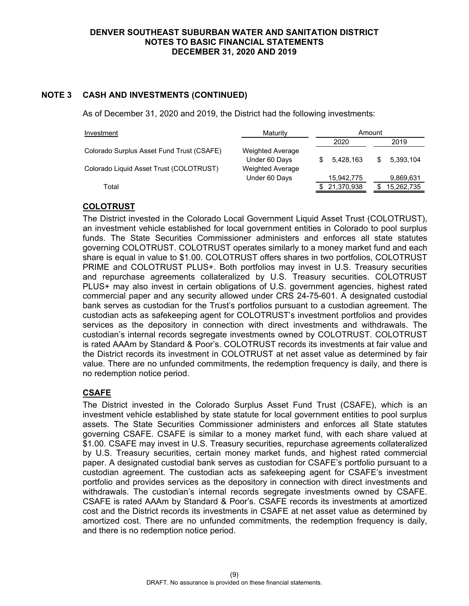# **NOTE 3 CASH AND INVESTMENTS (CONTINUED)**

As of December 31, 2020 and 2019, the District had the following investments:

| Investment                                | Maturity                                 |            | Amount |            |
|-------------------------------------------|------------------------------------------|------------|--------|------------|
|                                           |                                          | 2020       |        | 2019       |
| Colorado Surplus Asset Fund Trust (CSAFE) | <b>Weighted Average</b><br>Under 60 Days | 5.428.163  |        | 5.393.104  |
| Colorado Liquid Asset Trust (COLOTRUST)   | <b>Weighted Average</b>                  |            |        |            |
|                                           | Under 60 Days                            | 15,942,775 |        | 9,869,631  |
| Total                                     |                                          | 21,370,938 |        | 15,262,735 |

# **COLOTRUST**

The District invested in the Colorado Local Government Liquid Asset Trust (COLOTRUST), an investment vehicle established for local government entities in Colorado to pool surplus funds. The State Securities Commissioner administers and enforces all state statutes governing COLOTRUST. COLOTRUST operates similarly to a money market fund and each share is equal in value to \$1.00. COLOTRUST offers shares in two portfolios, COLOTRUST PRIME and COLOTRUST PLUS+. Both portfolios may invest in U.S. Treasury securities and repurchase agreements collateralized by U.S. Treasury securities. COLOTRUST PLUS+ may also invest in certain obligations of U.S. government agencies, highest rated commercial paper and any security allowed under CRS 24-75-601. A designated custodial bank serves as custodian for the Trust's portfolios pursuant to a custodian agreement. The custodian acts as safekeeping agent for COLOTRUST's investment portfolios and provides services as the depository in connection with direct investments and withdrawals. The custodian's internal records segregate investments owned by COLOTRUST. COLOTRUST is rated AAAm by Standard & Poor's. COLOTRUST records its investments at fair value and the District records its investment in COLOTRUST at net asset value as determined by fair value. There are no unfunded commitments, the redemption frequency is daily, and there is no redemption notice period.

# **CSAFE**

The District invested in the Colorado Surplus Asset Fund Trust (CSAFE), which is an investment vehicle established by state statute for local government entities to pool surplus assets. The State Securities Commissioner administers and enforces all State statutes governing CSAFE. CSAFE is similar to a money market fund, with each share valued at \$1.00. CSAFE may invest in U.S. Treasury securities, repurchase agreements collateralized by U.S. Treasury securities, certain money market funds, and highest rated commercial paper. A designated custodial bank serves as custodian for CSAFE's portfolio pursuant to a custodian agreement. The custodian acts as safekeeping agent for CSAFE's investment portfolio and provides services as the depository in connection with direct investments and withdrawals. The custodian's internal records segregate investments owned by CSAFE. CSAFE is rated AAAm by Standard & Poor's. CSAFE records its investments at amortized cost and the District records its investments in CSAFE at net asset value as determined by amortized cost. There are no unfunded commitments, the redemption frequency is daily, and there is no redemption notice period.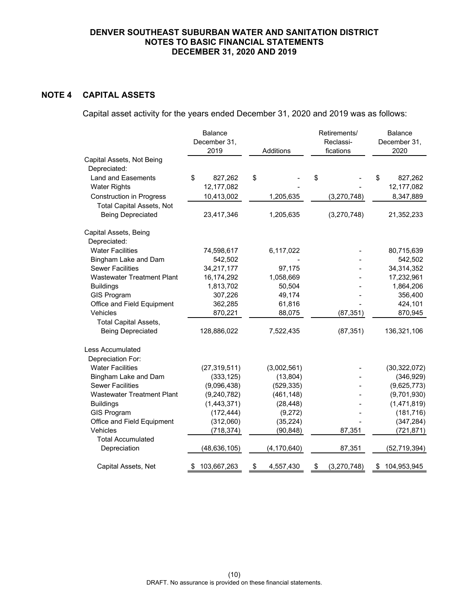# **NOTE 4 CAPITAL ASSETS**

Capital asset activity for the years ended December 31, 2020 and 2019 was as follows:

|                                           | Balance<br>December 31,<br>2019 | Additions       | Retirements/<br>Reclassi-<br>fications | Balance<br>December 31,<br>2020 |
|-------------------------------------------|---------------------------------|-----------------|----------------------------------------|---------------------------------|
| Capital Assets, Not Being                 |                                 |                 |                                        |                                 |
| Depreciated:<br><b>Land and Easements</b> | \$<br>827,262                   | \$              | \$                                     | \$<br>827,262                   |
| <b>Water Rights</b>                       | 12,177,082                      |                 |                                        | 12,177,082                      |
| <b>Construction in Progress</b>           | 10,413,002                      | 1,205,635       | (3, 270, 748)                          | 8,347,889                       |
| <b>Total Capital Assets, Not</b>          |                                 |                 |                                        |                                 |
| <b>Being Depreciated</b>                  | 23,417,346                      | 1,205,635       | (3,270,748)                            | 21,352,233                      |
| Capital Assets, Being                     |                                 |                 |                                        |                                 |
| Depreciated:                              |                                 |                 |                                        |                                 |
| <b>Water Facilities</b>                   | 74,598,617                      | 6,117,022       |                                        | 80,715,639                      |
| Bingham Lake and Dam                      | 542,502                         |                 |                                        | 542,502                         |
| <b>Sewer Facilities</b>                   | 34,217,177                      | 97,175          |                                        | 34,314,352                      |
| <b>Wastewater Treatment Plant</b>         | 16,174,292                      | 1,058,669       |                                        | 17,232,961                      |
| <b>Buildings</b>                          | 1,813,702                       | 50,504          |                                        | 1,864,206                       |
| <b>GIS Program</b>                        | 307,226                         | 49,174          |                                        | 356,400                         |
| Office and Field Equipment                | 362,285                         | 61,816          |                                        | 424,101                         |
| Vehicles                                  | 870,221                         | 88,075          | (87, 351)                              | 870,945                         |
| <b>Total Capital Assets,</b>              |                                 |                 |                                        |                                 |
| <b>Being Depreciated</b>                  | 128,886,022                     | 7,522,435       | (87, 351)                              | 136,321,106                     |
| Less Accumulated                          |                                 |                 |                                        |                                 |
| Depreciation For:                         |                                 |                 |                                        |                                 |
| <b>Water Facilities</b>                   | (27, 319, 511)                  | (3,002,561)     |                                        | (30, 322, 072)                  |
| Bingham Lake and Dam                      | (333, 125)                      | (13, 804)       |                                        | (346, 929)                      |
| <b>Sewer Facilities</b>                   | (9,096,438)                     | (529, 335)      |                                        | (9,625,773)                     |
| <b>Wastewater Treatment Plant</b>         | (9, 240, 782)                   | (461, 148)      |                                        | (9,701,930)                     |
| <b>Buildings</b>                          | (1,443,371)                     | (28, 448)       |                                        | (1,471,819)                     |
| <b>GIS Program</b>                        | (172, 444)                      | (9,272)         |                                        | (181, 716)                      |
| Office and Field Equipment                | (312,060)                       | (35, 224)       |                                        | (347, 284)                      |
| Vehicles                                  | (718, 374)                      | (90, 848)       | 87,351                                 | (721, 871)                      |
| <b>Total Accumulated</b>                  |                                 |                 |                                        |                                 |
| Depreciation                              | (48, 636, 105)                  | (4, 170, 640)   | 87,351                                 | (52,719,394)                    |
| Capital Assets, Net                       | 103,667,263<br>\$               | \$<br>4,557,430 | \$<br>(3,270,748)                      | 104,953,945<br>\$               |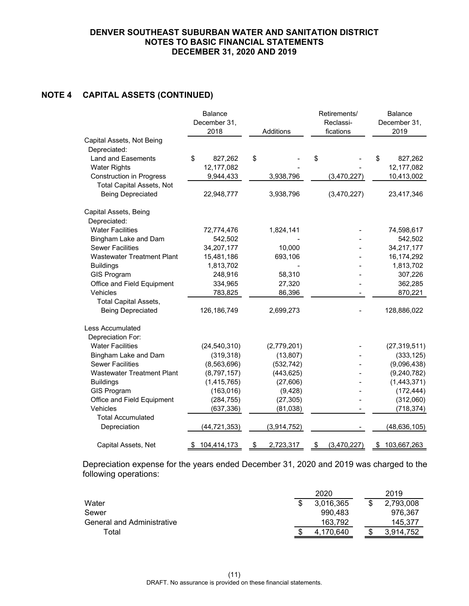# **NOTE 4 CAPITAL ASSETS (CONTINUED)**

|                                                 | <b>Balance</b><br>December 31,<br>2018 | Additions             | Retirements/<br>Reclassi-<br>fications | <b>Balance</b><br>December 31,<br>2019 |
|-------------------------------------------------|----------------------------------------|-----------------------|----------------------------------------|----------------------------------------|
| Capital Assets, Not Being<br>Depreciated:       |                                        |                       |                                        |                                        |
| <b>Land and Easements</b>                       | \$<br>827,262                          | \$                    | \$                                     | \$<br>827,262                          |
| <b>Water Rights</b>                             | 12,177,082                             |                       |                                        | 12,177,082                             |
| <b>Construction in Progress</b>                 | 9,944,433                              | 3,938,796             | (3,470,227)                            | 10,413,002                             |
| <b>Total Capital Assets, Not</b>                |                                        |                       |                                        |                                        |
| <b>Being Depreciated</b>                        | 22,948,777                             | 3,938,796             | (3,470,227)                            | 23,417,346                             |
| Capital Assets, Being                           |                                        |                       |                                        |                                        |
| Depreciated:                                    |                                        |                       |                                        |                                        |
| <b>Water Facilities</b>                         | 72,774,476                             | 1,824,141             |                                        | 74,598,617                             |
| Bingham Lake and Dam                            | 542,502                                |                       |                                        | 542,502                                |
| <b>Sewer Facilities</b>                         | 34,207,177                             | 10,000                |                                        | 34,217,177                             |
| <b>Wastewater Treatment Plant</b>               | 15,481,186                             | 693,106               |                                        | 16,174,292                             |
| <b>Buildings</b>                                | 1,813,702                              |                       |                                        | 1,813,702                              |
| <b>GIS Program</b>                              | 248,916                                | 58,310                |                                        | 307,226                                |
| Office and Field Equipment                      | 334,965                                | 27,320                |                                        | 362,285                                |
| Vehicles                                        | 783,825                                | 86,396                |                                        | 870,221                                |
| <b>Total Capital Assets,</b>                    |                                        |                       |                                        |                                        |
| <b>Being Depreciated</b>                        | 126, 186, 749                          | 2,699,273             |                                        | 128,886,022                            |
| Less Accumulated                                |                                        |                       |                                        |                                        |
| Depreciation For:                               |                                        |                       |                                        |                                        |
| <b>Water Facilities</b>                         | (24, 540, 310)                         | (2,779,201)           |                                        | (27, 319, 511)                         |
| Bingham Lake and Dam<br><b>Sewer Facilities</b> | (319, 318)                             | (13, 807)             |                                        | (333, 125)                             |
| <b>Wastewater Treatment Plant</b>               | (8, 563, 696)                          | (532, 742)            |                                        | (9,096,438)                            |
|                                                 | (8,797,157)                            | (443, 625)            |                                        | (9, 240, 782)<br>(1,443,371)           |
| <b>Buildings</b><br><b>GIS Program</b>          | (1, 415, 765)<br>(163, 016)            | (27, 606)<br>(9, 428) |                                        | (172, 444)                             |
| Office and Field Equipment                      | (284, 755)                             | (27, 305)             |                                        | (312,060)                              |
| Vehicles                                        | (637, 336)                             | (81, 038)             |                                        | (718, 374)                             |
| <b>Total Accumulated</b>                        |                                        |                       |                                        |                                        |
| Depreciation                                    | (44, 721, 353)                         | (3,914,752)           |                                        | (48, 636, 105)                         |
| Capital Assets, Net                             | 104,414,173<br>\$                      | \$<br>2,723,317       | \$<br>(3,470,227)                      | 103,667,263<br>\$                      |

Depreciation expense for the years ended December 31, 2020 and 2019 was charged to the following operations:

|                            |    | 2020      |  | 2019      |
|----------------------------|----|-----------|--|-----------|
| Water                      |    | 3,016,365 |  | 2,793,008 |
| Sewer                      |    | 990.483   |  | 976,367   |
| General and Administrative |    | 163.792   |  | 145.377   |
| Total                      | ъĐ | 4.170.640 |  | 3.914.752 |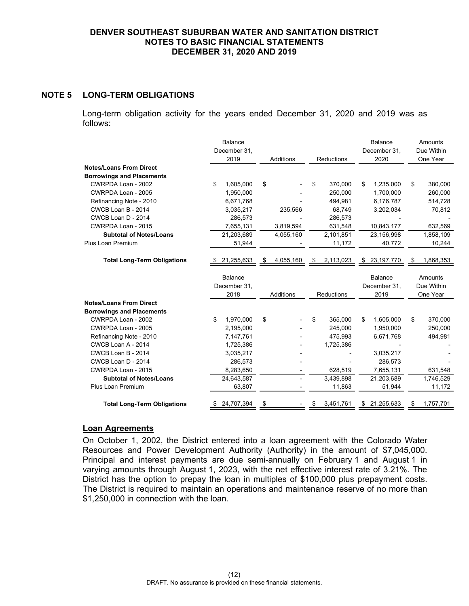# **NOTE 5 LONG-TERM OBLIGATIONS**

Long-term obligation activity for the years ended December 31, 2020 and 2019 was as follows:

|                                    | <b>Balance</b>       |                  |                 | <b>Balance</b>       | Amounts                |
|------------------------------------|----------------------|------------------|-----------------|----------------------|------------------------|
|                                    | December 31,         |                  |                 | December 31,         | Due Within             |
|                                    | 2019                 | <b>Additions</b> | Reductions      | 2020                 | One Year               |
| <b>Notes/Loans From Direct</b>     |                      |                  |                 |                      |                        |
| <b>Borrowings and Placements</b>   |                      |                  |                 |                      |                        |
| CWRPDA Loan - 2002                 | \$<br>1,605,000      | \$               | 370,000<br>\$   | \$<br>1,235,000      | \$<br>380,000          |
| CWRPDA Loan - 2005                 | 1,950,000            |                  | 250,000         | 1,700,000            | 260,000                |
| Refinancing Note - 2010            | 6,671,768            |                  | 494,981         | 6,176,787            | 514,728                |
| CWCB Loan B - 2014                 | 3,035,217            | 235,566          | 68,749          | 3,202,034            | 70,812                 |
| CWCB Loan D - 2014                 | 286,573              |                  | 286,573         |                      |                        |
| CWRPDA Loan - 2015                 | 7,655,131            | 3,819,594        | 631,548         | 10,843,177           | 632,569                |
| <b>Subtotal of Notes/Loans</b>     | 21,203,689           | 4,055,160        | 2,101,851       | 23,156,998           | 1,858,109              |
| Plus Loan Premium                  | 51,944               |                  | 11,172          | 40,772               | 10,244                 |
| <b>Total Long-Term Obligations</b> | 21,255,633           | 4,055,160<br>\$  | 2,113,023<br>\$ | \$ 23,197,770        | 1,868,353<br>\$        |
|                                    | <b>Balance</b>       |                  |                 | <b>Balance</b>       | Amounts                |
|                                    | December 31,<br>2018 | Additions        | Reductions      | December 31,<br>2019 | Due Within<br>One Year |
| <b>Notes/Loans From Direct</b>     |                      |                  |                 |                      |                        |
| <b>Borrowings and Placements</b>   |                      |                  |                 |                      |                        |
| CWRPDA Loan - 2002                 | \$<br>1,970,000      | \$               | \$<br>365,000   | 1,605,000<br>\$      | \$<br>370,000          |
| CWRPDA Loan - 2005                 | 2,195,000            |                  | 245,000         | 1,950,000            | 250,000                |
| Refinancing Note - 2010            | 7,147,761            |                  | 475,993         | 6,671,768            | 494,981                |
| CWCB Loan A - 2014                 | 1,725,386            |                  | 1,725,386       |                      |                        |
| CWCB Loan B - 2014                 | 3,035,217            |                  |                 | 3,035,217            |                        |
| CWCB Loan D - 2014                 | 286,573              |                  |                 | 286,573              |                        |
| CWRPDA Loan - 2015                 | 8,283,650            |                  | 628,519         | 7,655,131            | 631,548                |
| <b>Subtotal of Notes/Loans</b>     | 24,643,587           |                  | 3,439,898       | 21,203,689           | 1,746,529              |
| Plus Loan Premium                  | 63,807               |                  | 11,863          | 51,944               | 11,172                 |
| <b>Total Long-Term Obligations</b> | 24,707,394           | \$               | 3,451,761<br>\$ | 21,255,633<br>\$     | 1,757,701<br>\$        |

### **Loan Agreements**

On October 1, 2002, the District entered into a loan agreement with the Colorado Water Resources and Power Development Authority (Authority) in the amount of \$7,045,000. Principal and interest payments are due semi-annually on February 1 and August 1 in varying amounts through August 1, 2023, with the net effective interest rate of 3.21%. The District has the option to prepay the loan in multiples of \$100,000 plus prepayment costs. The District is required to maintain an operations and maintenance reserve of no more than \$1,250,000 in connection with the loan.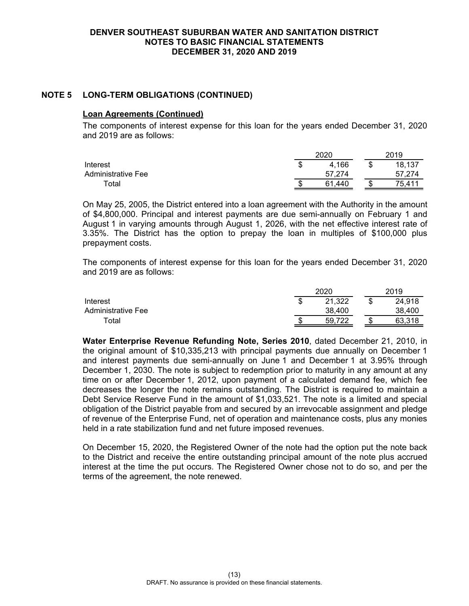# **NOTE 5 LONG-TERM OBLIGATIONS (CONTINUED)**

#### **Loan Agreements (Continued)**

The components of interest expense for this loan for the years ended December 31, 2020 and 2019 are as follows:

|                    | 2020   |   | 2019   |
|--------------------|--------|---|--------|
| Interest           | 4,166  | Œ | 18,137 |
| Administrative Fee | 57.274 |   | 57.274 |
| $\tau$ otal        | .440   |   | 75.411 |

On May 25, 2005, the District entered into a loan agreement with the Authority in the amount of \$4,800,000. Principal and interest payments are due semi-annually on February 1 and August 1 in varying amounts through August 1, 2026, with the net effective interest rate of 3.35%. The District has the option to prepay the loan in multiples of \$100,000 plus prepayment costs.

The components of interest expense for this loan for the years ended December 31, 2020 and 2019 are as follows:

|                    |   | 2020   | 2019   |
|--------------------|---|--------|--------|
| Interest           | Œ | 21,322 | 24,918 |
| Administrative Fee |   | 38,400 | 38.400 |
| ™otal              |   | .722   |        |

**Water Enterprise Revenue Refunding Note, Series 2010**, dated December 21, 2010, in the original amount of \$10,335,213 with principal payments due annually on December 1 and interest payments due semi-annually on June 1 and December 1 at 3.95% through December 1, 2030. The note is subject to redemption prior to maturity in any amount at any time on or after December 1, 2012, upon payment of a calculated demand fee, which fee decreases the longer the note remains outstanding. The District is required to maintain a Debt Service Reserve Fund in the amount of \$1,033,521. The note is a limited and special obligation of the District payable from and secured by an irrevocable assignment and pledge of revenue of the Enterprise Fund, net of operation and maintenance costs, plus any monies held in a rate stabilization fund and net future imposed revenues.

On December 15, 2020, the Registered Owner of the note had the option put the note back to the District and receive the entire outstanding principal amount of the note plus accrued interest at the time the put occurs. The Registered Owner chose not to do so, and per the terms of the agreement, the note renewed.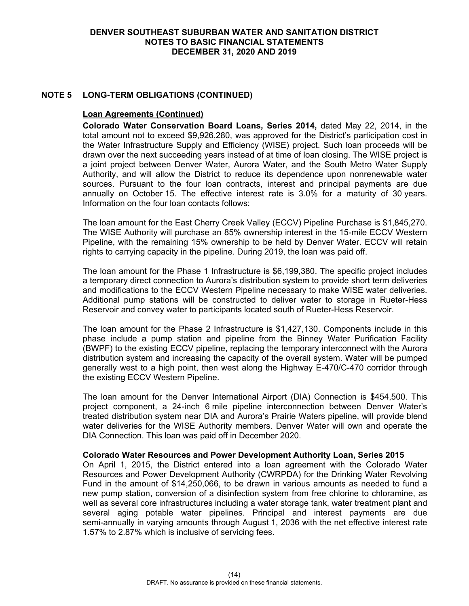# **NOTE 5 LONG-TERM OBLIGATIONS (CONTINUED)**

### **Loan Agreements (Continued)**

**Colorado Water Conservation Board Loans, Series 2014,** dated May 22, 2014, in the total amount not to exceed \$9,926,280, was approved for the District's participation cost in the Water Infrastructure Supply and Efficiency (WISE) project. Such loan proceeds will be drawn over the next succeeding years instead of at time of loan closing. The WISE project is a joint project between Denver Water, Aurora Water, and the South Metro Water Supply Authority, and will allow the District to reduce its dependence upon nonrenewable water sources. Pursuant to the four loan contracts, interest and principal payments are due annually on October 15. The effective interest rate is 3.0% for a maturity of 30 years. Information on the four loan contacts follows:

The loan amount for the East Cherry Creek Valley (ECCV) Pipeline Purchase is \$1,845,270. The WISE Authority will purchase an 85% ownership interest in the 15-mile ECCV Western Pipeline, with the remaining 15% ownership to be held by Denver Water. ECCV will retain rights to carrying capacity in the pipeline. During 2019, the loan was paid off.

The loan amount for the Phase 1 Infrastructure is \$6,199,380. The specific project includes a temporary direct connection to Aurora's distribution system to provide short term deliveries and modifications to the ECCV Western Pipeline necessary to make WISE water deliveries. Additional pump stations will be constructed to deliver water to storage in Rueter-Hess Reservoir and convey water to participants located south of Rueter-Hess Reservoir.

The loan amount for the Phase 2 Infrastructure is \$1,427,130. Components include in this phase include a pump station and pipeline from the Binney Water Purification Facility (BWPF) to the existing ECCV pipeline, replacing the temporary interconnect with the Aurora distribution system and increasing the capacity of the overall system. Water will be pumped generally west to a high point, then west along the Highway E-470/C-470 corridor through the existing ECCV Western Pipeline.

The loan amount for the Denver International Airport (DIA) Connection is \$454,500. This project component, a 24-inch 6 mile pipeline interconnection between Denver Water's treated distribution system near DIA and Aurora's Prairie Waters pipeline, will provide blend water deliveries for the WISE Authority members. Denver Water will own and operate the DIA Connection. This loan was paid off in December 2020.

#### **Colorado Water Resources and Power Development Authority Loan, Series 2015**

On April 1, 2015, the District entered into a loan agreement with the Colorado Water Resources and Power Development Authority (CWRPDA) for the Drinking Water Revolving Fund in the amount of \$14,250,066, to be drawn in various amounts as needed to fund a new pump station, conversion of a disinfection system from free chlorine to chloramine, as well as several core infrastructures including a water storage tank, water treatment plant and several aging potable water pipelines. Principal and interest payments are due semi-annually in varying amounts through August 1, 2036 with the net effective interest rate 1.57% to 2.87% which is inclusive of servicing fees.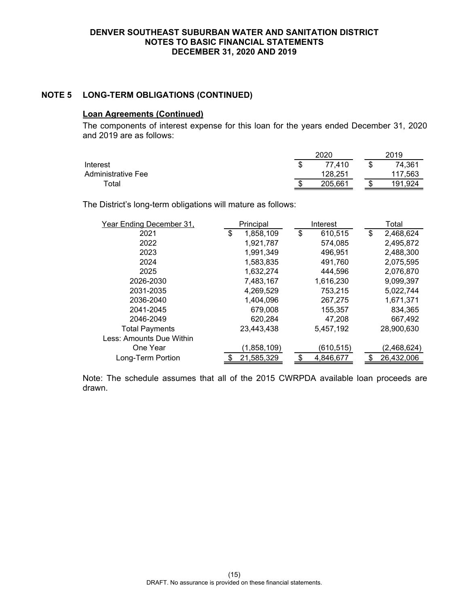# **NOTE 5 LONG-TERM OBLIGATIONS (CONTINUED)**

# **Loan Agreements (Continued)**

The components of interest expense for this loan for the years ended December 31, 2020 and 2019 are as follows:

|                    |   | 2020    | 2019    |
|--------------------|---|---------|---------|
| Interest           | Œ | 77.410  | 74.361  |
| Administrative Fee |   | 128,251 | 117,563 |
| Total              | æ | 205.661 | 191.924 |

The District's long-term obligations will mature as follows:

| Year Ending December 31, | Principal       | Interest      | Total           |
|--------------------------|-----------------|---------------|-----------------|
| 2021                     | \$<br>1,858,109 | \$<br>610,515 | \$<br>2,468,624 |
| 2022                     | 1,921,787       | 574,085       | 2,495,872       |
| 2023                     | 1,991,349       | 496,951       | 2,488,300       |
| 2024                     | 1,583,835       | 491,760       | 2,075,595       |
| 2025                     | 1,632,274       | 444,596       | 2,076,870       |
| 2026-2030                | 7,483,167       | 1,616,230     | 9,099,397       |
| 2031-2035                | 4,269,529       | 753,215       | 5,022,744       |
| 2036-2040                | 1,404,096       | 267,275       | 1,671,371       |
| 2041-2045                | 679,008         | 155,357       | 834,365         |
| 2046-2049                | 620,284         | 47,208        | 667,492         |
| <b>Total Payments</b>    | 23,443,438      | 5,457,192     | 28,900,630      |
| Less: Amounts Due Within |                 |               |                 |
| One Year                 | (1,858,109)     | (610, 515)    | (2,468,624)     |
| Long-Term Portion        | 21,585,329      | 4,846,677     | 26,432,006      |

Note: The schedule assumes that all of the 2015 CWRPDA available loan proceeds are drawn.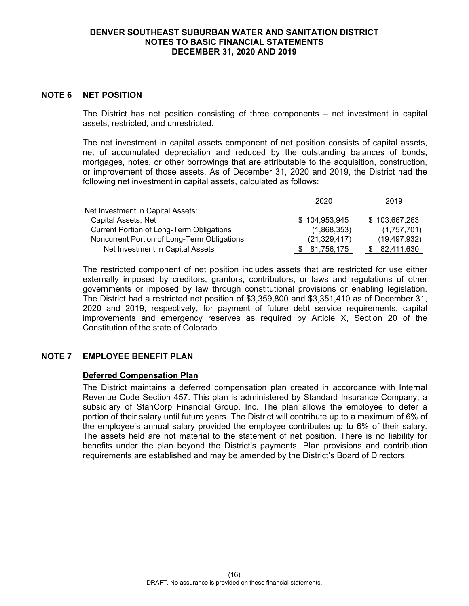#### **NOTE 6 NET POSITION**

The District has net position consisting of three components – net investment in capital assets, restricted, and unrestricted.

The net investment in capital assets component of net position consists of capital assets, net of accumulated depreciation and reduced by the outstanding balances of bonds, mortgages, notes, or other borrowings that are attributable to the acquisition, construction, or improvement of those assets. As of December 31, 2020 and 2019, the District had the following net investment in capital assets, calculated as follows:

|                                                 | 2020           | 2019          |
|-------------------------------------------------|----------------|---------------|
| Net Investment in Capital Assets:               |                |               |
| Capital Assets, Net                             | \$104,953,945  | \$103,667,263 |
| <b>Current Portion of Long-Term Obligations</b> | (1,868,353)    | (1,757,701)   |
| Noncurrent Portion of Long-Term Obligations     | (21, 329, 417) | (19,497,932)  |
| Net Investment in Capital Assets                | 81,756,175     | 82,411,630    |

The restricted component of net position includes assets that are restricted for use either externally imposed by creditors, grantors, contributors, or laws and regulations of other governments or imposed by law through constitutional provisions or enabling legislation. The District had a restricted net position of \$3,359,800 and \$3,351,410 as of December 31, 2020 and 2019, respectively, for payment of future debt service requirements, capital improvements and emergency reserves as required by Article X, Section 20 of the Constitution of the state of Colorado.

### **NOTE 7 EMPLOYEE BENEFIT PLAN**

### **Deferred Compensation Plan**

The District maintains a deferred compensation plan created in accordance with Internal Revenue Code Section 457. This plan is administered by Standard Insurance Company, a subsidiary of StanCorp Financial Group, Inc. The plan allows the employee to defer a portion of their salary until future years. The District will contribute up to a maximum of 6% of the employee's annual salary provided the employee contributes up to 6% of their salary. The assets held are not material to the statement of net position. There is no liability for benefits under the plan beyond the District's payments. Plan provisions and contribution requirements are established and may be amended by the District's Board of Directors.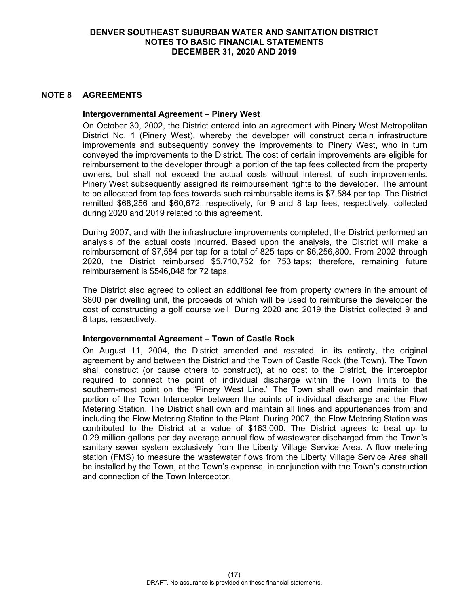#### **NOTE 8 AGREEMENTS**

#### **Intergovernmental Agreement – Pinery West**

On October 30, 2002, the District entered into an agreement with Pinery West Metropolitan District No. 1 (Pinery West), whereby the developer will construct certain infrastructure improvements and subsequently convey the improvements to Pinery West, who in turn conveyed the improvements to the District. The cost of certain improvements are eligible for reimbursement to the developer through a portion of the tap fees collected from the property owners, but shall not exceed the actual costs without interest, of such improvements. Pinery West subsequently assigned its reimbursement rights to the developer. The amount to be allocated from tap fees towards such reimbursable items is \$7,584 per tap. The District remitted \$68,256 and \$60,672, respectively, for 9 and 8 tap fees, respectively, collected during 2020 and 2019 related to this agreement.

During 2007, and with the infrastructure improvements completed, the District performed an analysis of the actual costs incurred. Based upon the analysis, the District will make a reimbursement of \$7,584 per tap for a total of 825 taps or \$6,256,800. From 2002 through 2020, the District reimbursed \$5,710,752 for 753 taps; therefore, remaining future reimbursement is \$546,048 for 72 taps.

The District also agreed to collect an additional fee from property owners in the amount of \$800 per dwelling unit, the proceeds of which will be used to reimburse the developer the cost of constructing a golf course well. During 2020 and 2019 the District collected 9 and 8 taps, respectively.

### **Intergovernmental Agreement – Town of Castle Rock**

On August 11, 2004, the District amended and restated, in its entirety, the original agreement by and between the District and the Town of Castle Rock (the Town). The Town shall construct (or cause others to construct), at no cost to the District, the interceptor required to connect the point of individual discharge within the Town limits to the southern-most point on the "Pinery West Line." The Town shall own and maintain that portion of the Town Interceptor between the points of individual discharge and the Flow Metering Station. The District shall own and maintain all lines and appurtenances from and including the Flow Metering Station to the Plant. During 2007, the Flow Metering Station was contributed to the District at a value of \$163,000. The District agrees to treat up to 0.29 million gallons per day average annual flow of wastewater discharged from the Town's sanitary sewer system exclusively from the Liberty Village Service Area. A flow metering station (FMS) to measure the wastewater flows from the Liberty Village Service Area shall be installed by the Town, at the Town's expense, in conjunction with the Town's construction and connection of the Town Interceptor.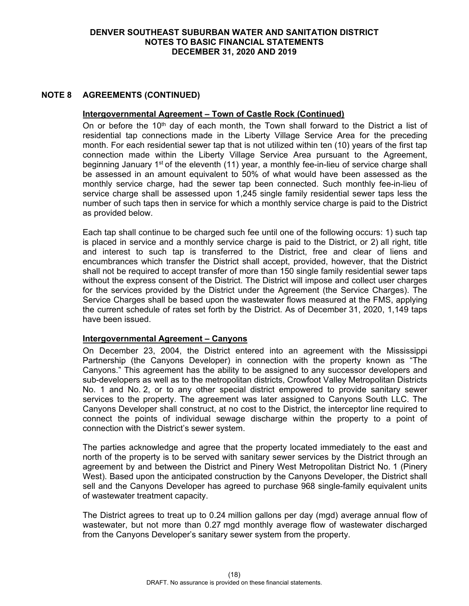# **NOTE 8 AGREEMENTS (CONTINUED)**

#### **Intergovernmental Agreement – Town of Castle Rock (Continued)**

On or before the 10<sup>th</sup> day of each month, the Town shall forward to the District a list of residential tap connections made in the Liberty Village Service Area for the preceding month. For each residential sewer tap that is not utilized within ten (10) years of the first tap connection made within the Liberty Village Service Area pursuant to the Agreement, beginning January 1<sup>st</sup> of the eleventh (11) year, a monthly fee-in-lieu of service charge shall be assessed in an amount equivalent to 50% of what would have been assessed as the monthly service charge, had the sewer tap been connected. Such monthly fee-in-lieu of service charge shall be assessed upon 1,245 single family residential sewer taps less the number of such taps then in service for which a monthly service charge is paid to the District as provided below.

Each tap shall continue to be charged such fee until one of the following occurs: 1) such tap is placed in service and a monthly service charge is paid to the District, or 2) all right, title and interest to such tap is transferred to the District, free and clear of liens and encumbrances which transfer the District shall accept, provided, however, that the District shall not be required to accept transfer of more than 150 single family residential sewer taps without the express consent of the District. The District will impose and collect user charges for the services provided by the District under the Agreement (the Service Charges). The Service Charges shall be based upon the wastewater flows measured at the FMS, applying the current schedule of rates set forth by the District. As of December 31, 2020, 1,149 taps have been issued.

### **Intergovernmental Agreement – Canyons**

On December 23, 2004, the District entered into an agreement with the Mississippi Partnership (the Canyons Developer) in connection with the property known as "The Canyons." This agreement has the ability to be assigned to any successor developers and sub-developers as well as to the metropolitan districts, Crowfoot Valley Metropolitan Districts No. 1 and No. 2, or to any other special district empowered to provide sanitary sewer services to the property. The agreement was later assigned to Canyons South LLC. The Canyons Developer shall construct, at no cost to the District, the interceptor line required to connect the points of individual sewage discharge within the property to a point of connection with the District's sewer system.

The parties acknowledge and agree that the property located immediately to the east and north of the property is to be served with sanitary sewer services by the District through an agreement by and between the District and Pinery West Metropolitan District No. 1 (Pinery West). Based upon the anticipated construction by the Canyons Developer, the District shall sell and the Canyons Developer has agreed to purchase 968 single-family equivalent units of wastewater treatment capacity.

The District agrees to treat up to 0.24 million gallons per day (mgd) average annual flow of wastewater, but not more than 0.27 mgd monthly average flow of wastewater discharged from the Canyons Developer's sanitary sewer system from the property.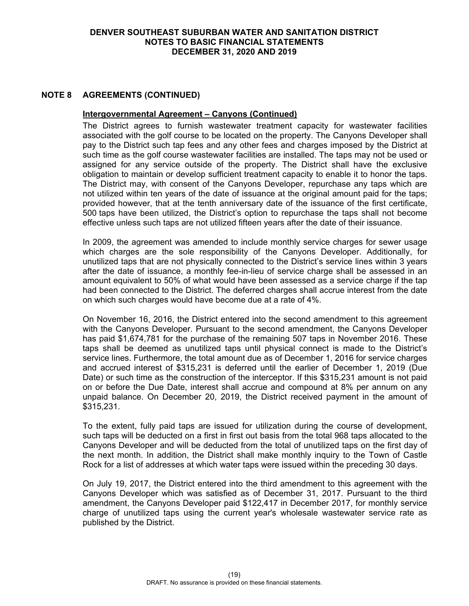## **NOTE 8 AGREEMENTS (CONTINUED)**

#### **Intergovernmental Agreement – Canyons (Continued)**

The District agrees to furnish wastewater treatment capacity for wastewater facilities associated with the golf course to be located on the property. The Canyons Developer shall pay to the District such tap fees and any other fees and charges imposed by the District at such time as the golf course wastewater facilities are installed. The taps may not be used or assigned for any service outside of the property. The District shall have the exclusive obligation to maintain or develop sufficient treatment capacity to enable it to honor the taps. The District may, with consent of the Canyons Developer, repurchase any taps which are not utilized within ten years of the date of issuance at the original amount paid for the taps; provided however, that at the tenth anniversary date of the issuance of the first certificate, 500 taps have been utilized, the District's option to repurchase the taps shall not become effective unless such taps are not utilized fifteen years after the date of their issuance.

In 2009, the agreement was amended to include monthly service charges for sewer usage which charges are the sole responsibility of the Canyons Developer. Additionally, for unutilized taps that are not physically connected to the District's service lines within 3 years after the date of issuance, a monthly fee-in-lieu of service charge shall be assessed in an amount equivalent to 50% of what would have been assessed as a service charge if the tap had been connected to the District. The deferred charges shall accrue interest from the date on which such charges would have become due at a rate of 4%.

On November 16, 2016, the District entered into the second amendment to this agreement with the Canyons Developer. Pursuant to the second amendment, the Canyons Developer has paid \$1,674,781 for the purchase of the remaining 507 taps in November 2016. These taps shall be deemed as unutilized taps until physical connect is made to the District's service lines. Furthermore, the total amount due as of December 1, 2016 for service charges and accrued interest of \$315,231 is deferred until the earlier of December 1, 2019 (Due Date) or such time as the construction of the interceptor. If this \$315,231 amount is not paid on or before the Due Date, interest shall accrue and compound at 8% per annum on any unpaid balance. On December 20, 2019, the District received payment in the amount of \$315,231.

To the extent, fully paid taps are issued for utilization during the course of development, such taps will be deducted on a first in first out basis from the total 968 taps allocated to the Canyons Developer and will be deducted from the total of unutilized taps on the first day of the next month. In addition, the District shall make monthly inquiry to the Town of Castle Rock for a list of addresses at which water taps were issued within the preceding 30 days.

On July 19, 2017, the District entered into the third amendment to this agreement with the Canyons Developer which was satisfied as of December 31, 2017. Pursuant to the third amendment, the Canyons Developer paid \$122,417 in December 2017, for monthly service charge of unutilized taps using the current year's wholesale wastewater service rate as published by the District.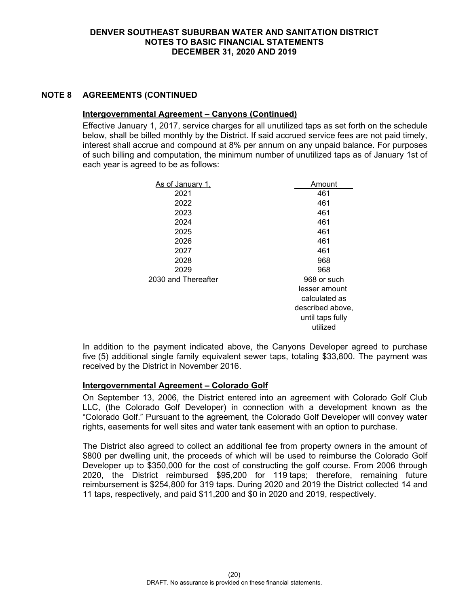# **NOTE 8 AGREEMENTS (CONTINUED**

### **Intergovernmental Agreement – Canyons (Continued)**

Effective January 1, 2017, service charges for all unutilized taps as set forth on the schedule below, shall be billed monthly by the District. If said accrued service fees are not paid timely, interest shall accrue and compound at 8% per annum on any unpaid balance. For purposes of such billing and computation, the minimum number of unutilized taps as of January 1st of each year is agreed to be as follows:

| As of January 1,    | Amount                                           |
|---------------------|--------------------------------------------------|
| 2021                | 461                                              |
| 2022                | 461                                              |
| 2023                | 461                                              |
| 2024                | 461                                              |
| 2025                | 461                                              |
| 2026                | 461                                              |
| 2027                | 461                                              |
| 2028                | 968                                              |
| 2029                | 968                                              |
| 2030 and Thereafter | 968 or such                                      |
|                     | lesser amount                                    |
|                     | calculated as                                    |
|                     | described above,<br>until taps fully<br>utilized |
|                     |                                                  |

In addition to the payment indicated above, the Canyons Developer agreed to purchase five (5) additional single family equivalent sewer taps, totaling \$33,800. The payment was received by the District in November 2016.

### **Intergovernmental Agreement – Colorado Golf**

On September 13, 2006, the District entered into an agreement with Colorado Golf Club LLC, (the Colorado Golf Developer) in connection with a development known as the "Colorado Golf." Pursuant to the agreement, the Colorado Golf Developer will convey water rights, easements for well sites and water tank easement with an option to purchase.

The District also agreed to collect an additional fee from property owners in the amount of \$800 per dwelling unit, the proceeds of which will be used to reimburse the Colorado Golf Developer up to \$350,000 for the cost of constructing the golf course. From 2006 through 2020, the District reimbursed \$95,200 for 119 taps; therefore, remaining future reimbursement is \$254,800 for 319 taps. During 2020 and 2019 the District collected 14 and 11 taps, respectively, and paid \$11,200 and \$0 in 2020 and 2019, respectively.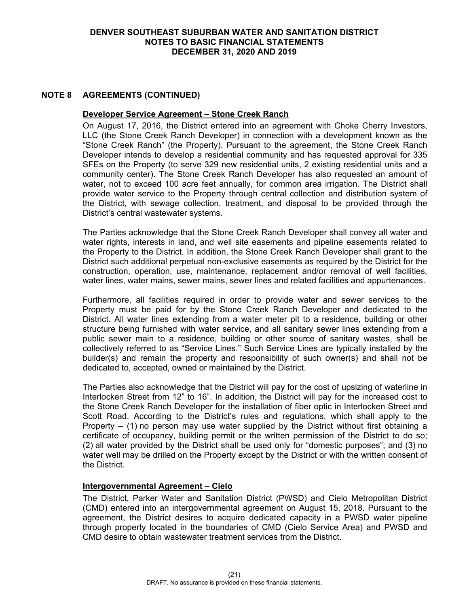## **NOTE 8 AGREEMENTS (CONTINUED)**

### **Developer Service Agreement – Stone Creek Ranch**

On August 17, 2016, the District entered into an agreement with Choke Cherry Investors, LLC (the Stone Creek Ranch Developer) in connection with a development known as the "Stone Creek Ranch" (the Property). Pursuant to the agreement, the Stone Creek Ranch Developer intends to develop a residential community and has requested approval for 335 SFEs on the Property (to serve 329 new residential units, 2 existing residential units and a community center). The Stone Creek Ranch Developer has also requested an amount of water, not to exceed 100 acre feet annually, for common area irrigation. The District shall provide water service to the Property through central collection and distribution system of the District, with sewage collection, treatment, and disposal to be provided through the District's central wastewater systems.

The Parties acknowledge that the Stone Creek Ranch Developer shall convey all water and water rights, interests in land, and well site easements and pipeline easements related to the Property to the District. In addition, the Stone Creek Ranch Developer shall grant to the District such additional perpetual non-exclusive easements as required by the District for the construction, operation, use, maintenance, replacement and/or removal of well facilities, water lines, water mains, sewer mains, sewer lines and related facilities and appurtenances.

Furthermore, all facilities required in order to provide water and sewer services to the Property must be paid for by the Stone Creek Ranch Developer and dedicated to the District. All water lines extending from a water meter pit to a residence, building or other structure being furnished with water service, and all sanitary sewer lines extending from a public sewer main to a residence, building or other source of sanitary wastes, shall be collectively referred to as "Service Lines." Such Service Lines are typically installed by the builder(s) and remain the property and responsibility of such owner(s) and shall not be dedicated to, accepted, owned or maintained by the District.

The Parties also acknowledge that the District will pay for the cost of upsizing of waterline in Interlocken Street from 12" to 16". In addition, the District will pay for the increased cost to the Stone Creek Ranch Developer for the installation of fiber optic in Interlocken Street and Scott Road. According to the District's rules and regulations, which shall apply to the Property  $-$  (1) no person may use water supplied by the District without first obtaining a certificate of occupancy, building permit or the written permission of the District to do so; (2) all water provided by the District shall be used only for "domestic purposes"; and (3) no water well may be drilled on the Property except by the District or with the written consent of the District.

### **Intergovernmental Agreement – Cielo**

The District, Parker Water and Sanitation District (PWSD) and Cielo Metropolitan District (CMD) entered into an intergovernmental agreement on August 15, 2018. Pursuant to the agreement, the District desires to acquire dedicated capacity in a PWSD water pipeline through property located in the boundaries of CMD (Cielo Service Area) and PWSD and CMD desire to obtain wastewater treatment services from the District.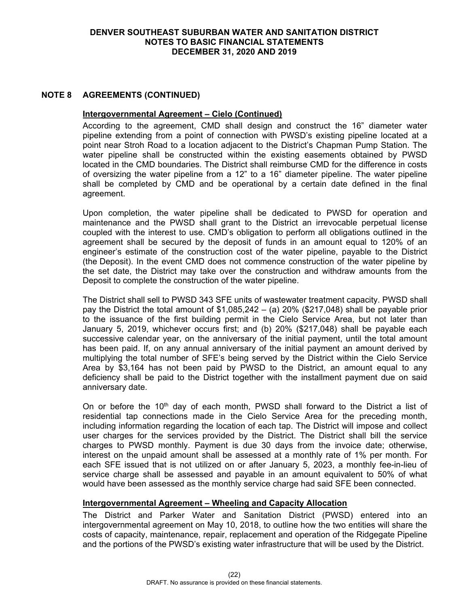# **NOTE 8 AGREEMENTS (CONTINUED)**

### **Intergovernmental Agreement – Cielo (Continued)**

According to the agreement, CMD shall design and construct the 16" diameter water pipeline extending from a point of connection with PWSD's existing pipeline located at a point near Stroh Road to a location adjacent to the District's Chapman Pump Station. The water pipeline shall be constructed within the existing easements obtained by PWSD located in the CMD boundaries. The District shall reimburse CMD for the difference in costs of oversizing the water pipeline from a 12" to a 16" diameter pipeline. The water pipeline shall be completed by CMD and be operational by a certain date defined in the final agreement.

Upon completion, the water pipeline shall be dedicated to PWSD for operation and maintenance and the PWSD shall grant to the District an irrevocable perpetual license coupled with the interest to use. CMD's obligation to perform all obligations outlined in the agreement shall be secured by the deposit of funds in an amount equal to 120% of an engineer's estimate of the construction cost of the water pipeline, payable to the District (the Deposit). In the event CMD does not commence construction of the water pipeline by the set date, the District may take over the construction and withdraw amounts from the Deposit to complete the construction of the water pipeline.

The District shall sell to PWSD 343 SFE units of wastewater treatment capacity. PWSD shall pay the District the total amount of \$1,085,242 – (a) 20% (\$217,048) shall be payable prior to the issuance of the first building permit in the Cielo Service Area, but not later than January 5, 2019, whichever occurs first; and (b) 20% (\$217,048) shall be payable each successive calendar year, on the anniversary of the initial payment, until the total amount has been paid. If, on any annual anniversary of the initial payment an amount derived by multiplying the total number of SFE's being served by the District within the Cielo Service Area by \$3,164 has not been paid by PWSD to the District, an amount equal to any deficiency shall be paid to the District together with the installment payment due on said anniversary date.

On or before the 10<sup>th</sup> day of each month, PWSD shall forward to the District a list of residential tap connections made in the Cielo Service Area for the preceding month, including information regarding the location of each tap. The District will impose and collect user charges for the services provided by the District. The District shall bill the service charges to PWSD monthly. Payment is due 30 days from the invoice date; otherwise, interest on the unpaid amount shall be assessed at a monthly rate of 1% per month. For each SFE issued that is not utilized on or after January 5, 2023, a monthly fee-in-lieu of service charge shall be assessed and payable in an amount equivalent to 50% of what would have been assessed as the monthly service charge had said SFE been connected.

### **Intergovernmental Agreement – Wheeling and Capacity Allocation**

The District and Parker Water and Sanitation District (PWSD) entered into an intergovernmental agreement on May 10, 2018, to outline how the two entities will share the costs of capacity, maintenance, repair, replacement and operation of the Ridgegate Pipeline and the portions of the PWSD's existing water infrastructure that will be used by the District.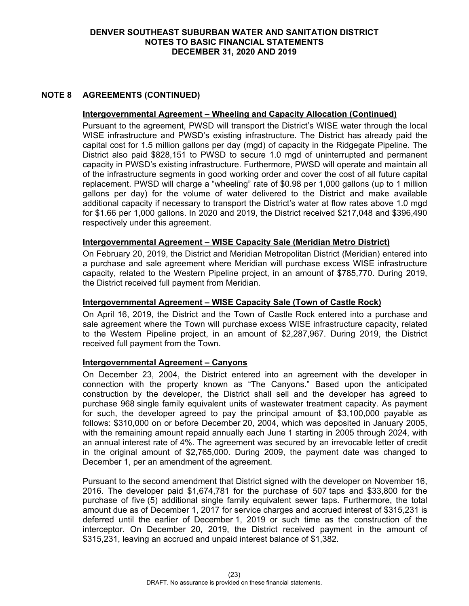# **NOTE 8 AGREEMENTS (CONTINUED)**

#### **Intergovernmental Agreement – Wheeling and Capacity Allocation (Continued)**

Pursuant to the agreement, PWSD will transport the District's WISE water through the local WISE infrastructure and PWSD's existing infrastructure. The District has already paid the capital cost for 1.5 million gallons per day (mgd) of capacity in the Ridgegate Pipeline. The District also paid \$828,151 to PWSD to secure 1.0 mgd of uninterrupted and permanent capacity in PWSD's existing infrastructure. Furthermore, PWSD will operate and maintain all of the infrastructure segments in good working order and cover the cost of all future capital replacement. PWSD will charge a "wheeling" rate of \$0.98 per 1,000 gallons (up to 1 million gallons per day) for the volume of water delivered to the District and make available additional capacity if necessary to transport the District's water at flow rates above 1.0 mgd for \$1.66 per 1,000 gallons. In 2020 and 2019, the District received \$217,048 and \$396,490 respectively under this agreement.

### **Intergovernmental Agreement – WISE Capacity Sale (Meridian Metro District)**

On February 20, 2019, the District and Meridian Metropolitan District (Meridian) entered into a purchase and sale agreement where Meridian will purchase excess WISE infrastructure capacity, related to the Western Pipeline project, in an amount of \$785,770. During 2019, the District received full payment from Meridian.

# **Intergovernmental Agreement – WISE Capacity Sale (Town of Castle Rock)**

On April 16, 2019, the District and the Town of Castle Rock entered into a purchase and sale agreement where the Town will purchase excess WISE infrastructure capacity, related to the Western Pipeline project, in an amount of \$2,287,967. During 2019, the District received full payment from the Town.

### **Intergovernmental Agreement – Canyons**

On December 23, 2004, the District entered into an agreement with the developer in connection with the property known as "The Canyons." Based upon the anticipated construction by the developer, the District shall sell and the developer has agreed to purchase 968 single family equivalent units of wastewater treatment capacity. As payment for such, the developer agreed to pay the principal amount of \$3,100,000 payable as follows: \$310,000 on or before December 20, 2004, which was deposited in January 2005, with the remaining amount repaid annually each June 1 starting in 2005 through 2024, with an annual interest rate of 4%. The agreement was secured by an irrevocable letter of credit in the original amount of \$2,765,000. During 2009, the payment date was changed to December 1, per an amendment of the agreement.

Pursuant to the second amendment that District signed with the developer on November 16, 2016. The developer paid \$1,674,781 for the purchase of 507 taps and \$33,800 for the purchase of five (5) additional single family equivalent sewer taps. Furthermore, the total amount due as of December 1, 2017 for service charges and accrued interest of \$315,231 is deferred until the earlier of December 1, 2019 or such time as the construction of the interceptor. On December 20, 2019, the District received payment in the amount of \$315,231, leaving an accrued and unpaid interest balance of \$1,382.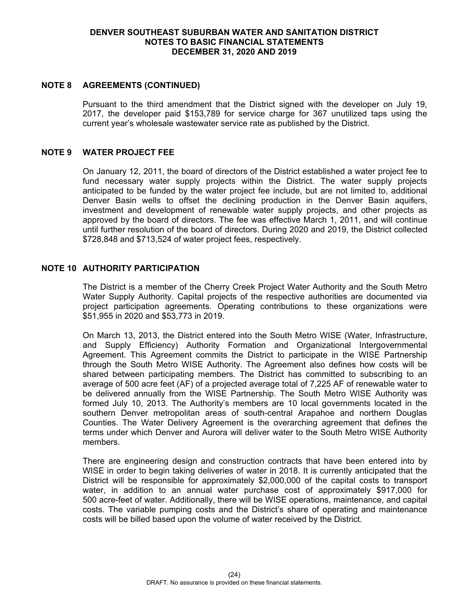# **DENVER SOUTHEAST SUBURBAN WATER AND SANITATION DISTRICT NOTES TO BASIC FINANCIAL STATEMENTS DECEMBER 31, 2020 AND 2019**

# **NOTE 8 AGREEMENTS (CONTINUED)**

Pursuant to the third amendment that the District signed with the developer on July 19, 2017, the developer paid \$153,789 for service charge for 367 unutilized taps using the current year's wholesale wastewater service rate as published by the District.

# **NOTE 9 WATER PROJECT FEE**

On January 12, 2011, the board of directors of the District established a water project fee to fund necessary water supply projects within the District. The water supply projects anticipated to be funded by the water project fee include, but are not limited to, additional Denver Basin wells to offset the declining production in the Denver Basin aquifers, investment and development of renewable water supply projects, and other projects as approved by the board of directors. The fee was effective March 1, 2011, and will continue until further resolution of the board of directors. During 2020 and 2019, the District collected \$728,848 and \$713,524 of water project fees, respectively.

## **NOTE 10 AUTHORITY PARTICIPATION**

The District is a member of the Cherry Creek Project Water Authority and the South Metro Water Supply Authority. Capital projects of the respective authorities are documented via project participation agreements. Operating contributions to these organizations were \$51,955 in 2020 and \$53,773 in 2019.

On March 13, 2013, the District entered into the South Metro WISE (Water, Infrastructure, and Supply Efficiency) Authority Formation and Organizational Intergovernmental Agreement. This Agreement commits the District to participate in the WISE Partnership through the South Metro WISE Authority. The Agreement also defines how costs will be shared between participating members. The District has committed to subscribing to an average of 500 acre feet (AF) of a projected average total of 7,225 AF of renewable water to be delivered annually from the WISE Partnership. The South Metro WISE Authority was formed July 10, 2013. The Authority's members are 10 local governments located in the southern Denver metropolitan areas of south-central Arapahoe and northern Douglas Counties. The Water Delivery Agreement is the overarching agreement that defines the terms under which Denver and Aurora will deliver water to the South Metro WISE Authority members.

There are engineering design and construction contracts that have been entered into by WISE in order to begin taking deliveries of water in 2018. It is currently anticipated that the District will be responsible for approximately \$2,000,000 of the capital costs to transport water, in addition to an annual water purchase cost of approximately \$917,000 for 500 acre-feet of water. Additionally, there will be WISE operations, maintenance, and capital costs. The variable pumping costs and the District's share of operating and maintenance costs will be billed based upon the volume of water received by the District.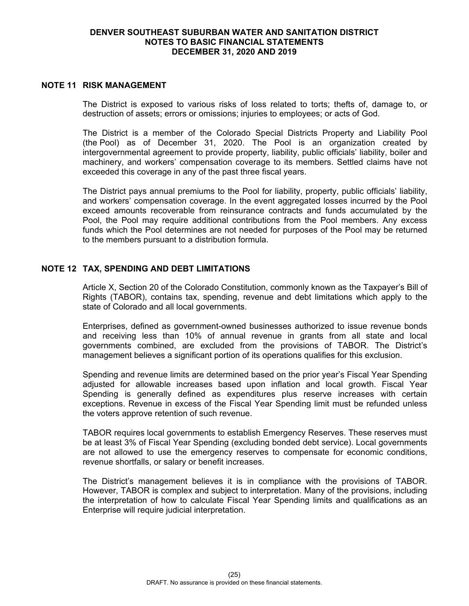# **DENVER SOUTHEAST SUBURBAN WATER AND SANITATION DISTRICT NOTES TO BASIC FINANCIAL STATEMENTS DECEMBER 31, 2020 AND 2019**

# **NOTE 11 RISK MANAGEMENT**

The District is exposed to various risks of loss related to torts; thefts of, damage to, or destruction of assets; errors or omissions; injuries to employees; or acts of God.

The District is a member of the Colorado Special Districts Property and Liability Pool (the Pool) as of December 31, 2020. The Pool is an organization created by intergovernmental agreement to provide property, liability, public officials' liability, boiler and machinery, and workers' compensation coverage to its members. Settled claims have not exceeded this coverage in any of the past three fiscal years.

The District pays annual premiums to the Pool for liability, property, public officials' liability, and workers' compensation coverage. In the event aggregated losses incurred by the Pool exceed amounts recoverable from reinsurance contracts and funds accumulated by the Pool, the Pool may require additional contributions from the Pool members. Any excess funds which the Pool determines are not needed for purposes of the Pool may be returned to the members pursuant to a distribution formula.

# **NOTE 12 TAX, SPENDING AND DEBT LIMITATIONS**

Article X, Section 20 of the Colorado Constitution, commonly known as the Taxpayer's Bill of Rights (TABOR), contains tax, spending, revenue and debt limitations which apply to the state of Colorado and all local governments.

Enterprises, defined as government-owned businesses authorized to issue revenue bonds and receiving less than 10% of annual revenue in grants from all state and local governments combined, are excluded from the provisions of TABOR. The District's management believes a significant portion of its operations qualifies for this exclusion.

Spending and revenue limits are determined based on the prior year's Fiscal Year Spending adjusted for allowable increases based upon inflation and local growth. Fiscal Year Spending is generally defined as expenditures plus reserve increases with certain exceptions. Revenue in excess of the Fiscal Year Spending limit must be refunded unless the voters approve retention of such revenue.

TABOR requires local governments to establish Emergency Reserves. These reserves must be at least 3% of Fiscal Year Spending (excluding bonded debt service). Local governments are not allowed to use the emergency reserves to compensate for economic conditions, revenue shortfalls, or salary or benefit increases.

The District's management believes it is in compliance with the provisions of TABOR. However, TABOR is complex and subject to interpretation. Many of the provisions, including the interpretation of how to calculate Fiscal Year Spending limits and qualifications as an Enterprise will require judicial interpretation.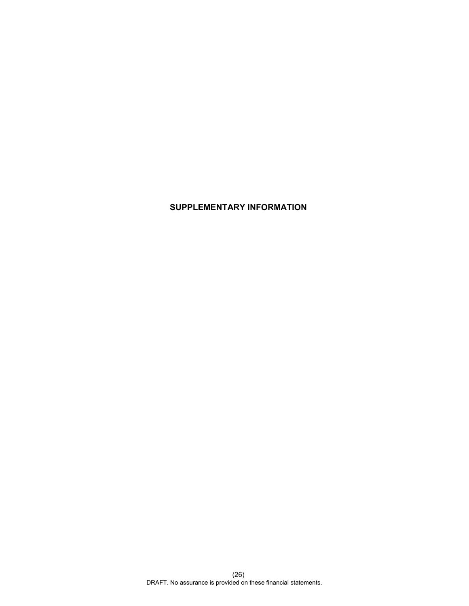# **SUPPLEMENTARY INFORMATION**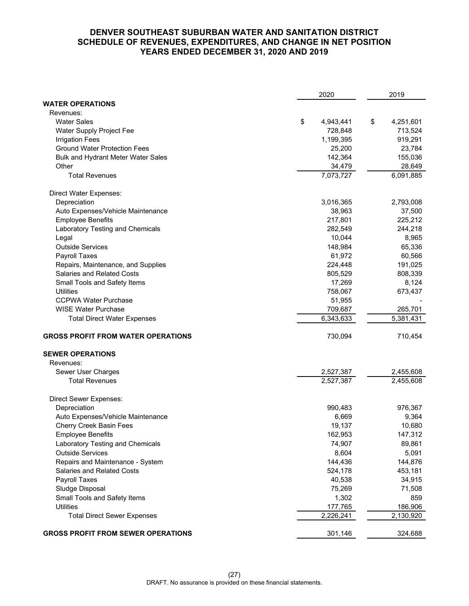# **DENVER SOUTHEAST SUBURBAN WATER AND SANITATION DISTRICT SCHEDULE OF REVENUES, EXPENDITURES, AND CHANGE IN NET POSITION YEARS ENDED DECEMBER 31, 2020 AND 2019**

|                                           | 2020 |           | 2019 |           |
|-------------------------------------------|------|-----------|------|-----------|
| <b>WATER OPERATIONS</b>                   |      |           |      |           |
| Revenues:                                 |      |           |      |           |
| <b>Water Sales</b>                        | \$   | 4,943,441 | \$   | 4,251,601 |
| Water Supply Project Fee                  |      | 728,848   |      | 713,524   |
| <b>Irrigation Fees</b>                    |      | 1,199,395 |      | 919,291   |
| <b>Ground Water Protection Fees</b>       |      | 25,200    |      | 23,784    |
| Bulk and Hydrant Meter Water Sales        |      | 142,364   |      | 155,036   |
| Other                                     |      | 34,479    |      | 28,649    |
| <b>Total Revenues</b>                     |      | 7,073,727 |      | 6,091,885 |
| Direct Water Expenses:                    |      |           |      |           |
| Depreciation                              |      | 3,016,365 |      | 2,793,008 |
| Auto Expenses/Vehicle Maintenance         |      | 38,963    |      | 37,500    |
| <b>Employee Benefits</b>                  |      | 217,801   |      | 225,212   |
| Laboratory Testing and Chemicals          |      | 282,549   |      | 244,218   |
| Legal                                     |      | 10,044    |      | 8,965     |
| <b>Outside Services</b>                   |      | 148,984   |      | 65,336    |
| Payroll Taxes                             |      | 61,972    |      | 60,566    |
| Repairs, Maintenance, and Supplies        |      | 224,448   |      | 191,025   |
| <b>Salaries and Related Costs</b>         |      | 805,529   |      | 808,339   |
| Small Tools and Safety Items              |      | 17,269    |      | 8,124     |
| Utilities                                 |      | 758,067   |      | 673,437   |
| <b>CCPWA Water Purchase</b>               |      | 51,955    |      |           |
| <b>WISE Water Purchase</b>                |      | 709,687   |      | 265,701   |
| <b>Total Direct Water Expenses</b>        |      | 6,343,633 |      | 5,381,431 |
| <b>GROSS PROFIT FROM WATER OPERATIONS</b> |      | 730,094   |      | 710,454   |
| <b>SEWER OPERATIONS</b>                   |      |           |      |           |
| Revenues:                                 |      |           |      |           |
| Sewer User Charges                        |      | 2,527,387 |      | 2,455,608 |
| <b>Total Revenues</b>                     |      | 2,527,387 |      | 2,455,608 |
| <b>Direct Sewer Expenses:</b>             |      |           |      |           |
| Depreciation                              |      | 990,483   |      | 976,367   |
| Auto Expenses/Vehicle Maintenance         |      | 6,669     |      | 9,364     |
| Cherry Creek Basin Fees                   |      | 19,137    |      | 10,680    |
| <b>Employee Benefits</b>                  |      | 162,953   |      | 147,312   |
| Laboratory Testing and Chemicals          |      | 74,907    |      | 89,861    |
| <b>Outside Services</b>                   |      | 8,604     |      | 5,091     |
| Repairs and Maintenance - System          |      | 144,436   |      | 144,876   |
| <b>Salaries and Related Costs</b>         |      | 524,178   |      | 453,181   |
| Payroll Taxes                             |      | 40,538    |      | 34,915    |
| Sludge Disposal                           |      | 75,269    |      | 71,508    |
| Small Tools and Safety Items              |      | 1,302     |      | 859       |
| <b>Utilities</b>                          |      | 177,765   |      | 186,906   |
| <b>Total Direct Sewer Expenses</b>        |      | 2,226,241 |      | 2,130,920 |
| <b>GROSS PROFIT FROM SEWER OPERATIONS</b> |      | 301,146   |      | 324,688   |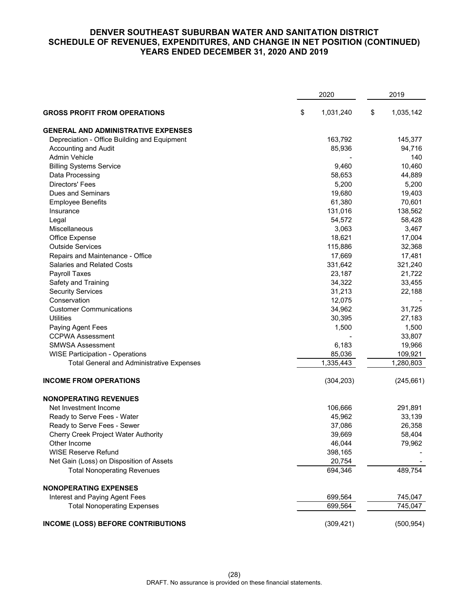# **DENVER SOUTHEAST SUBURBAN WATER AND SANITATION DISTRICT SCHEDULE OF REVENUES, EXPENDITURES, AND CHANGE IN NET POSITION (CONTINUED) YEARS ENDED DECEMBER 31, 2020 AND 2019**

|                                                  | 2020            |    |            |
|--------------------------------------------------|-----------------|----|------------|
| <b>GROSS PROFIT FROM OPERATIONS</b>              | \$<br>1,031,240 | \$ | 1,035,142  |
| <b>GENERAL AND ADMINISTRATIVE EXPENSES</b>       |                 |    |            |
| Depreciation - Office Building and Equipment     | 163,792         |    | 145,377    |
| Accounting and Audit                             | 85,936          |    | 94,716     |
| Admin Vehicle                                    |                 |    | 140        |
| <b>Billing Systems Service</b>                   | 9,460           |    | 10,460     |
| Data Processing                                  | 58,653          |    | 44,889     |
| <b>Directors' Fees</b>                           | 5,200           |    | 5,200      |
| <b>Dues and Seminars</b>                         | 19,680          |    | 19,403     |
| <b>Employee Benefits</b>                         | 61,380          |    | 70,601     |
| Insurance                                        | 131,016         |    | 138,562    |
| Legal                                            | 54,572          |    | 58,428     |
| Miscellaneous                                    | 3,063           |    | 3,467      |
| Office Expense                                   | 18,621          |    | 17,004     |
| <b>Outside Services</b>                          | 115,886         |    | 32,368     |
| Repairs and Maintenance - Office                 | 17,669          |    | 17,481     |
| <b>Salaries and Related Costs</b>                | 331,642         |    | 321,240    |
| Payroll Taxes                                    | 23,187          |    | 21,722     |
| Safety and Training                              | 34,322          |    | 33,455     |
| <b>Security Services</b>                         | 31,213          |    | 22,188     |
| Conservation                                     | 12,075          |    |            |
| <b>Customer Communications</b>                   | 34,962          |    | 31,725     |
| <b>Utilities</b>                                 | 30,395          |    | 27,183     |
| Paying Agent Fees                                | 1,500           |    | 1,500      |
| <b>CCPWA Assessment</b>                          |                 |    | 33,807     |
| <b>SMWSA Assessment</b>                          | 6,183           |    | 19,966     |
| <b>WISE Participation - Operations</b>           | 85,036          |    | 109,921    |
| <b>Total General and Administrative Expenses</b> | 1,335,443       |    | 1,280,803  |
| <b>INCOME FROM OPERATIONS</b>                    | (304, 203)      |    | (245, 661) |
| <b>NONOPERATING REVENUES</b>                     |                 |    |            |
| Net Investment Income                            | 106,666         |    | 291,891    |
| Ready to Serve Fees - Water                      | 45,962          |    | 33,139     |
| Ready to Serve Fees - Sewer                      | 37,086          |    | 26,358     |
| <b>Cherry Creek Project Water Authority</b>      | 39,669          |    | 58,404     |
| Other Income                                     | 46,044          |    | 79,962     |
| <b>WISE Reserve Refund</b>                       | 398,165         |    |            |
| Net Gain (Loss) on Disposition of Assets         | 20,754          |    |            |
| <b>Total Nonoperating Revenues</b>               | 694,346         |    | 489,754    |
| <b>NONOPERATING EXPENSES</b>                     |                 |    |            |
| Interest and Paying Agent Fees                   | 699,564         |    | 745,047    |
| <b>Total Nonoperating Expenses</b>               | 699,564         |    | 745,047    |
| <b>INCOME (LOSS) BEFORE CONTRIBUTIONS</b>        | (309, 421)      |    | (500, 954) |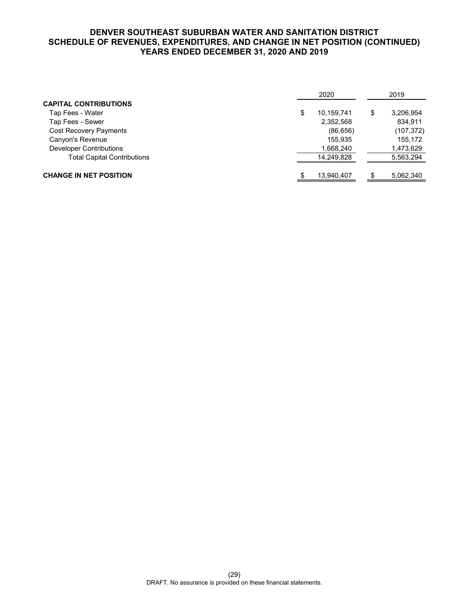# **DENVER SOUTHEAST SUBURBAN WATER AND SANITATION DISTRICT SCHEDULE OF REVENUES, EXPENDITURES, AND CHANGE IN NET POSITION (CONTINUED) YEARS ENDED DECEMBER 31, 2020 AND 2019**

|                                    | 2020             |    |            |
|------------------------------------|------------------|----|------------|
| <b>CAPITAL CONTRIBUTIONS</b>       |                  |    |            |
| Tap Fees - Water                   | \$<br>10,159,741 | \$ | 3,206,954  |
| Tap Fees - Sewer                   | 2,352,568        |    | 834.911    |
| <b>Cost Recovery Payments</b>      | (86, 656)        |    | (107, 372) |
| Canyon's Revenue                   | 155.935          |    | 155,172    |
| Developer Contributions            | 1,668,240        |    | 1,473,629  |
| <b>Total Capital Contributions</b> | 14,249,828       |    | 5,563,294  |
| <b>CHANGE IN NET POSITION</b>      | 13,940,407       |    | 5,062,340  |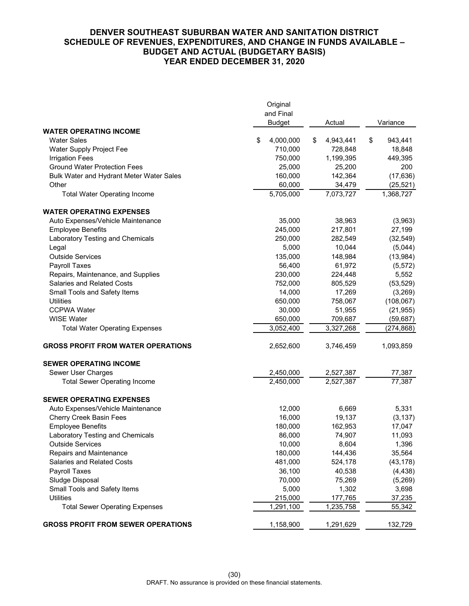# **DENVER SOUTHEAST SUBURBAN WATER AND SANITATION DISTRICT SCHEDULE OF REVENUES, EXPENDITURES, AND CHANGE IN FUNDS AVAILABLE – BUDGET AND ACTUAL (BUDGETARY BASIS) YEAR ENDED DECEMBER 31, 2020**

|                                           | Original<br>and Final<br><b>Budget</b> | Actual               | Variance               |  |
|-------------------------------------------|----------------------------------------|----------------------|------------------------|--|
| <b>WATER OPERATING INCOME</b>             |                                        |                      |                        |  |
| <b>Water Sales</b>                        | 4,000,000<br>\$                        | \$<br>4,943,441      | \$<br>943,441          |  |
| Water Supply Project Fee                  | 710,000                                | 728,848              | 18,848                 |  |
| <b>Irrigation Fees</b>                    | 750,000                                | 1,199,395            | 449,395                |  |
| <b>Ground Water Protection Fees</b>       | 25,000                                 | 25,200               | 200                    |  |
| Bulk Water and Hydrant Meter Water Sales  | 160,000                                | 142,364              | (17, 636)              |  |
| Other                                     | 60,000                                 | 34,479               | (25, 521)              |  |
| <b>Total Water Operating Income</b>       | 5,705,000                              | 7,073,727            | 1,368,727              |  |
| <b>WATER OPERATING EXPENSES</b>           |                                        |                      |                        |  |
| Auto Expenses/Vehicle Maintenance         | 35,000                                 | 38,963               | (3,963)                |  |
| <b>Employee Benefits</b>                  | 245,000                                | 217,801              | 27,199                 |  |
| Laboratory Testing and Chemicals          | 250,000                                | 282,549              | (32, 549)              |  |
| Legal                                     | 5,000                                  | 10,044               | (5,044)                |  |
| <b>Outside Services</b>                   | 135,000                                | 148,984              | (13, 984)              |  |
| Payroll Taxes                             | 56,400                                 | 61,972               | (5, 572)               |  |
| Repairs, Maintenance, and Supplies        | 230,000                                | 224,448              | 5,552                  |  |
| <b>Salaries and Related Costs</b>         | 752,000                                | 805,529              | (53, 529)              |  |
| Small Tools and Safety Items              | 14,000                                 | 17,269               | (3,269)                |  |
| <b>Utilities</b><br><b>CCPWA Water</b>    | 650,000<br>30,000                      | 758,067              | (108, 067)             |  |
| <b>WISE Water</b>                         |                                        | 51,955               | (21, 955)              |  |
| <b>Total Water Operating Expenses</b>     | 650,000<br>3,052,400                   | 709,687<br>3,327,268 | (59, 687)<br>(274,868) |  |
|                                           |                                        |                      |                        |  |
| <b>GROSS PROFIT FROM WATER OPERATIONS</b> | 2,652,600                              | 3,746,459            | 1,093,859              |  |
| <b>SEWER OPERATING INCOME</b>             |                                        |                      |                        |  |
| Sewer User Charges                        | 2,450,000                              | 2,527,387            | 77,387                 |  |
| <b>Total Sewer Operating Income</b>       | $\overline{2,}450,000$                 | 2,527,387            | 77,387                 |  |
| <b>SEWER OPERATING EXPENSES</b>           |                                        |                      |                        |  |
| Auto Expenses/Vehicle Maintenance         | 12,000                                 | 6,669                | 5,331                  |  |
| Cherry Creek Basin Fees                   | 16,000                                 | 19,137               | (3, 137)               |  |
| <b>Employee Benefits</b>                  | 180,000                                | 162,953              | 17,047                 |  |
| Laboratory Testing and Chemicals          | 86,000                                 | 74,907               | 11,093                 |  |
| Outside Services                          | 10,000                                 | 8,604                | 1,396                  |  |
| Repairs and Maintenance                   | 180,000                                | 144,436              | 35,564                 |  |
| <b>Salaries and Related Costs</b>         | 481,000                                | 524,178              | (43, 178)              |  |
| Payroll Taxes                             | 36,100                                 | 40,538               | (4, 438)               |  |
| Sludge Disposal                           | 70,000                                 | 75,269               | (5,269)                |  |
| Small Tools and Safety Items              | 5,000                                  | 1,302                | 3,698                  |  |
| <b>Utilities</b>                          | 215,000<br>1,291,100                   | 177,765              | 37,235                 |  |
| <b>Total Sewer Operating Expenses</b>     |                                        | 1,235,758            | 55,342                 |  |
| <b>GROSS PROFIT FROM SEWER OPERATIONS</b> | 1,158,900                              | 1,291,629            | 132,729                |  |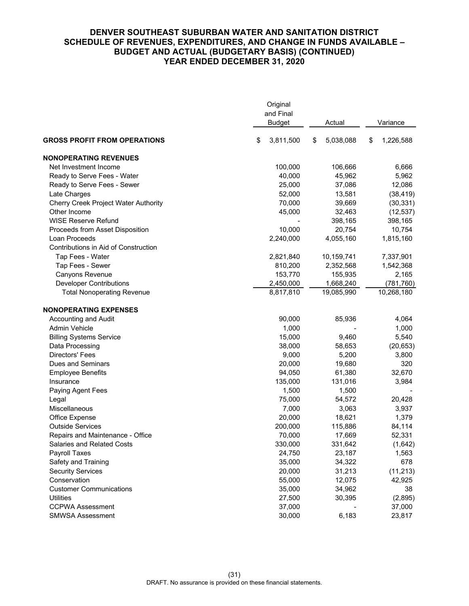# **DENVER SOUTHEAST SUBURBAN WATER AND SANITATION DISTRICT SCHEDULE OF REVENUES, EXPENDITURES, AND CHANGE IN FUNDS AVAILABLE – BUDGET AND ACTUAL (BUDGETARY BASIS) (CONTINUED) YEAR ENDED DECEMBER 31, 2020**

|                                             | Original<br>and Final<br><b>Budget</b> | Actual          | Variance        |
|---------------------------------------------|----------------------------------------|-----------------|-----------------|
| <b>GROSS PROFIT FROM OPERATIONS</b>         | \$<br>3,811,500                        | \$<br>5,038,088 | \$<br>1,226,588 |
| <b>NONOPERATING REVENUES</b>                |                                        |                 |                 |
| Net Investment Income                       | 100,000                                | 106,666         | 6,666           |
| Ready to Serve Fees - Water                 | 40,000                                 | 45,962          | 5,962           |
| Ready to Serve Fees - Sewer                 | 25,000                                 | 37,086          | 12,086          |
| Late Charges                                | 52,000                                 | 13,581          | (38, 419)       |
| <b>Cherry Creek Project Water Authority</b> | 70,000                                 | 39,669          | (30, 331)       |
| Other Income                                | 45,000                                 | 32,463          | (12, 537)       |
| <b>WISE Reserve Refund</b>                  |                                        | 398,165         | 398,165         |
| Proceeds from Asset Disposition             | 10,000                                 | 20,754          | 10,754          |
| Loan Proceeds                               | 2,240,000                              | 4,055,160       | 1,815,160       |
| Contributions in Aid of Construction        |                                        |                 |                 |
| Tap Fees - Water                            | 2,821,840                              | 10,159,741      | 7,337,901       |
| Tap Fees - Sewer                            | 810,200                                | 2,352,568       | 1,542,368       |
| Canyons Revenue                             | 153,770                                | 155,935         | 2,165           |
| <b>Developer Contributions</b>              | 2,450,000                              | 1,668,240       | (781, 760)      |
| <b>Total Nonoperating Revenue</b>           | 8,817,810                              | 19,085,990      | 10,268,180      |
| <b>NONOPERATING EXPENSES</b>                |                                        |                 |                 |
| Accounting and Audit                        | 90,000                                 | 85,936          | 4,064           |
| Admin Vehicle                               | 1,000                                  |                 | 1,000           |
| <b>Billing Systems Service</b>              | 15,000                                 | 9,460           | 5,540           |
| Data Processing                             | 38,000                                 | 58,653          | (20, 653)       |
| <b>Directors' Fees</b>                      | 9,000                                  | 5,200           | 3,800           |
| Dues and Seminars                           | 20,000                                 | 19,680          | 320             |
| <b>Employee Benefits</b>                    | 94,050                                 | 61,380          | 32,670          |
| Insurance                                   | 135,000                                | 131,016         | 3,984           |
| Paying Agent Fees                           | 1,500                                  | 1,500           |                 |
| Legal                                       | 75,000                                 | 54,572          | 20,428          |
| Miscellaneous                               | 7,000                                  | 3,063           | 3,937           |
| Office Expense                              | 20,000                                 | 18,621          | 1,379           |
| <b>Outside Services</b>                     | 200,000                                | 115,886         | 84,114          |
| Repairs and Maintenance - Office            | 70,000                                 | 17,669          | 52,331          |
| <b>Salaries and Related Costs</b>           | 330,000                                | 331,642         | (1,642)         |
| Payroll Taxes                               | 24,750                                 | 23,187          | 1,563           |
| Safety and Training                         | 35,000                                 | 34,322          | 678             |
| <b>Security Services</b>                    | 20,000                                 | 31,213          | (11, 213)       |
| Conservation                                | 55,000                                 | 12,075          | 42,925          |
| <b>Customer Communications</b>              | 35,000                                 | 34,962          | 38              |
| <b>Utilities</b>                            | 27,500                                 | 30,395          | (2,895)         |
| <b>CCPWA Assessment</b>                     | 37,000                                 |                 | 37,000          |
| <b>SMWSA Assessment</b>                     | 30,000                                 | 6,183           | 23,817          |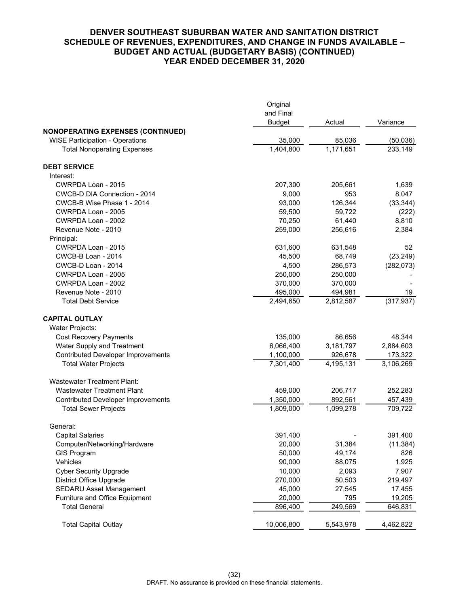# **DENVER SOUTHEAST SUBURBAN WATER AND SANITATION DISTRICT SCHEDULE OF REVENUES, EXPENDITURES, AND CHANGE IN FUNDS AVAILABLE – BUDGET AND ACTUAL (BUDGETARY BASIS) (CONTINUED) YEAR ENDED DECEMBER 31, 2020**

|                                           | Original<br>and Final |           |            |
|-------------------------------------------|-----------------------|-----------|------------|
| <b>NONOPERATING EXPENSES (CONTINUED)</b>  | <b>Budget</b>         | Actual    | Variance   |
| <b>WISE Participation - Operations</b>    | 35,000                | 85,036    | (50,036)   |
| <b>Total Nonoperating Expenses</b>        | 1,404,800             | 1,171,651 | 233,149    |
| <b>DEBT SERVICE</b>                       |                       |           |            |
| Interest:                                 |                       |           |            |
| CWRPDA Loan - 2015                        | 207,300               | 205,661   | 1,639      |
| CWCB-D DIA Connection - 2014              | 9,000                 | 953       | 8,047      |
| CWCB-B Wise Phase 1 - 2014                | 93,000                | 126,344   | (33, 344)  |
| CWRPDA Loan - 2005                        | 59,500                | 59,722    | (222)      |
| CWRPDA Loan - 2002                        | 70,250                | 61,440    | 8,810      |
| Revenue Note - 2010                       | 259,000               | 256,616   | 2,384      |
| Principal:                                |                       |           |            |
| CWRPDA Loan - 2015                        | 631,600               | 631,548   | 52         |
| CWCB-B Loan - 2014                        | 45,500                | 68,749    | (23, 249)  |
| CWCB-D Loan - 2014                        | 4,500                 | 286,573   | (282, 073) |
| CWRPDA Loan - 2005                        | 250,000               | 250,000   |            |
| CWRPDA Loan - 2002                        | 370,000               | 370,000   |            |
| Revenue Note - 2010                       | 495,000               | 494,981   | 19         |
| <b>Total Debt Service</b>                 | 2,494,650             | 2,812,587 | (317, 937) |
| <b>CAPITAL OUTLAY</b>                     |                       |           |            |
| Water Projects:                           |                       |           |            |
| <b>Cost Recovery Payments</b>             | 135,000               | 86,656    | 48,344     |
| Water Supply and Treatment                | 6,066,400             | 3,181,797 | 2,884,603  |
| <b>Contributed Developer Improvements</b> | 1,100,000             | 926,678   | 173,322    |
| <b>Total Water Projects</b>               | 7,301,400             | 4,195,131 | 3,106,269  |
| <b>Wastewater Treatment Plant:</b>        |                       |           |            |
| <b>Wastewater Treatment Plant</b>         | 459,000               | 206,717   | 252,283    |
| <b>Contributed Developer Improvements</b> | 1,350,000             | 892,561   | 457,439    |
| <b>Total Sewer Projects</b>               | 1,809,000             | 1,099,278 | 709,722    |
| General:                                  |                       |           |            |
| <b>Capital Salaries</b>                   | 391,400               |           | 391,400    |
| Computer/Networking/Hardware              | 20,000                | 31,384    | (11, 384)  |
| <b>GIS Program</b>                        | 50,000                | 49,174    | 826        |
| Vehicles                                  | 90,000                | 88,075    | 1,925      |
| <b>Cyber Security Upgrade</b>             | 10,000                | 2,093     | 7,907      |
| <b>District Office Upgrade</b>            | 270,000               | 50,503    | 219,497    |
| <b>SEDARU Asset Management</b>            | 45,000                | 27,545    | 17,455     |
| Furniture and Office Equipment            | 20,000                | 795       | 19,205     |
| <b>Total General</b>                      | 896,400               | 249,569   | 646,831    |
| <b>Total Capital Outlay</b>               | 10,006,800            | 5,543,978 | 4,462,822  |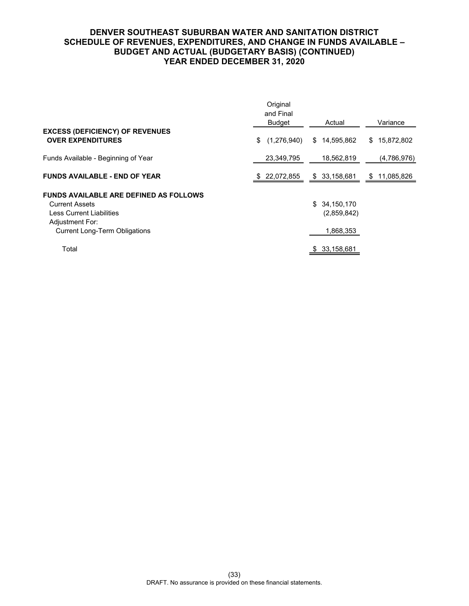# **DENVER SOUTHEAST SUBURBAN WATER AND SANITATION DISTRICT SCHEDULE OF REVENUES, EXPENDITURES, AND CHANGE IN FUNDS AVAILABLE – BUDGET AND ACTUAL (BUDGETARY BASIS) (CONTINUED) YEAR ENDED DECEMBER 31, 2020**

|                                                                                                                                                               | Original<br>and Final<br>Budget | Actual                                       | Variance         |
|---------------------------------------------------------------------------------------------------------------------------------------------------------------|---------------------------------|----------------------------------------------|------------------|
| <b>EXCESS (DEFICIENCY) OF REVENUES</b><br><b>OVER EXPENDITURES</b>                                                                                            | (1,276,940)<br>\$               | 14,595,862<br>S.                             | \$15,872,802     |
| Funds Available - Beginning of Year                                                                                                                           | 23,349,795                      | 18,562,819                                   | (4,786,976)      |
| <b>FUNDS AVAILABLE - END OF YEAR</b>                                                                                                                          | 22,072,855<br>-SS               | \$ 33,158,681                                | 11,085,826<br>\$ |
| <b>FUNDS AVAILABLE ARE DEFINED AS FOLLOWS</b><br><b>Current Assets</b><br>Less Current Liabilities<br>Adjustment For:<br><b>Current Long-Term Obligations</b> |                                 | \$<br>34,150,170<br>(2,859,842)<br>1,868,353 |                  |
| Total                                                                                                                                                         |                                 | 33,158,681<br>S                              |                  |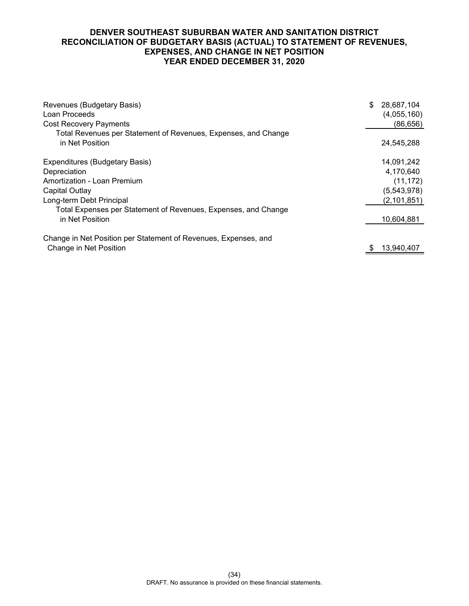# **DENVER SOUTHEAST SUBURBAN WATER AND SANITATION DISTRICT RECONCILIATION OF BUDGETARY BASIS (ACTUAL) TO STATEMENT OF REVENUES, EXPENSES, AND CHANGE IN NET POSITION YEAR ENDED DECEMBER 31, 2020**

| Revenues (Budgetary Basis)<br>Loan Proceeds<br><b>Cost Recovery Payments</b>      | \$<br>28,687,104<br>(4,055,160)<br>(86, 656) |
|-----------------------------------------------------------------------------------|----------------------------------------------|
| Total Revenues per Statement of Revenues, Expenses, and Change<br>in Net Position | 24,545,288                                   |
| Expenditures (Budgetary Basis)                                                    | 14,091,242                                   |
| Depreciation                                                                      | 4,170,640                                    |
| Amortization - Loan Premium                                                       | (11, 172)                                    |
| Capital Outlay                                                                    | (5,543,978)                                  |
| Long-term Debt Principal                                                          | (2, 101, 851)                                |
| Total Expenses per Statement of Revenues, Expenses, and Change                    |                                              |
| in Net Position                                                                   | 10,604,881                                   |
| Change in Net Position per Statement of Revenues, Expenses, and                   |                                              |
| Change in Net Position                                                            | 13,940,407                                   |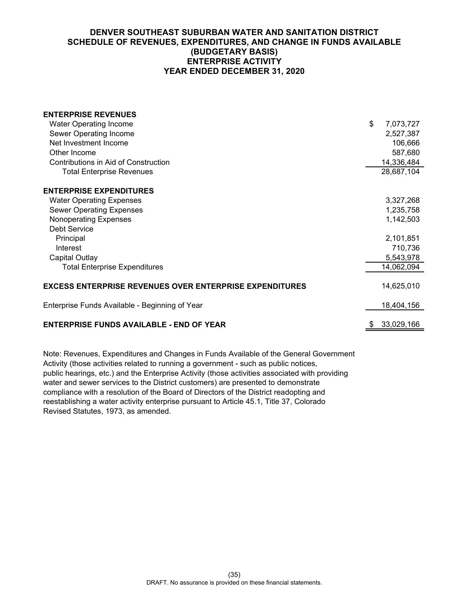# **DENVER SOUTHEAST SUBURBAN WATER AND SANITATION DISTRICT SCHEDULE OF REVENUES, EXPENDITURES, AND CHANGE IN FUNDS AVAILABLE (BUDGETARY BASIS) ENTERPRISE ACTIVITY YEAR ENDED DECEMBER 31, 2020**

| <b>ENTERPRISE REVENUES</b>                                     |                  |
|----------------------------------------------------------------|------------------|
| <b>Water Operating Income</b>                                  | \$<br>7,073,727  |
| Sewer Operating Income                                         | 2,527,387        |
| Net Investment Income                                          | 106,666          |
| Other Income                                                   | 587,680          |
| Contributions in Aid of Construction                           | 14,336,484       |
| <b>Total Enterprise Revenues</b>                               | 28,687,104       |
| <b>ENTERPRISE EXPENDITURES</b>                                 |                  |
| <b>Water Operating Expenses</b>                                | 3,327,268        |
| <b>Sewer Operating Expenses</b>                                | 1,235,758        |
| Nonoperating Expenses                                          | 1,142,503        |
| Debt Service                                                   |                  |
| Principal                                                      | 2,101,851        |
| Interest                                                       | 710,736          |
| Capital Outlay                                                 | 5,543,978        |
| <b>Total Enterprise Expenditures</b>                           | 14,062,094       |
| <b>EXCESS ENTERPRISE REVENUES OVER ENTERPRISE EXPENDITURES</b> | 14,625,010       |
| Enterprise Funds Available - Beginning of Year                 | 18,404,156       |
| <b>ENTERPRISE FUNDS AVAILABLE - END OF YEAR</b>                | \$<br>33,029,166 |

Note: Revenues, Expenditures and Changes in Funds Available of the General Government Activity (those activities related to running a government - such as public notices, public hearings, etc.) and the Enterprise Activity (those activities associated with providing water and sewer services to the District customers) are presented to demonstrate compliance with a resolution of the Board of Directors of the District readopting and reestablishing a water activity enterprise pursuant to Article 45.1, Title 37, Colorado Revised Statutes, 1973, as amended.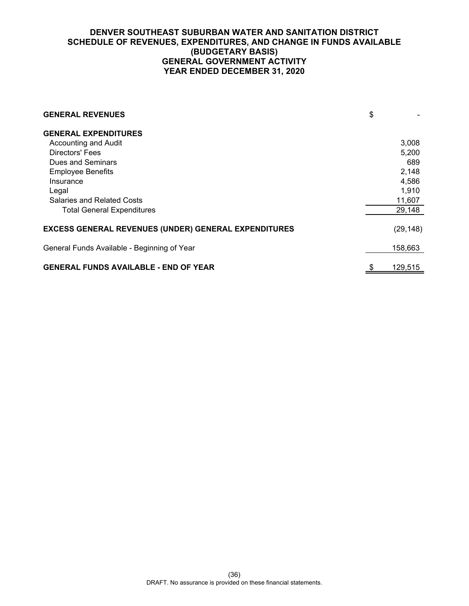# **DENVER SOUTHEAST SUBURBAN WATER AND SANITATION DISTRICT SCHEDULE OF REVENUES, EXPENDITURES, AND CHANGE IN FUNDS AVAILABLE (BUDGETARY BASIS) GENERAL GOVERNMENT ACTIVITY YEAR ENDED DECEMBER 31, 2020**

| <b>GENERAL REVENUES</b>                                     | \$        |
|-------------------------------------------------------------|-----------|
| <b>GENERAL EXPENDITURES</b>                                 |           |
| Accounting and Audit                                        | 3,008     |
| Directors' Fees                                             | 5,200     |
| Dues and Seminars                                           | 689       |
| <b>Employee Benefits</b>                                    | 2,148     |
| Insurance                                                   | 4,586     |
| Legal                                                       | 1,910     |
| <b>Salaries and Related Costs</b>                           | 11,607    |
| <b>Total General Expenditures</b>                           | 29,148    |
| <b>EXCESS GENERAL REVENUES (UNDER) GENERAL EXPENDITURES</b> | (29, 148) |
| General Funds Available - Beginning of Year                 | 158,663   |
| <b>GENERAL FUNDS AVAILABLE - END OF YEAR</b>                | 129,515   |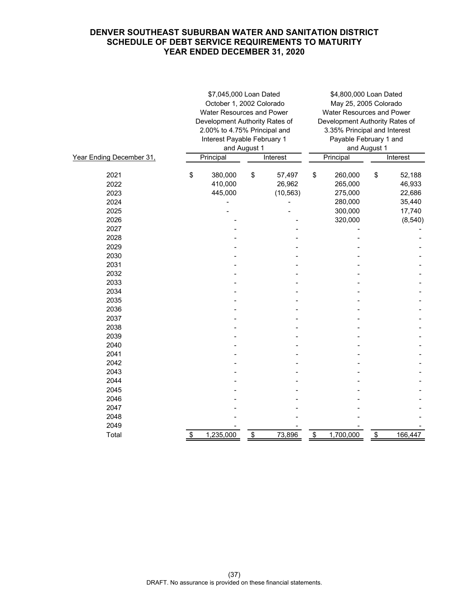# **DENVER SOUTHEAST SUBURBAN WATER AND SANITATION DISTRICT SCHEDULE OF DEBT SERVICE REQUIREMENTS TO MATURITY YEAR ENDED DECEMBER 31, 2020**

|                          | \$7,045,000 Loan Dated<br>October 1, 2002 Colorado<br><b>Water Resources and Power</b><br>Development Authority Rates of<br>2.00% to 4.75% Principal and |              |           | \$4,800,000 Loan Dated<br>May 25, 2005 Colorado<br>Water Resources and Power<br>Development Authority Rates of<br>3.35% Principal and Interest |                        |              |          |  |
|--------------------------|----------------------------------------------------------------------------------------------------------------------------------------------------------|--------------|-----------|------------------------------------------------------------------------------------------------------------------------------------------------|------------------------|--------------|----------|--|
|                          | Interest Payable February 1                                                                                                                              |              |           |                                                                                                                                                | Payable February 1 and |              |          |  |
|                          |                                                                                                                                                          | and August 1 |           |                                                                                                                                                |                        | and August 1 |          |  |
| Year Ending December 31, | Principal                                                                                                                                                |              | Interest  |                                                                                                                                                | Principal              |              | Interest |  |
|                          |                                                                                                                                                          |              |           |                                                                                                                                                |                        |              |          |  |
| 2021                     | \$<br>380,000                                                                                                                                            | \$           | 57,497    | \$                                                                                                                                             | 260,000                | \$           | 52,188   |  |
| 2022                     | 410,000                                                                                                                                                  |              | 26,962    |                                                                                                                                                | 265,000                |              | 46,933   |  |
| 2023                     | 445,000                                                                                                                                                  |              | (10, 563) |                                                                                                                                                | 275,000                |              | 22,686   |  |
| 2024                     |                                                                                                                                                          |              |           |                                                                                                                                                | 280,000                |              | 35,440   |  |
| 2025                     |                                                                                                                                                          |              |           |                                                                                                                                                | 300,000                |              | 17,740   |  |
| 2026                     |                                                                                                                                                          |              |           |                                                                                                                                                | 320,000                |              | (8, 540) |  |
| 2027                     |                                                                                                                                                          |              |           |                                                                                                                                                |                        |              |          |  |
| 2028                     |                                                                                                                                                          |              |           |                                                                                                                                                |                        |              |          |  |
| 2029                     |                                                                                                                                                          |              |           |                                                                                                                                                |                        |              |          |  |
| 2030                     |                                                                                                                                                          |              |           |                                                                                                                                                |                        |              |          |  |
| 2031                     |                                                                                                                                                          |              |           |                                                                                                                                                |                        |              |          |  |
| 2032                     |                                                                                                                                                          |              |           |                                                                                                                                                |                        |              |          |  |
| 2033                     |                                                                                                                                                          |              |           |                                                                                                                                                |                        |              |          |  |
| 2034                     |                                                                                                                                                          |              |           |                                                                                                                                                |                        |              |          |  |
| 2035                     |                                                                                                                                                          |              |           |                                                                                                                                                |                        |              |          |  |
| 2036                     |                                                                                                                                                          |              |           |                                                                                                                                                |                        |              |          |  |
| 2037                     |                                                                                                                                                          |              |           |                                                                                                                                                |                        |              |          |  |
| 2038                     |                                                                                                                                                          |              |           |                                                                                                                                                |                        |              |          |  |
| 2039                     |                                                                                                                                                          |              |           |                                                                                                                                                |                        |              |          |  |
| 2040                     |                                                                                                                                                          |              |           |                                                                                                                                                |                        |              |          |  |
| 2041                     |                                                                                                                                                          |              |           |                                                                                                                                                |                        |              |          |  |
| 2042                     |                                                                                                                                                          |              |           |                                                                                                                                                |                        |              |          |  |
| 2043                     |                                                                                                                                                          |              |           |                                                                                                                                                |                        |              |          |  |
| 2044                     |                                                                                                                                                          |              |           |                                                                                                                                                |                        |              |          |  |
| 2045                     |                                                                                                                                                          |              |           |                                                                                                                                                |                        |              |          |  |
| 2046                     |                                                                                                                                                          |              |           |                                                                                                                                                |                        |              |          |  |
| 2047                     |                                                                                                                                                          |              |           |                                                                                                                                                |                        |              |          |  |
| 2048                     |                                                                                                                                                          |              |           |                                                                                                                                                |                        |              |          |  |
| 2049                     |                                                                                                                                                          |              |           |                                                                                                                                                |                        |              |          |  |
| Total                    | \$<br>1,235,000                                                                                                                                          | \$           | 73,896    | \$                                                                                                                                             | 1,700,000              | \$           | 166,447  |  |
|                          |                                                                                                                                                          |              |           |                                                                                                                                                |                        |              |          |  |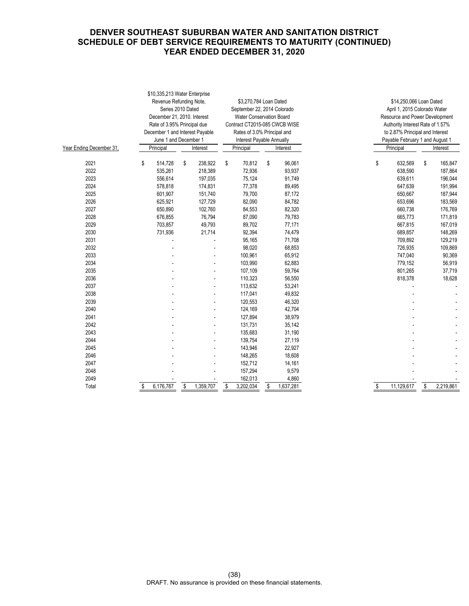# **DENVER SOUTHEAST SUBURBAN WATER AND SANITATION DISTRICT SCHEDULE OF DEBT SERVICE REQUIREMENTS TO MATURITY (CONTINUED) YEAR ENDED DECEMBER 31, 2020**

|                          |                                                   |           | \$10,335,213 Water Enterprise   |                         |                               |    |           |  |                                |                                  |           |           |  |          |
|--------------------------|---------------------------------------------------|-----------|---------------------------------|-------------------------|-------------------------------|----|-----------|--|--------------------------------|----------------------------------|-----------|-----------|--|----------|
|                          | Revenue Refunding Note,<br>\$3,270,784 Loan Dated |           |                                 | \$14,250,066 Loan Dated |                               |    |           |  |                                |                                  |           |           |  |          |
|                          |                                                   |           | Series 2010 Dated               |                         | September 22, 2014 Colorado   |    |           |  | April 1, 2015 Colorado Water   |                                  |           |           |  |          |
|                          | December 21, 2010. Interest                       |           |                                 |                         | Water Conservation Board      |    |           |  | Resource and Power Development |                                  |           |           |  |          |
|                          |                                                   |           | Rate of 3.95% Principal due     |                         | Contract CT2015-085 CWCB WISE |    |           |  |                                | Authority Interest Rate of 1.57% |           |           |  |          |
|                          |                                                   |           | December 1 and Interest Payable |                         | Rates of 3.0% Principal and   |    |           |  |                                | to 2.87% Principal and Interest  |           |           |  |          |
|                          |                                                   |           | June 1 and December 1           |                         | Interest Payable Annually     |    |           |  |                                | Payable February 1 and August 1  |           |           |  |          |
| Year Ending December 31, | Principal                                         |           | Interest                        |                         | Principal<br>Interest         |    |           |  |                                |                                  | Principal |           |  | Interest |
| 2021                     | \$                                                | 514,728   | \$<br>238,922                   | \$                      | 70,812                        | \$ | 96,061    |  | \$                             | 632,569                          | \$        | 165,847   |  |          |
| 2022                     |                                                   | 535,261   | 218,389                         |                         | 72,936                        |    | 93,937    |  |                                | 638,590                          |           | 187,864   |  |          |
| 2023                     |                                                   | 556,614   | 197,035                         |                         | 75,124                        |    | 91,749    |  |                                | 639,611                          |           | 196,044   |  |          |
| 2024                     |                                                   | 578,818   | 174,831                         |                         | 77,378                        |    | 89,495    |  |                                | 647,639                          |           | 191,994   |  |          |
| 2025                     |                                                   | 601,907   | 151,740                         |                         | 79,700                        |    | 87,172    |  |                                | 650,667                          |           | 187,944   |  |          |
| 2026                     |                                                   | 625,921   | 127,729                         |                         | 82,090                        |    | 84,782    |  |                                | 653,696                          |           | 183,569   |  |          |
| 2027                     |                                                   | 650,890   | 102,760                         |                         | 84,553                        |    | 82,320    |  |                                | 660,738                          |           | 176,769   |  |          |
| 2028                     |                                                   | 676,855   | 76,794                          |                         | 87,090                        |    | 79,783    |  |                                | 665,773                          |           | 171,819   |  |          |
| 2029                     |                                                   | 703,857   | 49,793                          |                         | 89,702                        |    | 77,171    |  |                                | 667,815                          |           | 167,019   |  |          |
| 2030                     |                                                   | 731,936   | 21,714                          |                         | 92,394                        |    | 74,479    |  |                                | 689,857                          |           | 148,269   |  |          |
| 2031                     |                                                   |           |                                 |                         | 95,165                        |    | 71,708    |  |                                | 709,892                          |           | 129,219   |  |          |
| 2032                     |                                                   |           |                                 |                         | 98,020                        |    | 68,853    |  |                                | 726,935                          |           | 109,869   |  |          |
| 2033                     |                                                   |           |                                 |                         | 100,961                       |    | 65,912    |  |                                | 747,040                          |           | 90,369    |  |          |
| 2034                     |                                                   |           |                                 |                         | 103,990                       |    | 62,883    |  |                                | 779,152                          |           | 56,919    |  |          |
| 2035                     |                                                   |           |                                 |                         | 107,109                       |    | 59,764    |  |                                | 801,265                          |           | 37,719    |  |          |
| 2036                     |                                                   |           |                                 |                         | 110,323                       |    | 56,550    |  |                                | 818,378                          |           | 18,628    |  |          |
| 2037                     |                                                   |           |                                 |                         | 113,632                       |    | 53,241    |  |                                |                                  |           |           |  |          |
| 2038                     |                                                   |           |                                 |                         | 117,041                       |    | 49,832    |  |                                |                                  |           |           |  |          |
| 2039                     |                                                   |           |                                 |                         | 120,553                       |    | 46,320    |  |                                |                                  |           |           |  |          |
| 2040                     |                                                   |           |                                 |                         | 124,169                       |    | 42,704    |  |                                |                                  |           |           |  |          |
| 2041                     |                                                   |           |                                 |                         | 127,894                       |    | 38,979    |  |                                |                                  |           |           |  |          |
| 2042                     |                                                   |           |                                 |                         | 131,731                       |    | 35,142    |  |                                |                                  |           |           |  |          |
| 2043                     |                                                   |           |                                 |                         | 135,683                       |    | 31,190    |  |                                |                                  |           |           |  |          |
| 2044                     |                                                   |           |                                 |                         | 139,754                       |    | 27,119    |  |                                |                                  |           |           |  |          |
| 2045                     |                                                   |           |                                 |                         | 143,946                       |    | 22,927    |  |                                |                                  |           |           |  |          |
| 2046                     |                                                   |           |                                 |                         | 148,265                       |    | 18,608    |  |                                |                                  |           |           |  |          |
| 2047                     |                                                   |           |                                 |                         | 152,712                       |    | 14,161    |  |                                |                                  |           |           |  |          |
| 2048                     |                                                   |           |                                 |                         | 157,294                       |    | 9,579     |  |                                |                                  |           |           |  |          |
| 2049                     |                                                   |           |                                 |                         | 162,013                       |    | 4,860     |  |                                |                                  |           |           |  |          |
| Total                    | \$                                                | 6,176,787 | \$<br>1,359,707                 | \$                      | 3,202,034                     | \$ | 1,637,281 |  | \$                             | 11,129,617                       | \$        | 2,219,861 |  |          |
|                          |                                                   |           |                                 |                         |                               |    |           |  |                                |                                  |           |           |  |          |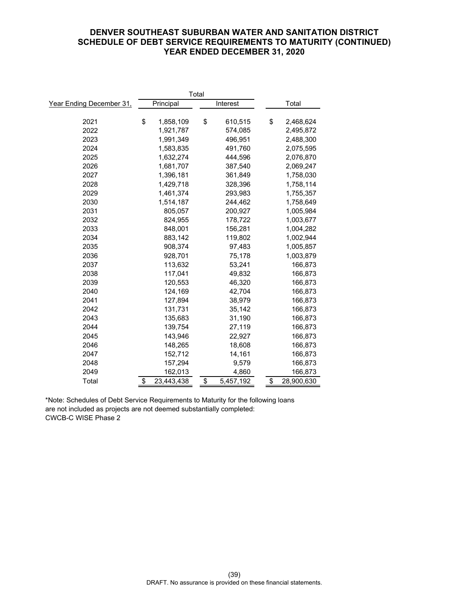# **DENVER SOUTHEAST SUBURBAN WATER AND SANITATION DISTRICT SCHEDULE OF DEBT SERVICE REQUIREMENTS TO MATURITY (CONTINUED) YEAR ENDED DECEMBER 31, 2020**

| Total                    |    |            |    |           |  |                  |
|--------------------------|----|------------|----|-----------|--|------------------|
| Year Ending December 31, |    | Principal  |    | Interest  |  | Total            |
|                          |    |            |    |           |  |                  |
| 2021                     | \$ | 1,858,109  | \$ | 610,515   |  | \$<br>2,468,624  |
| 2022                     |    | 1,921,787  |    | 574,085   |  | 2,495,872        |
| 2023                     |    | 1,991,349  |    | 496,951   |  | 2,488,300        |
| 2024                     |    | 1,583,835  |    | 491,760   |  | 2,075,595        |
| 2025                     |    | 1,632,274  |    | 444,596   |  | 2,076,870        |
| 2026                     |    | 1,681,707  |    | 387,540   |  | 2,069,247        |
| 2027                     |    | 1,396,181  |    | 361,849   |  | 1,758,030        |
| 2028                     |    | 1,429,718  |    | 328,396   |  | 1,758,114        |
| 2029                     |    | 1,461,374  |    | 293,983   |  | 1,755,357        |
| 2030                     |    | 1,514,187  |    | 244,462   |  | 1,758,649        |
| 2031                     |    | 805,057    |    | 200,927   |  | 1,005,984        |
| 2032                     |    | 824,955    |    | 178,722   |  | 1,003,677        |
| 2033                     |    | 848,001    |    | 156,281   |  | 1,004,282        |
| 2034                     |    | 883,142    |    | 119,802   |  | 1,002,944        |
| 2035                     |    | 908,374    |    | 97,483    |  | 1,005,857        |
| 2036                     |    | 928,701    |    | 75,178    |  | 1,003,879        |
| 2037                     |    | 113,632    |    | 53,241    |  | 166,873          |
| 2038                     |    | 117,041    |    | 49,832    |  | 166,873          |
| 2039                     |    | 120,553    |    | 46,320    |  | 166,873          |
| 2040                     |    | 124,169    |    | 42,704    |  | 166,873          |
| 2041                     |    | 127,894    |    | 38,979    |  | 166,873          |
| 2042                     |    | 131,731    |    | 35,142    |  | 166,873          |
| 2043                     |    | 135,683    |    | 31,190    |  | 166,873          |
| 2044                     |    | 139,754    |    | 27,119    |  | 166,873          |
| 2045                     |    | 143,946    |    | 22,927    |  | 166,873          |
| 2046                     |    | 148,265    |    | 18,608    |  | 166,873          |
| 2047                     |    | 152,712    |    | 14,161    |  | 166,873          |
| 2048                     |    | 157,294    |    | 9,579     |  | 166,873          |
| 2049                     |    | 162,013    |    | 4,860     |  | 166,873          |
| Total                    | \$ | 23,443,438 | \$ | 5,457,192 |  | \$<br>28,900,630 |

\*Note: Schedules of Debt Service Requirements to Maturity for the following loans are not included as projects are not deemed substantially completed: CWCB-C WISE Phase 2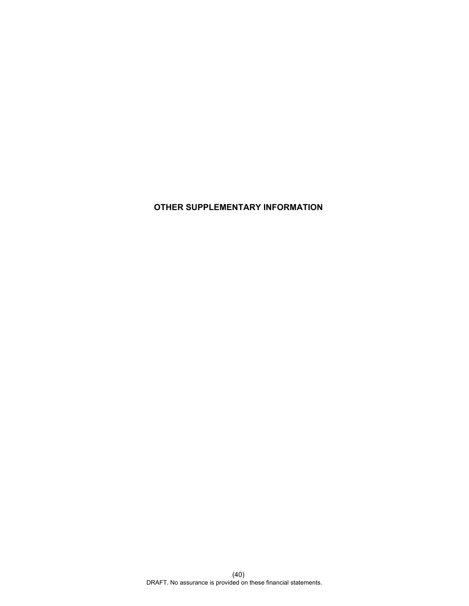# **OTHER SUPPLEMENTARY INFORMATION**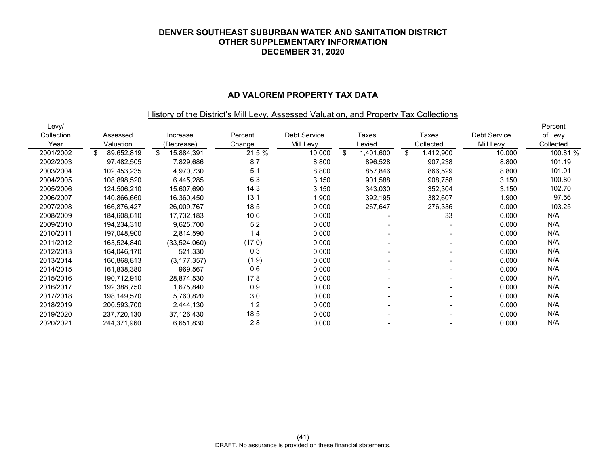#### **AD VALOREM PROPERTY TAX DATA**

## History of the District's Mill Levy, Assessed Valuation, and Property Tax Collections

| Levy/      |                   |                  |         |                     |                |                          |              | Percent   |
|------------|-------------------|------------------|---------|---------------------|----------------|--------------------------|--------------|-----------|
| Collection | Assessed          | Increase         | Percent | <b>Debt Service</b> | Taxes          | Taxes                    | Debt Service | of Levy   |
| Year       | Valuation         | (Decrease)       | Change  | Mill Levy           | Levied         | Collected                | Mill Levy    | Collected |
| 2001/2002  | 89,652,819<br>\$. | \$<br>15,884,391 | 21.5 %  | 10.000              | \$<br>,401,600 | \$<br>1,412,900          | 10.000       | 100.81 %  |
| 2002/2003  | 97,482,505        | 7,829,686        | 8.7     | 8.800               | 896,528        | 907,238                  | 8.800        | 101.19    |
| 2003/2004  | 102,453,235       | 4,970,730        | 5.1     | 8.800               | 857,846        | 866,529                  | 8.800        | 101.01    |
| 2004/2005  | 108,898,520       | 6,445,285        | 6.3     | 3.150               | 901,588        | 908,758                  | 3.150        | 100.80    |
| 2005/2006  | 124,506,210       | 15,607,690       | 14.3    | 3.150               | 343,030        | 352,304                  | 3.150        | 102.70    |
| 2006/2007  | 140,866,660       | 16,360,450       | 13.1    | 1.900               | 392,195        | 382,607                  | 1.900        | 97.56     |
| 2007/2008  | 166,876,427       | 26,009,767       | 18.5    | 0.000               | 267,647        | 276,336                  | 0.000        | 103.25    |
| 2008/2009  | 184,608,610       | 17,732,183       | 10.6    | 0.000               |                | 33                       | 0.000        | N/A       |
| 2009/2010  | 194,234,310       | 9,625,700        | 5.2     | 0.000               |                |                          | 0.000        | N/A       |
| 2010/2011  | 197,048,900       | 2,814,590        | 1.4     | 0.000               |                |                          | 0.000        | N/A       |
| 2011/2012  | 163,524,840       | (33,524,060)     | (17.0)  | 0.000               | $\blacksquare$ | $\overline{\phantom{0}}$ | 0.000        | N/A       |
| 2012/2013  | 164,046,170       | 521,330          | 0.3     | 0.000               |                | $\overline{\phantom{0}}$ | 0.000        | N/A       |
| 2013/2014  | 160,868,813       | (3, 177, 357)    | (1.9)   | 0.000               | -              | $\overline{\phantom{0}}$ | 0.000        | N/A       |
| 2014/2015  | 161,838,380       | 969,567          | 0.6     | 0.000               |                | $\blacksquare$           | 0.000        | N/A       |
| 2015/2016  | 190,712,910       | 28,874,530       | 17.8    | 0.000               |                | $\overline{\phantom{a}}$ | 0.000        | N/A       |
| 2016/2017  | 192,388,750       | 1,675,840        | 0.9     | 0.000               |                | $\overline{\phantom{a}}$ | 0.000        | N/A       |
| 2017/2018  | 198,149,570       | 5,760,820        | 3.0     | 0.000               |                | $\blacksquare$           | 0.000        | N/A       |
| 2018/2019  | 200,593,700       | 2,444,130        | 1.2     | 0.000               |                | $\overline{\phantom{a}}$ | 0.000        | N/A       |
| 2019/2020  | 237,720,130       | 37,126,430       | 18.5    | 0.000               |                | $\overline{\phantom{0}}$ | 0.000        | N/A       |
| 2020/2021  | 244,371,960       | 6,651,830        | 2.8     | 0.000               |                |                          | 0.000        | N/A       |
|            |                   |                  |         |                     |                |                          |              |           |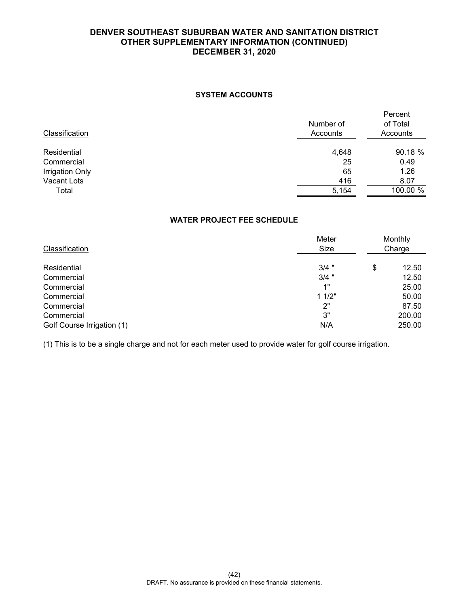## **SYSTEM ACCOUNTS**

| Classification         | Number of<br>Accounts | Percent<br>of Total<br>Accounts |  |
|------------------------|-----------------------|---------------------------------|--|
| Residential            | 4,648                 | 90.18 %                         |  |
| Commercial             | 25                    | 0.49                            |  |
| <b>Irrigation Only</b> | 65                    | 1.26                            |  |
| Vacant Lots            | 416                   | 8.07                            |  |
| Total                  | 5,154                 | $100.00\%$                      |  |
|                        |                       |                                 |  |

# **WATER PROJECT FEE SCHEDULE**

| Classification             | Meter<br>Size | Monthly<br>Charge |        |  |
|----------------------------|---------------|-------------------|--------|--|
| Residential                | $3/4$ "       | \$                | 12.50  |  |
| Commercial                 | $3/4$ "       |                   | 12.50  |  |
| Commercial                 | 1"            |                   | 25.00  |  |
| Commercial                 | 11/2"         |                   | 50.00  |  |
| Commercial                 | 2"            |                   | 87.50  |  |
| Commercial                 | 3"            |                   | 200.00 |  |
| Golf Course Irrigation (1) | N/A           |                   | 250.00 |  |

(1) This is to be a single charge and not for each meter used to provide water for golf course irrigation.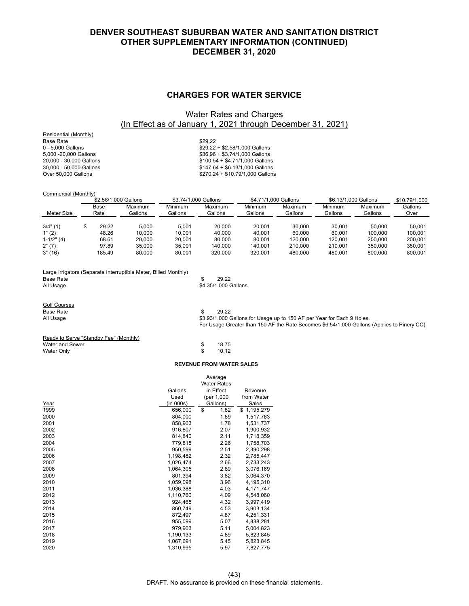#### **CHARGES FOR WATER SERVICE**

# Water Rates and Charges (In Effect as of January 1, 2021 through December 31, 2021)

Residential (Monthly) Base Rate \$29.22<br>0 - 5,000 Gallons \$29.22

 $0 - 5,000$  Gallons  $\frac{1}{2}$  - 52.58/1,000 Gallons  $\frac{2}{36.96} + \frac{1}{32.74/1000}$  Gallons  $\frac{1}{2}$  - 53.74/1.000 Gallons  $$36.96 + $3.74/1,000$  Gallons 20,000 - 30,000 Gallons \$100.54 + \$4.71/1,000 Gallons 30,000 - 50,000 Gallons \$147.64 + \$6.13/1,000 Gallons  $$270.24 + $10.79/1,000$  Gallons

#### Commercial (Monthly)

**Base Rate** 

| \$2,58/1,000 Gallons |  |              | \$3.74/1.000 Gallons |                    | \$4,71/1,000 Gallons |                    | \$6.13/1.000 Gallons |                    | \$10.79/1.000      |                 |
|----------------------|--|--------------|----------------------|--------------------|----------------------|--------------------|----------------------|--------------------|--------------------|-----------------|
| Meter Size           |  | Base<br>Rate | Maximum<br>Gallons   | Minimum<br>Gallons | Maximum<br>Gallons   | Minimum<br>Gallons | Maximum<br>Gallons   | Minimum<br>Gallons | Maximum<br>Gallons | Gallons<br>Over |
| $3/4$ " (1)          |  | 29.22        | 5.000                | 5.001              | 20,000               | 20.001             | 30.000               | 30.001             | 50.000             | 50.001          |
| 1" (2)               |  | 48.26        | 10.000               | 10.001             | 40.000               | 40.001             | 60.000               | 60.001             | 100.000            | 100.001         |
| $1-1/2" (4)$         |  | 68.61        | 20,000               | 20.001             | 80.000               | 80.001             | 120,000              | 120.001            | 200,000            | 200.001         |
| 2" (7)               |  | 97.89        | 35.000               | 35.001             | 140.000              | 140.001            | 210.000              | 210.001            | 350,000            | 350.001         |
| 3"(16)               |  | 185.49       | 80.000               | 80.001             | 320.000              | 320.001            | 480.000              | 480.001            | 800,000            | 800.001         |

| Large Irrigators (Separate Interruptible Meter, Billed Monthly) |                      |  |
|-----------------------------------------------------------------|----------------------|--|
| Base Rate                                                       | 29.22                |  |
| All Usage                                                       | \$4.35/1.000 Gallons |  |
| <b>Golf Courses</b>                                             |                      |  |

| Base Rate | 29.22                                                                                      |
|-----------|--------------------------------------------------------------------------------------------|
| All Usage | \$3.93/1,000 Gallons for Usage up to 150 AF per Year for Each 9 Holes.                     |
|           | For Usage Greater than 150 AF the Rate Becomes \$6.54/1,000 Gallons (Applies to Pinery CC) |

#### Ready to Serve "Standby Fee" (Monthly) Water and Sewer **\$ 18.75** Water Only \$ 10.12

#### **REVENUE FROM WATER SALES**

|      |           | Average<br><b>Water Rates</b> |             |
|------|-----------|-------------------------------|-------------|
|      | Gallons   | in Effect                     | Revenue     |
|      | Used      | (per 1,000                    | from Water  |
| Year | (in 000s) | Gallons)                      | Sales       |
| 1999 | 656,000   | \$<br>1.82                    | \$1,195,279 |
| 2000 | 804,000   | 1.89                          | 1,517,783   |
| 2001 | 858,903   | 1.78                          | 1,531,737   |
| 2002 | 916,807   | 2.07                          | 1,900,932   |
| 2003 | 814,840   | 2.11                          | 1,718,359   |
| 2004 | 779,815   | 2.26                          | 1,758,703   |
| 2005 | 950,599   | 2.51                          | 2,390,298   |
| 2006 | 1,198,482 | 2.32                          | 2,785,447   |
| 2007 | 1.026.474 | 2.66                          | 2,733,243   |
| 2008 | 1,064,305 | 2.89                          | 3,076,169   |
| 2009 | 801,394   | 3.82                          | 3,064,370   |
| 2010 | 1,059,098 | 3.96                          | 4,195,310   |
| 2011 | 1.036.388 | 4.03                          | 4,171,747   |
| 2012 | 1,110,760 | 4.09                          | 4,548,060   |
| 2013 | 924,465   | 4.32                          | 3,997,419   |
| 2014 | 860,749   | 4.53                          | 3,903,134   |
| 2015 | 872,497   | 4.87                          | 4,251,331   |
| 2016 | 955,099   | 5.07                          | 4,838,281   |
| 2017 | 979,903   | 5.11                          | 5,004,823   |
| 2018 | 1,190,133 | 4.89                          | 5,823,845   |
| 2019 | 1,067,691 | 5.45                          | 5,823,845   |
| 2020 | 1.310.995 | 5.97                          | 7.827.775   |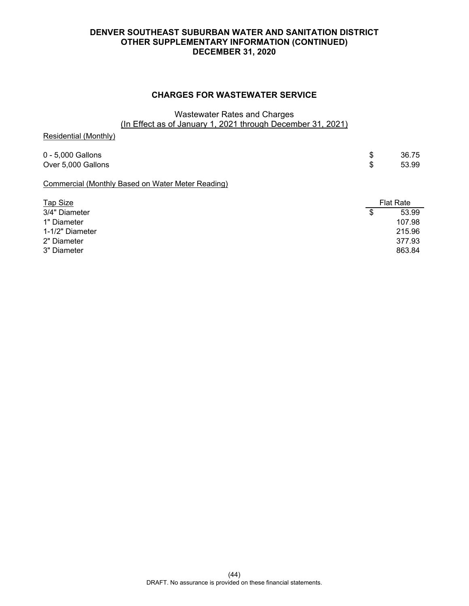# **CHARGES FOR WASTEWATER SERVICE**

# Wastewater Rates and Charges (In Effect as of January 1, 2021 through December 31, 2021)

Residential (Monthly)

0 - 5,000 Gallons \$ 36.75 Over 5,000 Gallons \$ 53.99 Commercial (Monthly Based on Water Meter Reading)

| <b>Tap Size</b> | <b>Flat Rate</b> |        |  |
|-----------------|------------------|--------|--|
| 3/4" Diameter   | S                | 53.99  |  |
| 1" Diameter     |                  | 107.98 |  |
| 1-1/2" Diameter |                  | 215.96 |  |
| 2" Diameter     |                  | 377.93 |  |
| 3" Diameter     |                  | 863.84 |  |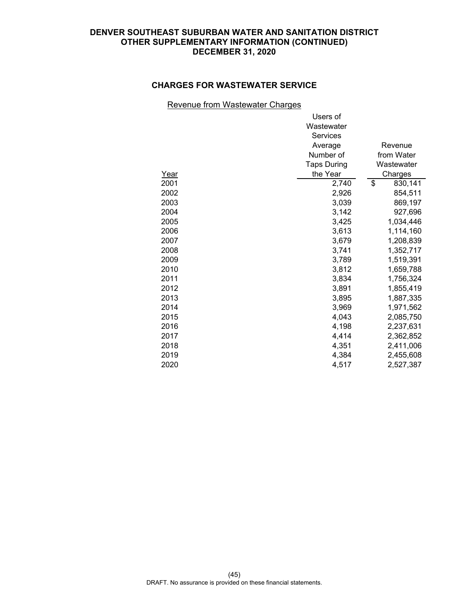# **CHARGES FOR WASTEWATER SERVICE**

## Revenue from Wastewater Charges

|      | Users of           |               |
|------|--------------------|---------------|
|      | Wastewater         |               |
|      | Services           |               |
|      | Average            | Revenue       |
|      | Number of          | from Water    |
|      | <b>Taps During</b> | Wastewater    |
| Year | the Year           | Charges       |
| 2001 | 2,740              | \$<br>830,141 |
| 2002 | 2,926              | 854,511       |
| 2003 | 3,039              | 869,197       |
| 2004 | 3,142              | 927,696       |
| 2005 | 3,425              | 1,034,446     |
| 2006 | 3,613              | 1,114,160     |
| 2007 | 3,679              | 1,208,839     |
| 2008 | 3,741              | 1,352,717     |
| 2009 | 3,789              | 1,519,391     |
| 2010 | 3,812              | 1,659,788     |
| 2011 | 3,834              | 1,756,324     |
| 2012 | 3,891              | 1,855,419     |
| 2013 | 3,895              | 1,887,335     |
| 2014 | 3,969              | 1,971,562     |
| 2015 | 4,043              | 2,085,750     |
| 2016 | 4,198              | 2,237,631     |
| 2017 | 4,414              | 2,362,852     |
| 2018 | 4,351              | 2,411,006     |
| 2019 | 4,384              | 2,455,608     |
| 2020 | 4,517              | 2,527,387     |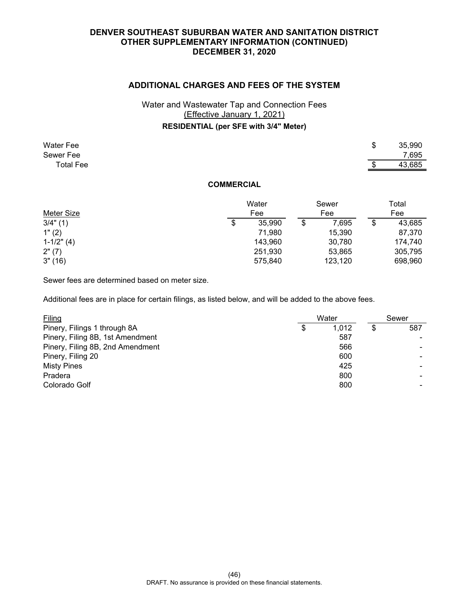# **ADDITIONAL CHARGES AND FEES OF THE SYSTEM**

# Water and Wastewater Tap and Connection Fees (Effective January 1, 2021) **RESIDENTIAL (per SFE with 3/4" Meter)**

| <b>Water Fee</b><br>Sewer Fee<br><b>Total Fee</b> |                   |        |             | \$<br>35,990<br>7,695<br>43,685 |
|---------------------------------------------------|-------------------|--------|-------------|---------------------------------|
|                                                   | <b>COMMERCIAL</b> |        |             |                                 |
|                                                   |                   | Water  | Sewer       | Total                           |
| Meter Size                                        |                   | Fee    | Fee         | Fee                             |
| 3/4" (1)                                          | \$                | 35,990 | \$<br>7,695 | \$<br>43,685                    |
| 1" (2)                                            |                   | 71,980 | 15,390      | 87,370                          |

1-1/2" (4) 143,960 30,780 174,740 2" (7) 251,930 53,865 305,795 3" (16) 575,840 123,120 698,960

Sewer fees are determined based on meter size.

Additional fees are in place for certain filings, as listed below, and will be added to the above fees.

| Filing                           |   | Water |   | Sewer |
|----------------------------------|---|-------|---|-------|
| Pinery, Filings 1 through 8A     | S | 1.012 | S | 587   |
| Pinery, Filing 8B, 1st Amendment |   | 587   |   |       |
| Pinery, Filing 8B, 2nd Amendment |   | 566   |   |       |
| Pinery, Filing 20                |   | 600   |   |       |
| <b>Misty Pines</b>               |   | 425   |   |       |
| Pradera                          |   | 800   |   |       |
| Colorado Golf                    |   | 800   |   |       |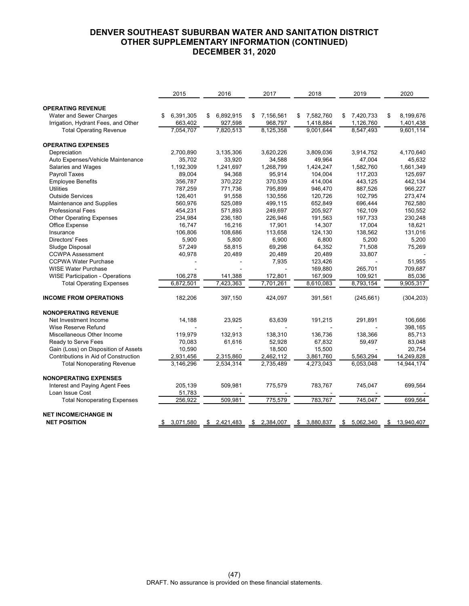|                                        | 2015            | 2016            | 2017            | 2018            | 2019            | 2020             |
|----------------------------------------|-----------------|-----------------|-----------------|-----------------|-----------------|------------------|
| <b>OPERATING REVENUE</b>               |                 |                 |                 |                 |                 |                  |
| Water and Sewer Charges                | 6,391,305<br>\$ | 6,892,915<br>\$ | 7,156,561<br>\$ | \$<br>7,582,760 | 7,420,733<br>\$ | 8,199,676<br>\$  |
| Irrigation, Hydrant Fees, and Other    | 663,402         | 927,598         | 968,797         | 1,418,884       | 1,126,760       | 1,401,438        |
| <b>Total Operating Revenue</b>         | 7,054,707       | 7,820,513       | 8,125,358       | 9,001,644       | 8,547,493       | 9,601,114        |
| <b>OPERATING EXPENSES</b>              |                 |                 |                 |                 |                 |                  |
| Depreciation                           | 2,700,890       | 3,135,306       | 3,620,226       | 3,809,036       | 3,914,752       | 4,170,640        |
| Auto Expenses/Vehicle Maintenance      | 35,702          | 33,920          | 34,588          | 49,964          | 47,004          | 45,632           |
| Salaries and Wages                     | 1,192,309       | 1,241,697       | 1,268,799       | 1,424,247       | 1,582,760       | 1,661,349        |
| <b>Payroll Taxes</b>                   | 89,004          | 94,368          | 95,914          | 104,004         | 117,203         | 125,697          |
| <b>Employee Benefits</b>               | 356,787         | 370,222         | 370,539         | 414,004         | 443,125         | 442,134          |
| <b>Utilities</b>                       | 787,259         | 771,736         | 795,899         | 946,470         | 887,526         | 966,227          |
| <b>Outside Services</b>                | 126,401         | 91,558          | 130,556         | 120,726         | 102,795         | 273,474          |
| Maintenance and Supplies               | 560,976         | 525,089         | 499,115         | 652,849         | 696,444         | 762,580          |
| <b>Professional Fees</b>               | 454,231         | 571,893         | 249,697         | 205,927         | 162,109         | 150,552          |
| <b>Other Operating Expenses</b>        | 234,984         | 236,180         | 226,946         | 191,563         | 197,733         | 230,248          |
| Office Expense                         | 16,747          | 16,216          | 17,901          | 14,307          | 17,004          | 18,621           |
| Insurance                              | 106,806         | 108,686         | 113,658         | 124,130         | 138,562         | 131,016          |
| <b>Directors' Fees</b>                 | 5.900           | 5.800           | 6,900           | 6.800           | 5.200           | 5,200            |
| Sludge Disposal                        | 57,249          | 58,815          | 69,298          | 64,352          | 71,508          | 75,269           |
| <b>CCWPA Assessment</b>                | 40,978          | 20,489          | 20,489          | 20,489          | 33,807          |                  |
| <b>CCPWA Water Purchase</b>            |                 |                 | 7,935           | 123,426         |                 | 51,955           |
| <b>WISE Water Purchase</b>             |                 |                 |                 | 169,880         | 265,701         | 709,687          |
| <b>WISE Participation - Operations</b> | 106.278         | 141,388         | 172,801         | 167,909         | 109,921         | 85.036           |
| <b>Total Operating Expenses</b>        | 6,872,501       | 7,423,363       | 7,701,261       | 8,610,083       | 8,793,154       | 9,905,317        |
| <b>INCOME FROM OPERATIONS</b>          | 182,206         | 397,150         | 424,097         | 391,561         | (245, 661)      | (304, 203)       |
| <b>NONOPERATING REVENUE</b>            |                 |                 |                 |                 |                 |                  |
| Net Investment Income                  | 14,188          | 23,925          | 63,639          | 191,215         | 291,891         | 106,666          |
| Wise Reserve Refund                    |                 |                 |                 |                 |                 | 398,165          |
| Miscellaneous Other Income             | 119,979         | 132,913         | 138,310         | 136,736         | 138,366         | 85,713           |
| Ready to Serve Fees                    | 70,083          | 61,616          | 52,928          | 67,832          | 59,497          | 83,048           |
| Gain (Loss) on Disposition of Assets   | 10,590          |                 | 18,500          | 15,500          |                 | 20,754           |
| Contributions in Aid of Construction   | 2,931,456       | 2,315,860       | 2,462,112       | 3,861,760       | 5,563,294       | 14,249,828       |
| <b>Total Nonoperating Revenue</b>      | 3,146,296       | 2,534,314       | 2,735,489       | 4,273,043       | 6,053,048       | 14,944,174       |
| <b>NONOPERATING EXPENSES</b>           |                 |                 |                 |                 |                 |                  |
| Interest and Paying Agent Fees         | 205,139         | 509,981         | 775,579         | 783,767         | 745,047         | 699,564          |
| Loan Issue Cost                        | 51,783          |                 |                 |                 |                 |                  |
| <b>Total Nonoperating Expenses</b>     | 256,922         | 509,981         | 775,579         | 783,767         | 745,047         | 699,564          |
| <b>NET INCOME/CHANGE IN</b>            |                 |                 |                 |                 |                 |                  |
| <b>NET POSITION</b>                    | 3,071,580<br>\$ | \$2,421,483     | \$2,384,007     | 3,880,837<br>\$ | \$5,062,340     | \$<br>13,940,407 |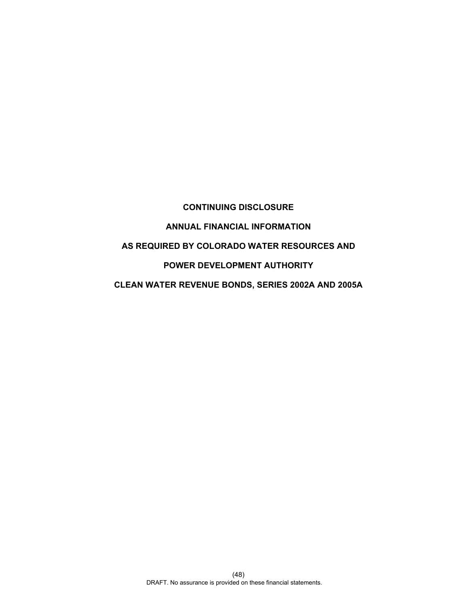# **CONTINUING DISCLOSURE ANNUAL FINANCIAL INFORMATION AS REQUIRED BY COLORADO WATER RESOURCES AND POWER DEVELOPMENT AUTHORITY CLEAN WATER REVENUE BONDS, SERIES 2002A AND 2005A**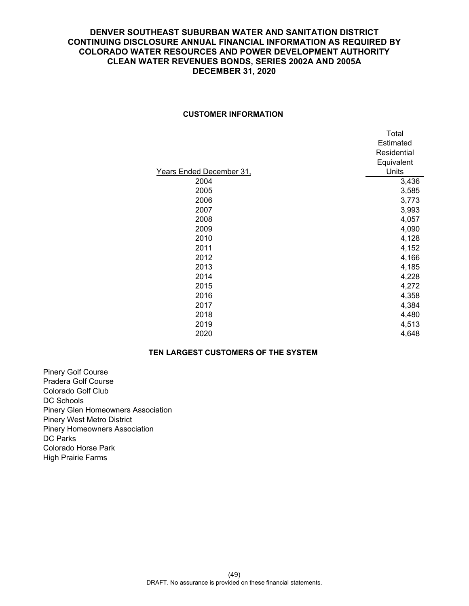# **CUSTOMER INFORMATION**

|                          | Total       |
|--------------------------|-------------|
|                          | Estimated   |
|                          | Residential |
|                          | Equivalent  |
| Years Ended December 31, | Units       |
| 2004                     | 3,436       |
| 2005                     | 3,585       |
| 2006                     | 3,773       |
| 2007                     | 3,993       |
| 2008                     | 4,057       |
| 2009                     | 4,090       |
| 2010                     | 4,128       |
| 2011                     | 4,152       |
| 2012                     | 4,166       |
| 2013                     | 4,185       |
| 2014                     | 4,228       |
| 2015                     | 4,272       |
| 2016                     | 4,358       |
| 2017                     | 4,384       |
| 2018                     | 4,480       |
| 2019                     | 4,513       |
| 2020                     | 4,648       |

# **TEN LARGEST CUSTOMERS OF THE SYSTEM**

Pinery Golf Course Pradera Golf Course Colorado Golf Club DC Schools Pinery Glen Homeowners Association Pinery West Metro District Pinery Homeowners Association DC Parks Colorado Horse Park High Prairie Farms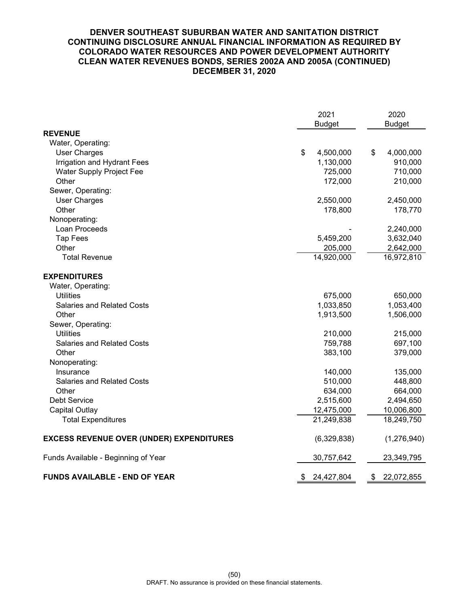|                                                 | 2021             | 2020             |
|-------------------------------------------------|------------------|------------------|
| <b>REVENUE</b>                                  | <b>Budget</b>    | <b>Budget</b>    |
| Water, Operating:                               |                  |                  |
| <b>User Charges</b>                             | \$<br>4,500,000  | \$<br>4,000,000  |
| Irrigation and Hydrant Fees                     | 1,130,000        | 910,000          |
| Water Supply Project Fee                        | 725,000          | 710,000          |
| Other                                           | 172,000          | 210,000          |
| Sewer, Operating:                               |                  |                  |
| <b>User Charges</b>                             | 2,550,000        | 2,450,000        |
| Other                                           | 178,800          | 178,770          |
| Nonoperating:                                   |                  |                  |
| Loan Proceeds                                   |                  | 2,240,000        |
| <b>Tap Fees</b>                                 | 5,459,200        | 3,632,040        |
| Other                                           | 205,000          | 2,642,000        |
| <b>Total Revenue</b>                            | 14,920,000       | 16,972,810       |
| <b>EXPENDITURES</b>                             |                  |                  |
| Water, Operating:                               |                  |                  |
| <b>Utilities</b>                                | 675,000          | 650,000          |
| <b>Salaries and Related Costs</b>               | 1,033,850        | 1,053,400        |
| Other                                           | 1,913,500        | 1,506,000        |
| Sewer, Operating:                               |                  |                  |
| <b>Utilities</b>                                | 210,000          | 215,000          |
| <b>Salaries and Related Costs</b>               | 759,788          | 697,100          |
| Other                                           | 383,100          | 379,000          |
| Nonoperating:                                   |                  |                  |
| Insurance                                       | 140,000          | 135,000          |
| <b>Salaries and Related Costs</b>               | 510,000          | 448,800          |
| Other                                           | 634,000          | 664,000          |
| <b>Debt Service</b>                             | 2,515,600        | 2,494,650        |
| <b>Capital Outlay</b>                           | 12,475,000       | 10,006,800       |
| <b>Total Expenditures</b>                       | 21,249,838       | 18,249,750       |
| <b>EXCESS REVENUE OVER (UNDER) EXPENDITURES</b> | (6,329,838)      | (1,276,940)      |
| Funds Available - Beginning of Year             | 30,757,642       | 23,349,795       |
| <b>FUNDS AVAILABLE - END OF YEAR</b>            | \$<br>24,427,804 | \$<br>22,072,855 |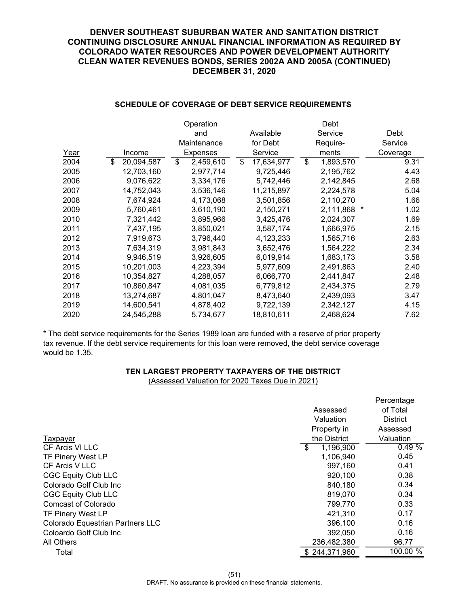|      |                  | Operation       |                  | Debt            |          |
|------|------------------|-----------------|------------------|-----------------|----------|
|      |                  | and             | Available        | Service         | Debt     |
|      |                  | Maintenance     | for Debt         | Require-        | Service  |
| Year | Income           | <b>Expenses</b> | Service          | ments           | Coverage |
| 2004 | \$<br>20,094,587 | \$<br>2,459,610 | \$<br>17,634,977 | \$<br>1,893,570 | 9.31     |
| 2005 | 12,703,160       | 2,977,714       | 9,725,446        | 2,195,762       | 4.43     |
| 2006 | 9,076,622        | 3,334,176       | 5,742,446        | 2,142,845       | 2.68     |
| 2007 | 14,752,043       | 3,536,146       | 11,215,897       | 2,224,578       | 5.04     |
| 2008 | 7,674,924        | 4,173,068       | 3,501,856        | 2,110,270       | 1.66     |
| 2009 | 5,760,461        | 3,610,190       | 2,150,271        | 2,111,868       | 1.02     |
| 2010 | 7,321,442        | 3,895,966       | 3,425,476        | 2,024,307       | 1.69     |
| 2011 | 7,437,195        | 3,850,021       | 3,587,174        | 1,666,975       | 2.15     |
| 2012 | 7,919,673        | 3,796,440       | 4,123,233        | 1,565,716       | 2.63     |
| 2013 | 7,634,319        | 3,981,843       | 3,652,476        | 1,564,222       | 2.34     |
| 2014 | 9,946,519        | 3,926,605       | 6,019,914        | 1,683,173       | 3.58     |
| 2015 | 10,201,003       | 4,223,394       | 5,977,609        | 2,491,863       | 2.40     |
| 2016 | 10,354,827       | 4,288,057       | 6,066,770        | 2,441,847       | 2.48     |
| 2017 | 10,860,847       | 4,081,035       | 6,779,812        | 2,434,375       | 2.79     |
| 2018 | 13,274,687       | 4,801,047       | 8,473,640        | 2,439,093       | 3.47     |
| 2019 | 14,600,541       | 4,878,402       | 9,722,139        | 2,342,127       | 4.15     |
| 2020 | 24,545,288       | 5,734,677       | 18,810,611       | 2,468,624       | 7.62     |

# **SCHEDULE OF COVERAGE OF DEBT SERVICE REQUIREMENTS**

\* The debt service requirements for the Series 1989 loan are funded with a reserve of prior property tax revenue. If the debt service requirements for this loan were removed, the debt service coverage would be 1.35.

# **TEN LARGEST PROPERTY TAXPAYERS OF THE DISTRICT**

(Assessed Valuation for 2020 Taxes Due in 2021)

|                                  |           |               | Percentage      |  |
|----------------------------------|-----------|---------------|-----------------|--|
|                                  | Assessed  |               | of Total        |  |
|                                  | Valuation |               | <b>District</b> |  |
|                                  |           | Property in   | Assessed        |  |
| Taxpayer                         |           | the District  | Valuation       |  |
| CF Arcis VI LLC                  | \$        | 1,196,900     | 0.49%           |  |
| <b>TF Pinery West LP</b>         |           | 1,106,940     | 0.45            |  |
| CF Arcis V LLC                   |           | 997,160       | 0.41            |  |
| <b>CGC Equity Club LLC</b>       |           | 920,100       | 0.38            |  |
| Colorado Golf Club Inc           |           | 840,180       | 0.34            |  |
| <b>CGC Equity Club LLC</b>       |           | 819,070       | 0.34            |  |
| Comcast of Colorado              |           | 799,770       | 0.33            |  |
| TF Pinery West LP                |           | 421,310       | 0.17            |  |
| Colorado Equestrian Partners LLC |           | 396,100       | 0.16            |  |
| Coloardo Golf Club Inc           |           | 392,050       | 0.16            |  |
| All Others                       |           | 236,482,380   | 96.77           |  |
| Total                            |           | \$244,371,960 | 100.00 %        |  |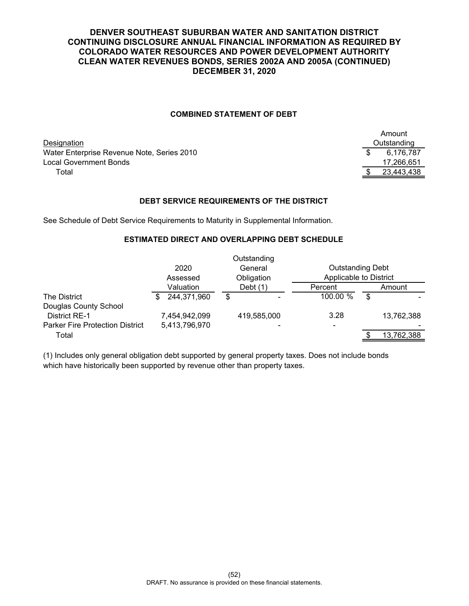# **COMBINED STATEMENT OF DEBT**

Designation Water Enterprise Revenue Note, Series 2010 Local Government Bonds Total \$ 23,443,438

| Amount      |            |  |  |
|-------------|------------|--|--|
| Outstanding |            |  |  |
| \$          | 6,176,787  |  |  |
|             | 17,266,651 |  |  |
| \$          | 23,443,438 |  |  |

# **DEBT SERVICE REQUIREMENTS OF THE DISTRICT**

See Schedule of Debt Service Requirements to Maturity in Supplemental Information.

## **ESTIMATED DIRECT AND OVERLAPPING DEBT SCHEDULE**

|                                        |               | Outstanding              |                         |            |  |
|----------------------------------------|---------------|--------------------------|-------------------------|------------|--|
|                                        | 2020          | General                  | <b>Outstanding Debt</b> |            |  |
|                                        | Assessed      | Obligation               | Applicable to District  |            |  |
|                                        | Valuation     | Debt $(1)$               | Percent                 | Amount     |  |
| <b>The District</b>                    | 244,371,960   | \$                       | 100.00 %                | \$         |  |
| Douglas County School                  |               |                          |                         |            |  |
| <b>District RE-1</b>                   | 7,454,942,099 | 419,585,000              | 3.28                    | 13,762,388 |  |
| <b>Parker Fire Protection District</b> | 5,413,796,970 | $\overline{\phantom{0}}$ |                         |            |  |
| Total                                  |               |                          |                         | 13,762,388 |  |
|                                        |               |                          |                         |            |  |

(1) Includes only general obligation debt supported by general property taxes. Does not include bonds which have historically been supported by revenue other than property taxes.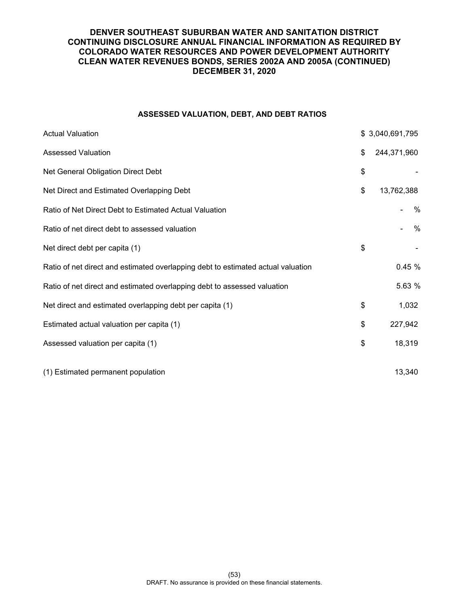# **ASSESSED VALUATION, DEBT, AND DEBT RATIOS**

| <b>Actual Valuation</b>                                                          | \$3,040,691,795   |
|----------------------------------------------------------------------------------|-------------------|
| <b>Assessed Valuation</b>                                                        | \$<br>244,371,960 |
| Net General Obligation Direct Debt                                               | \$                |
| Net Direct and Estimated Overlapping Debt                                        | \$<br>13,762,388  |
| Ratio of Net Direct Debt to Estimated Actual Valuation                           | $\frac{0}{0}$     |
| Ratio of net direct debt to assessed valuation                                   | $\frac{0}{0}$     |
| Net direct debt per capita (1)                                                   | \$                |
| Ratio of net direct and estimated overlapping debt to estimated actual valuation | 0.45 %            |
| Ratio of net direct and estimated overlapping debt to assessed valuation         | 5.63 %            |
| Net direct and estimated overlapping debt per capita (1)                         | \$<br>1,032       |
| Estimated actual valuation per capita (1)                                        | \$<br>227,942     |
| Assessed valuation per capita (1)                                                | \$<br>18,319      |
| (1) Estimated permanent population                                               | 13,340            |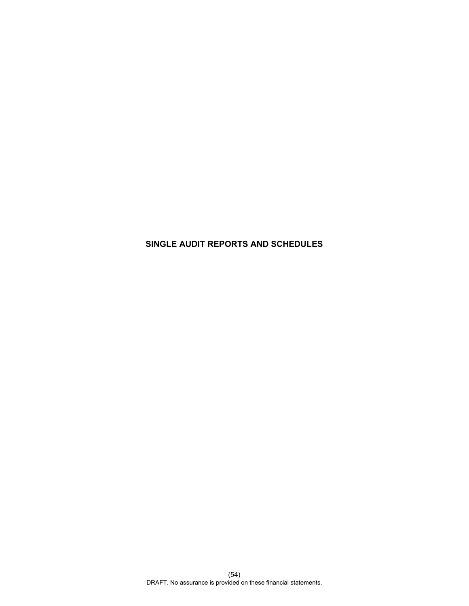# **SINGLE AUDIT REPORTS AND SCHEDULES**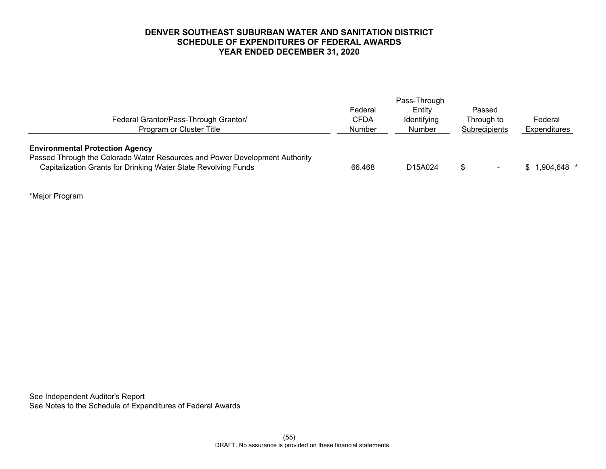# **DENVER SOUTHEAST SUBURBAN WATER AND SANITATION DISTRICT SCHEDULE OF EXPENDITURES OF FEDERAL AWARDS YEAR ENDED DECEMBER 31, 2020**

|                                                                                                                                                                                         | Pass-Through           |                       |                          |                     |
|-----------------------------------------------------------------------------------------------------------------------------------------------------------------------------------------|------------------------|-----------------------|--------------------------|---------------------|
| Federal Grantor/Pass-Through Grantor/                                                                                                                                                   | Federal<br><b>CFDA</b> | Entity<br>Identifying | Passed<br>Through to     | Federal             |
| Program or Cluster Title                                                                                                                                                                | <b>Number</b>          | Number                | Subrecipients            | <b>Expenditures</b> |
| <b>Environmental Protection Agency</b><br>Passed Through the Colorado Water Resources and Power Development Authority<br>Capitalization Grants for Drinking Water State Revolving Funds | 66.468                 | D15A024               | $\overline{\phantom{0}}$ | 1,904,648 *         |

\*Major Program

See Independent Auditor's Report See Notes to the Schedule of Expenditures of Federal Awards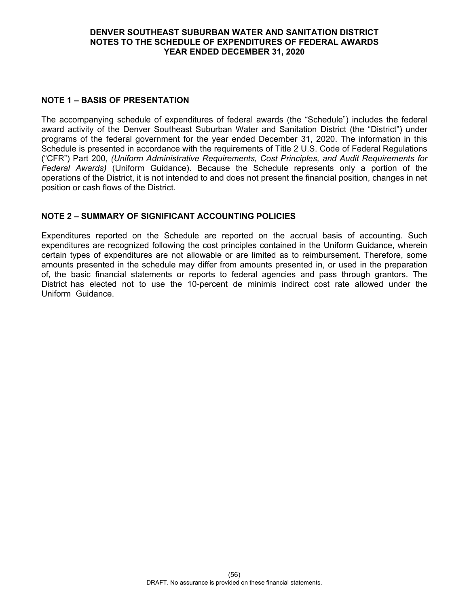# **DENVER SOUTHEAST SUBURBAN WATER AND SANITATION DISTRICT NOTES TO THE SCHEDULE OF EXPENDITURES OF FEDERAL AWARDS YEAR ENDED DECEMBER 31, 2020**

# **NOTE 1 – BASIS OF PRESENTATION**

The accompanying schedule of expenditures of federal awards (the "Schedule") includes the federal award activity of the Denver Southeast Suburban Water and Sanitation District (the "District") under programs of the federal government for the year ended December 31, 2020. The information in this Schedule is presented in accordance with the requirements of Title 2 U.S. Code of Federal Regulations ("CFR") Part 200, *(Uniform Administrative Requirements, Cost Principles, and Audit Requirements for Federal Awards)* (Uniform Guidance). Because the Schedule represents only a portion of the operations of the District, it is not intended to and does not present the financial position, changes in net position or cash flows of the District.

# **NOTE 2 – SUMMARY OF SIGNIFICANT ACCOUNTING POLICIES**

Expenditures reported on the Schedule are reported on the accrual basis of accounting. Such expenditures are recognized following the cost principles contained in the Uniform Guidance, wherein certain types of expenditures are not allowable or are limited as to reimbursement. Therefore, some amounts presented in the schedule may differ from amounts presented in, or used in the preparation of, the basic financial statements or reports to federal agencies and pass through grantors. The District has elected not to use the 10-percent de minimis indirect cost rate allowed under the Uniform Guidance.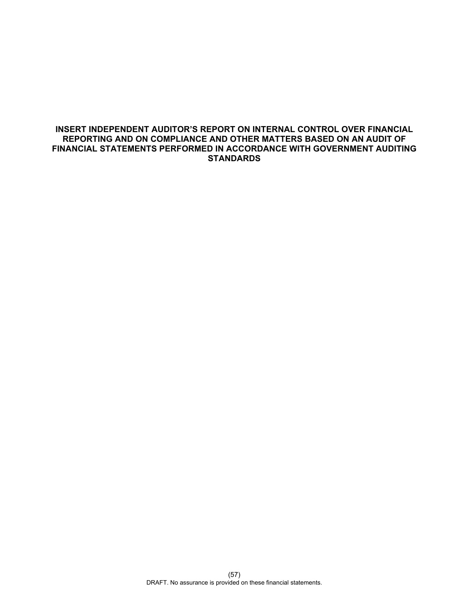# **INSERT INDEPENDENT AUDITOR'S REPORT ON INTERNAL CONTROL OVER FINANCIAL REPORTING AND ON COMPLIANCE AND OTHER MATTERS BASED ON AN AUDIT OF FINANCIAL STATEMENTS PERFORMED IN ACCORDANCE WITH GOVERNMENT AUDITING STANDARDS**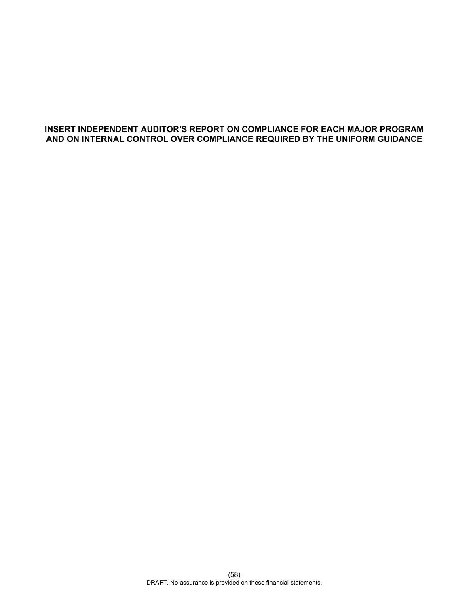# **INSERT INDEPENDENT AUDITOR'S REPORT ON COMPLIANCE FOR EACH MAJOR PROGRAM AND ON INTERNAL CONTROL OVER COMPLIANCE REQUIRED BY THE UNIFORM GUIDANCE**